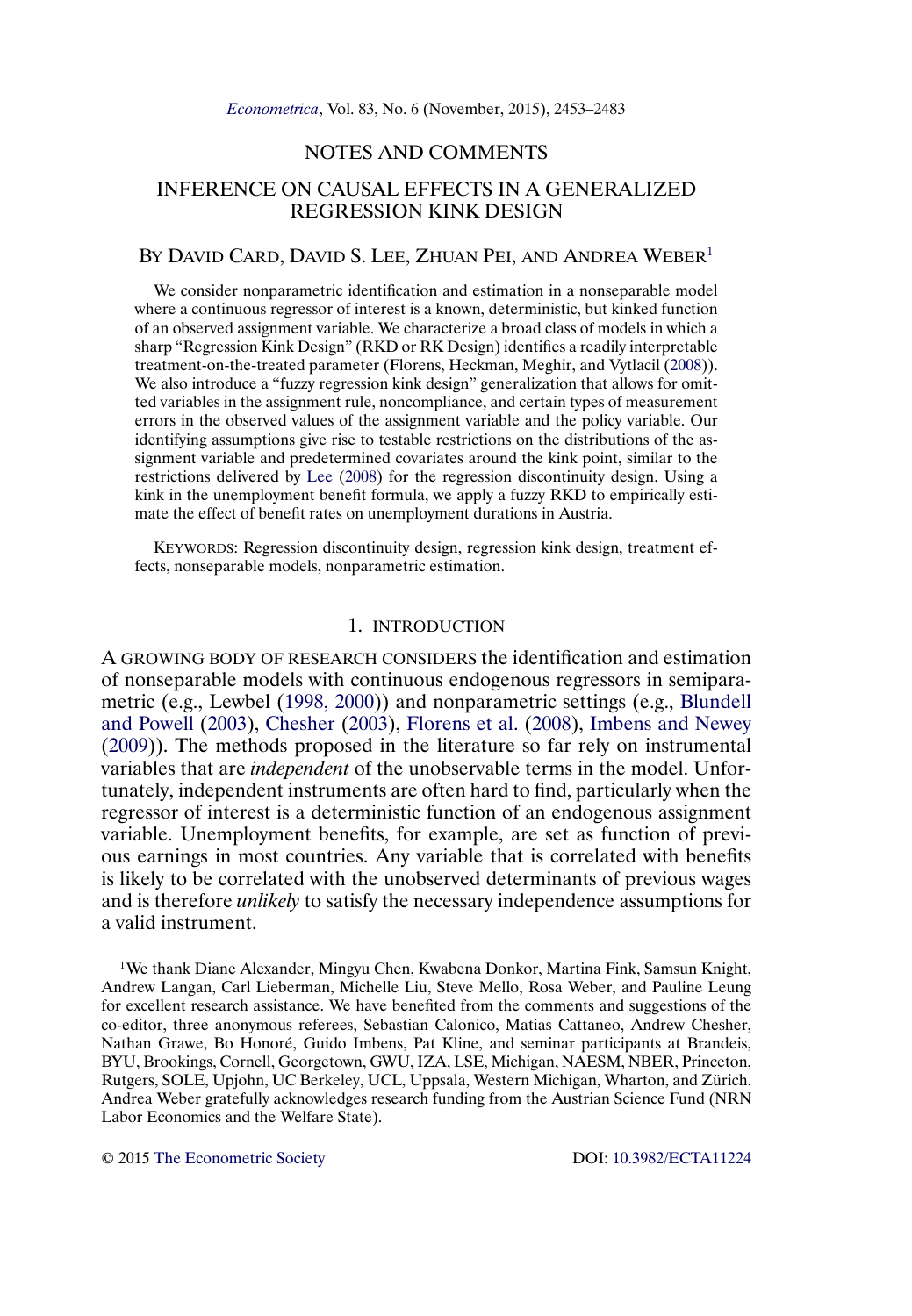# NOTES AND COMMENTS

# <span id="page-0-0"></span>INFERENCE ON CAUSAL EFFECTS IN A GENERALIZED REGRESSION KINK DESIGN

## BY DAVID CARD, DAVID S. LEE, ZHUAN PEI, AND ANDREA WEBER<sup>1</sup>

We consider nonparametric identification and estimation in a nonseparable model where a continuous regressor of interest is a known, deterministic, but kinked function of an observed assignment variable. We characterize a broad class of models in which a sharp "Regression Kink Design" (RKD or RK Design) identifies a readily interpretable treatment-on-the-treated parameter (Florens, Heckman, Meghir, and Vytlacil [\(2008\)](#page-28-0)). We also introduce a "fuzzy regression kink design" generalization that allows for omitted variables in the assignment rule, noncompliance, and certain types of measurement errors in the observed values of the assignment variable and the policy variable. Our identifying assumptions give rise to testable restrictions on the distributions of the assignment variable and predetermined covariates around the kink point, similar to the restrictions delivered by [Lee](#page-29-0) [\(2008\)](#page-29-0) for the regression discontinuity design. Using a kink in the unemployment benefit formula, we apply a fuzzy RKD to empirically estimate the effect of benefit rates on unemployment durations in Austria.

KEYWORDS: Regression discontinuity design, regression kink design, treatment effects, nonseparable models, nonparametric estimation.

### 1. INTRODUCTION

A GROWING BODY OF RESEARCH CONSIDERS the identification and estimation of nonseparable models with continuous endogenous regressors in semiparametric (e.g., Lewbel [\(1998, 2000\)](#page-29-0)) and nonparametric settings (e.g., [Blundell](#page-28-0) [and Powell](#page-28-0) [\(2003\)](#page-28-0), [Chesher](#page-28-0) [\(2003\)](#page-28-0), [Florens et al.](#page-28-0) [\(2008\)](#page-28-0), [Imbens and Newey](#page-29-0) [\(2009\)](#page-29-0)). The methods proposed in the literature so far rely on instrumental variables that are *independent* of the unobservable terms in the model. Unfortunately, independent instruments are often hard to find, particularly when the regressor of interest is a deterministic function of an endogenous assignment variable. Unemployment benefits, for example, are set as function of previous earnings in most countries. Any variable that is correlated with benefits is likely to be correlated with the unobserved determinants of previous wages and is therefore *unlikely* to satisfy the necessary independence assumptions for a valid instrument.

1We thank Diane Alexander, Mingyu Chen, Kwabena Donkor, Martina Fink, Samsun Knight, Andrew Langan, Carl Lieberman, Michelle Liu, Steve Mello, Rosa Weber, and Pauline Leung for excellent research assistance. We have benefited from the comments and suggestions of the co-editor, three anonymous referees, Sebastian Calonico, Matias Cattaneo, Andrew Chesher, Nathan Grawe, Bo Honoré, Guido Imbens, Pat Kline, and seminar participants at Brandeis, BYU, Brookings, Cornell, Georgetown, GWU, IZA, LSE, Michigan, NAESM, NBER, Princeton, Rutgers, SOLE, Upjohn, UC Berkeley, UCL, Uppsala, Western Michigan, Wharton, and Zürich. Andrea Weber gratefully acknowledges research funding from the Austrian Science Fund (NRN Labor Economics and the Welfare State).

© 2015 [The Econometric Society](http://www.econometricsociety.org/) DOI: [10.3982/ECTA11224](http://dx.doi.org/10.3982/ECTA11224)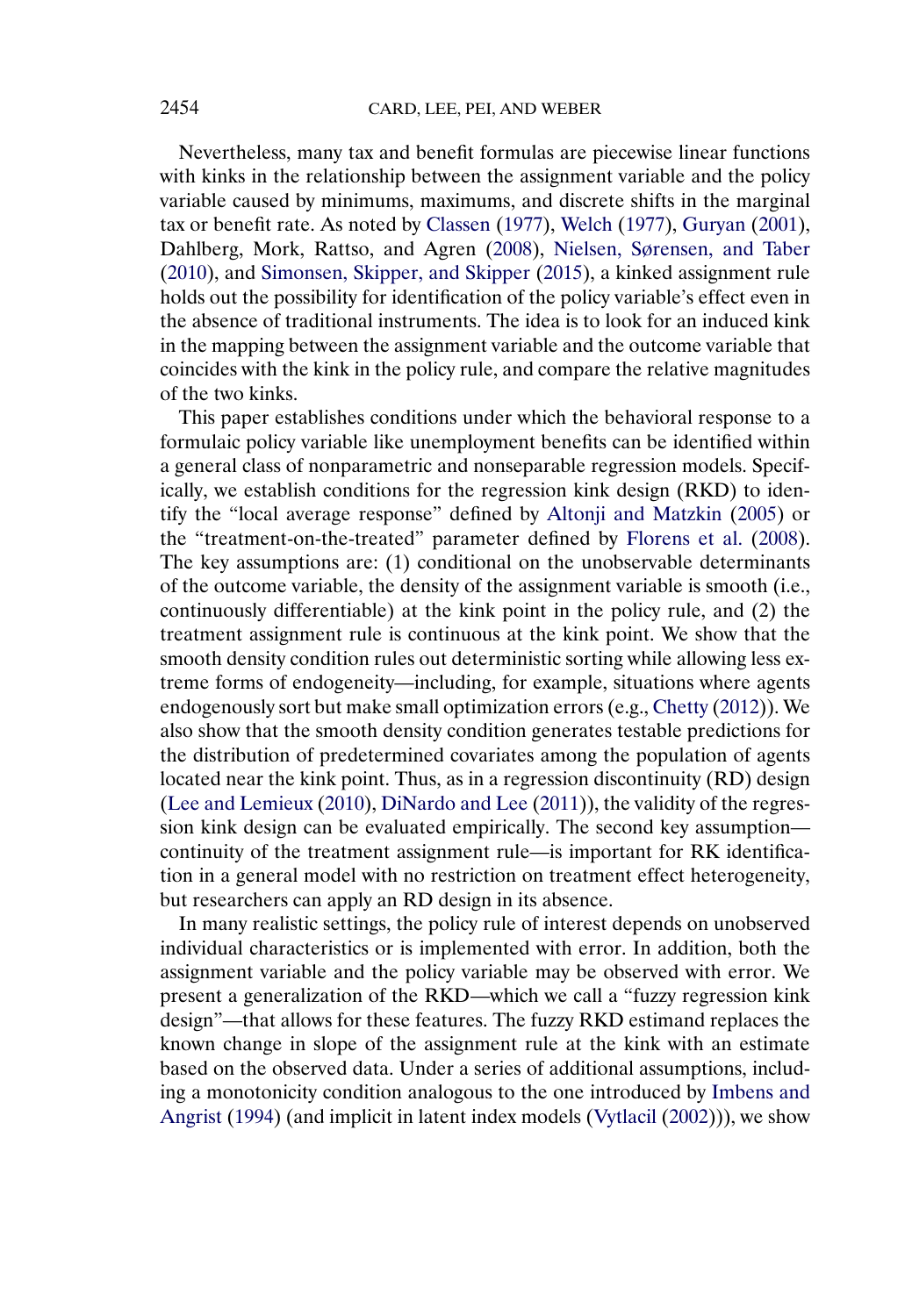<span id="page-1-0"></span>Nevertheless, many tax and benefit formulas are piecewise linear functions with kinks in the relationship between the assignment variable and the policy variable caused by minimums, maximums, and discrete shifts in the marginal tax or benefit rate. As noted by [Classen](#page-28-0) [\(1977\)](#page-28-0), [Welch](#page-29-0) [\(1977\)](#page-29-0), [Guryan](#page-29-0) [\(2001\)](#page-29-0), Dahlberg, Mork, Rattso, and Agren [\(2008\)](#page-28-0), [Nielsen, Sørensen, and Taber](#page-29-0) [\(2010\)](#page-29-0), and [Simonsen, Skipper, and Skipper](#page-29-0) [\(2015\)](#page-29-0), a kinked assignment rule holds out the possibility for identification of the policy variable's effect even in the absence of traditional instruments. The idea is to look for an induced kink in the mapping between the assignment variable and the outcome variable that coincides with the kink in the policy rule, and compare the relative magnitudes of the two kinks.

This paper establishes conditions under which the behavioral response to a formulaic policy variable like unemployment benefits can be identified within a general class of nonparametric and nonseparable regression models. Specifically, we establish conditions for the regression kink design (RKD) to identify the "local average response" defined by [Altonji and Matzkin](#page-28-0) [\(2005\)](#page-28-0) or the "treatment-on-the-treated" parameter defined by [Florens et al.](#page-28-0) [\(2008\)](#page-28-0). The key assumptions are: (1) conditional on the unobservable determinants of the outcome variable, the density of the assignment variable is smooth (i.e., continuously differentiable) at the kink point in the policy rule, and (2) the treatment assignment rule is continuous at the kink point. We show that the smooth density condition rules out deterministic sorting while allowing less extreme forms of endogeneity—including, for example, situations where agents endogenously sort but make small optimization errors (e.g., [Chetty](#page-28-0) [\(2012\)](#page-28-0)). We also show that the smooth density condition generates testable predictions for the distribution of predetermined covariates among the population of agents located near the kink point. Thus, as in a regression discontinuity (RD) design [\(Lee and Lemieux](#page-29-0) [\(2010\)](#page-29-0), [DiNardo and Lee](#page-28-0) [\(2011\)](#page-28-0)), the validity of the regression kink design can be evaluated empirically. The second key assumption continuity of the treatment assignment rule—is important for RK identification in a general model with no restriction on treatment effect heterogeneity, but researchers can apply an RD design in its absence.

In many realistic settings, the policy rule of interest depends on unobserved individual characteristics or is implemented with error. In addition, both the assignment variable and the policy variable may be observed with error. We present a generalization of the RKD—which we call a "fuzzy regression kink design"—that allows for these features. The fuzzy RKD estimand replaces the known change in slope of the assignment rule at the kink with an estimate based on the observed data. Under a series of additional assumptions, including a monotonicity condition analogous to the one introduced by [Imbens and](#page-29-0) [Angrist](#page-29-0) [\(1994\)](#page-29-0) (and implicit in latent index models [\(Vytlacil](#page-29-0) [\(2002\)](#page-29-0))), we show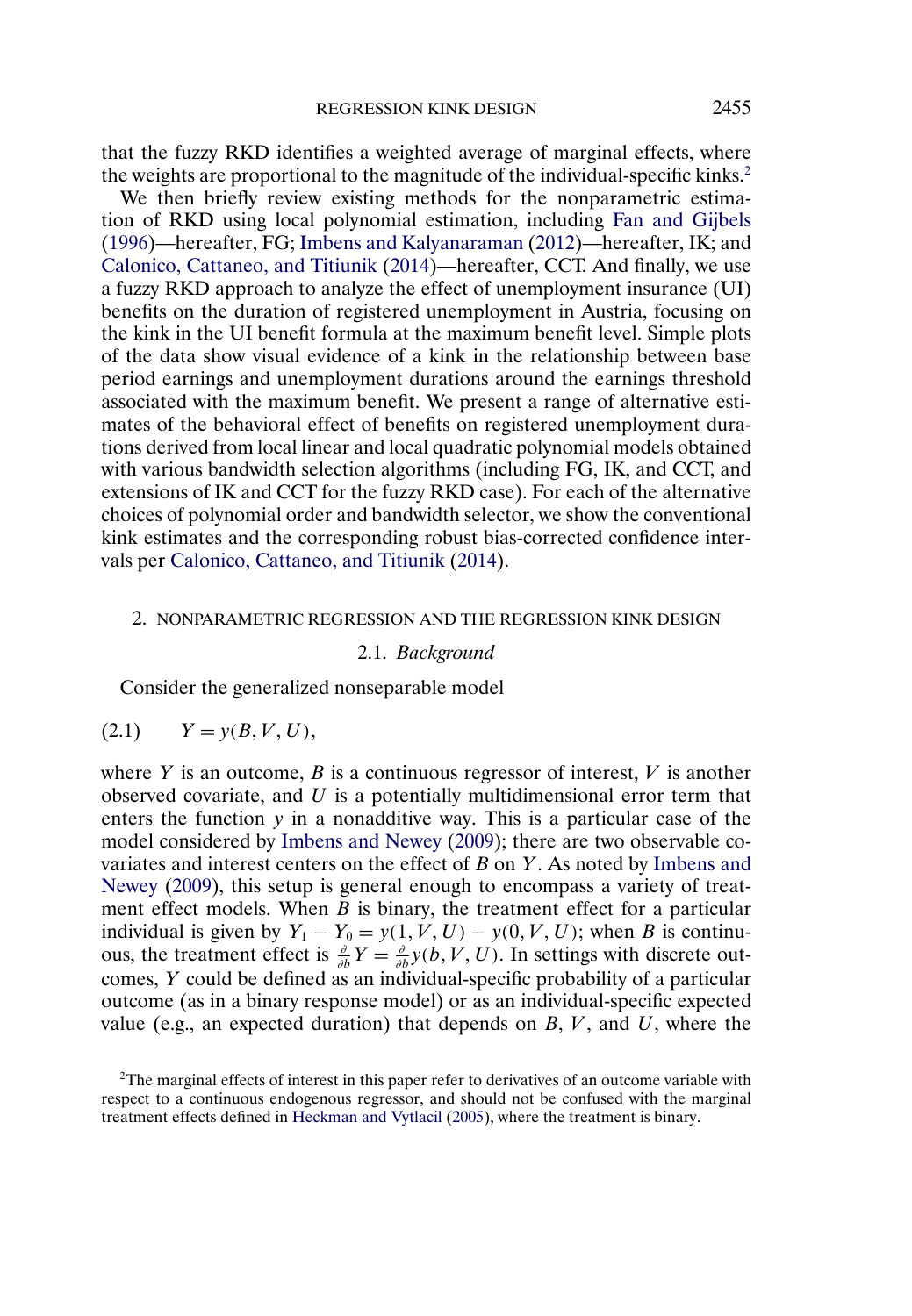<span id="page-2-0"></span>that the fuzzy RKD identifies a weighted average of marginal effects, where the weights are proportional to the magnitude of the individual-specific kinks.<sup>2</sup>

We then briefly review existing methods for the nonparametric estimation of RKD using local polynomial estimation, including [Fan and Gijbels](#page-28-0) [\(1996\)](#page-28-0)—hereafter, FG; [Imbens and Kalyanaraman](#page-29-0) [\(2012\)](#page-29-0)—hereafter, IK; and [Calonico, Cattaneo, and Titiunik](#page-28-0) [\(2014\)](#page-28-0)—hereafter, CCT. And finally, we use a fuzzy RKD approach to analyze the effect of unemployment insurance (UI) benefits on the duration of registered unemployment in Austria, focusing on the kink in the UI benefit formula at the maximum benefit level. Simple plots of the data show visual evidence of a kink in the relationship between base period earnings and unemployment durations around the earnings threshold associated with the maximum benefit. We present a range of alternative estimates of the behavioral effect of benefits on registered unemployment durations derived from local linear and local quadratic polynomial models obtained with various bandwidth selection algorithms (including FG, IK, and CCT, and extensions of IK and CCT for the fuzzy RKD case). For each of the alternative choices of polynomial order and bandwidth selector, we show the conventional kink estimates and the corresponding robust bias-corrected confidence intervals per [Calonico, Cattaneo, and Titiunik](#page-28-0) [\(2014\)](#page-28-0).

#### 2. NONPARAMETRIC REGRESSION AND THE REGRESSION KINK DESIGN

2.1. *Background*

Consider the generalized nonseparable model

$$
(2.1) \qquad Y = y(B, V, U),
$$

where Y is an outcome, B is a continuous regressor of interest,  $V$  is another observed covariate, and  $U$  is a potentially multidimensional error term that enters the function  $y$  in a nonadditive way. This is a particular case of the model considered by [Imbens and Newey](#page-29-0) [\(2009\)](#page-29-0); there are two observable covariates and interest centers on the effect of B on Y. As noted by [Imbens and](#page-29-0) [Newey](#page-29-0) [\(2009\)](#page-29-0), this setup is general enough to encompass a variety of treatment effect models. When  $B$  is binary, the treatment effect for a particular individual is given by  $Y_1 - Y_0 = y(1, V, U) - y(0, V, U)$ ; when B is continuous, the treatment effect is  $\frac{\partial}{\partial b}Y = \frac{\partial}{\partial b}y(b, V, U)$ . In settings with discrete outcomes, Y could be defined as an individual-specific probability of a particular outcome (as in a binary response model) or as an individual-specific expected value (e.g., an expected duration) that depends on  $B, V$ , and  $U$ , where the

<sup>2</sup>The marginal effects of interest in this paper refer to derivatives of an outcome variable with respect to a continuous endogenous regressor, and should not be confused with the marginal treatment effects defined in [Heckman and Vytlacil](#page-29-0) [\(2005\)](#page-29-0), where the treatment is binary.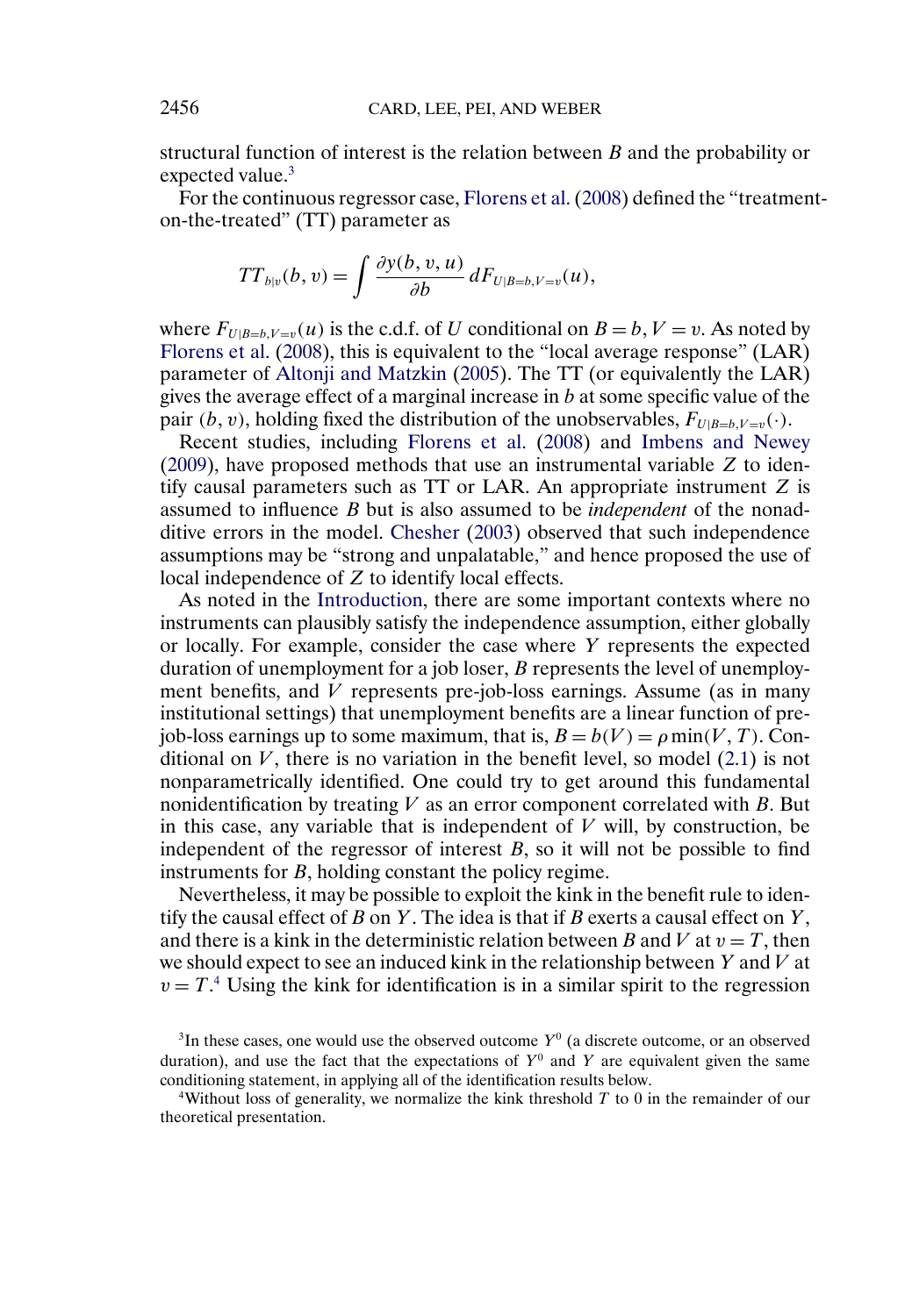<span id="page-3-0"></span>structural function of interest is the relation between B and the probability or expected value.<sup>3</sup>

For the continuous regressor case, [Florens et al.\(2008\)](#page-28-0) defined the "treatmenton-the-treated" (TT) parameter as

$$
TT_{b|v}(b,v)=\int \frac{\partial y(b,v,u)}{\partial b} dF_{U|B=b,V=v}(u),
$$

where  $F_{U|B=b,V=v}(u)$  is the c.d.f. of U conditional on  $B=b, V=v$ . As noted by [Florens et al.](#page-28-0) [\(2008\)](#page-28-0), this is equivalent to the "local average response" (LAR) parameter of [Altonji and Matzkin](#page-28-0) [\(2005\)](#page-28-0). The TT (or equivalently the LAR) gives the average effect of a marginal increase in  $b$  at some specific value of the pair (*b*, *v*), holding fixed the distribution of the unobservables,  $F_{U|B=b, V=v}(\cdot)$ .

Recent studies, including [Florens et al.](#page-28-0) [\(2008\)](#page-28-0) and [Imbens and Newey](#page-29-0) [\(2009\)](#page-29-0), have proposed methods that use an instrumental variable Z to identify causal parameters such as  $TT$  or LAR. An appropriate instrument  $Z$  is assumed to influence B but is also assumed to be *independent* of the nonadditive errors in the model. [Chesher](#page-28-0) [\(2003\)](#page-28-0) observed that such independence assumptions may be "strong and unpalatable," and hence proposed the use of local independence of Z to identify local effects.

As noted in the [Introduction,](#page-0-0) there are some important contexts where no instruments can plausibly satisfy the independence assumption, either globally or locally. For example, consider the case where Y represents the expected duration of unemployment for a job loser, B represents the level of unemployment benefits, and  $V$  represents pre-job-loss earnings. Assume (as in many institutional settings) that unemployment benefits are a linear function of prejob-loss earnings up to some maximum, that is,  $B = b(V) = \rho \min(V, T)$ . Conditional on  $V$ , there is no variation in the benefit level, so model  $(2.1)$  is not nonparametrically identified. One could try to get around this fundamental nonidentification by treating  $V$  as an error component correlated with  $B$ . But in this case, any variable that is independent of  $V$  will, by construction, be independent of the regressor of interest  $B$ , so it will not be possible to find instruments for B, holding constant the policy regime.

Nevertheless, it may be possible to exploit the kink in the benefit rule to identify the causal effect of  $B$  on  $Y$ . The idea is that if  $B$  exerts a causal effect on  $Y$ , and there is a kink in the deterministic relation between B and V at  $v = T$ , then we should expect to see an induced kink in the relationship between  $Y$  and  $V$  at  $v = T<sup>4</sup>$ . Using the kink for identification is in a similar spirit to the regression

<sup>4</sup>Without loss of generality, we normalize the kink threshold  $T$  to 0 in the remainder of our theoretical presentation.

 $3$ In these cases, one would use the observed outcome  $Y^0$  (a discrete outcome, or an observed duration), and use the fact that the expectations of  $Y^0$  and Y are equivalent given the same conditioning statement, in applying all of the identification results below.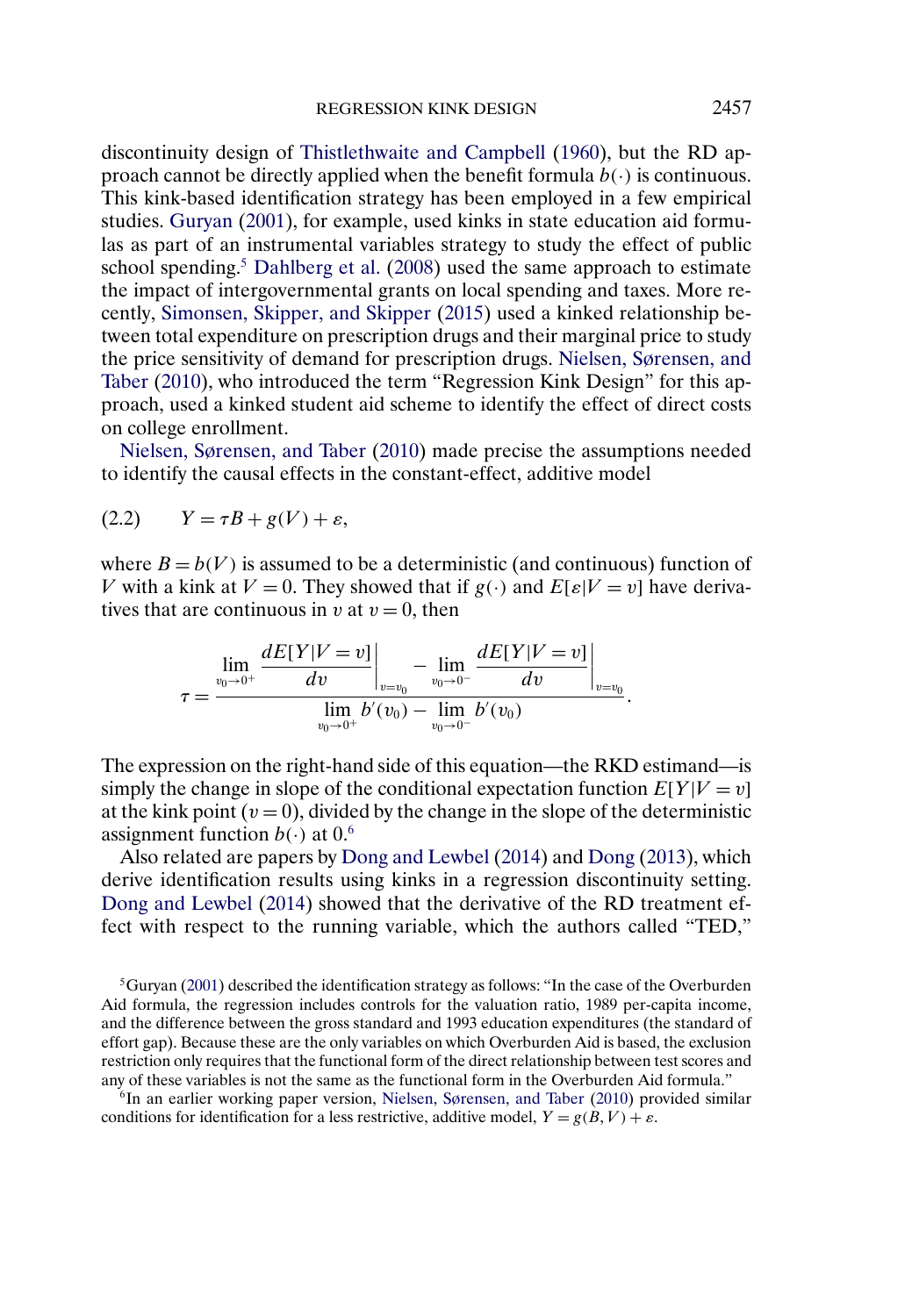<span id="page-4-0"></span>discontinuity design of [Thistlethwaite and Campbell](#page-29-0) [\(1960\)](#page-29-0), but the RD approach cannot be directly applied when the benefit formula  $b(\cdot)$  is continuous. This kink-based identification strategy has been employed in a few empirical studies. [Guryan](#page-29-0) [\(2001\)](#page-29-0), for example, used kinks in state education aid formulas as part of an instrumental variables strategy to study the effect of public school spending.<sup>5</sup> [Dahlberg et al.](#page-28-0) [\(2008\)](#page-28-0) used the same approach to estimate the impact of intergovernmental grants on local spending and taxes. More recently, [Simonsen, Skipper, and Skipper](#page-29-0) [\(2015\)](#page-29-0) used a kinked relationship between total expenditure on prescription drugs and their marginal price to study the price sensitivity of demand for prescription drugs. [Nielsen, Sørensen, and](#page-29-0) [Taber](#page-29-0) [\(2010\)](#page-29-0), who introduced the term "Regression Kink Design" for this approach, used a kinked student aid scheme to identify the effect of direct costs on college enrollment.

[Nielsen, Sørensen, and Taber](#page-29-0) [\(2010\)](#page-29-0) made precise the assumptions needed to identify the causal effects in the constant-effect, additive model

$$
(2.2) \tY = \tau B + g(V) + \varepsilon,
$$

where  $B = b(V)$  is assumed to be a deterministic (and continuous) function of V with a kink at  $V = 0$ . They showed that if  $g(\cdot)$  and  $E[\varepsilon|V = v]$  have derivatives that are continuous in v at  $v = 0$ , then

$$
\tau = \frac{\lim_{v_0 \to 0^+} \frac{dE[Y|V=v]}{dv} \Big|_{v=v_0} - \lim_{v_0 \to 0^-} \frac{dE[Y|V=v]}{dv} \Big|_{v=v_0}}{\lim_{v_0 \to 0^+} b'(v_0) - \lim_{v_0 \to 0^-} b'(v_0)}.
$$

The expression on the right-hand side of this equation—the RKD estimand—is simply the change in slope of the conditional expectation function  $E[Y|V = v]$ at the kink point ( $v = 0$ ), divided by the change in the slope of the deterministic assignment function  $b(·)$  at 0.<sup>6</sup>

Also related are papers by [Dong and Lewbel](#page-28-0) [\(2014\)](#page-28-0) and [Dong](#page-28-0) [\(2013\)](#page-28-0), which derive identification results using kinks in a regression discontinuity setting. [Dong and Lewbel](#page-28-0) [\(2014\)](#page-28-0) showed that the derivative of the RD treatment effect with respect to the running variable, which the authors called "TED,"

 $5$ Guryan [\(2001\)](#page-29-0) described the identification strategy as follows: "In the case of the Overburden Aid formula, the regression includes controls for the valuation ratio, 1989 per-capita income, and the difference between the gross standard and 1993 education expenditures (the standard of effort gap). Because these are the only variables on which Overburden Aid is based, the exclusion restriction only requires that the functional form of the direct relationship between test scores and any of these variables is not the same as the functional form in the Overburden Aid formula."

 $6$ In an earlier working paper version, [Nielsen, Sørensen, and Taber](#page-29-0) [\(2010\)](#page-29-0) provided similar conditions for identification for a less restrictive, additive model,  $Y = g(B, V) + \varepsilon$ .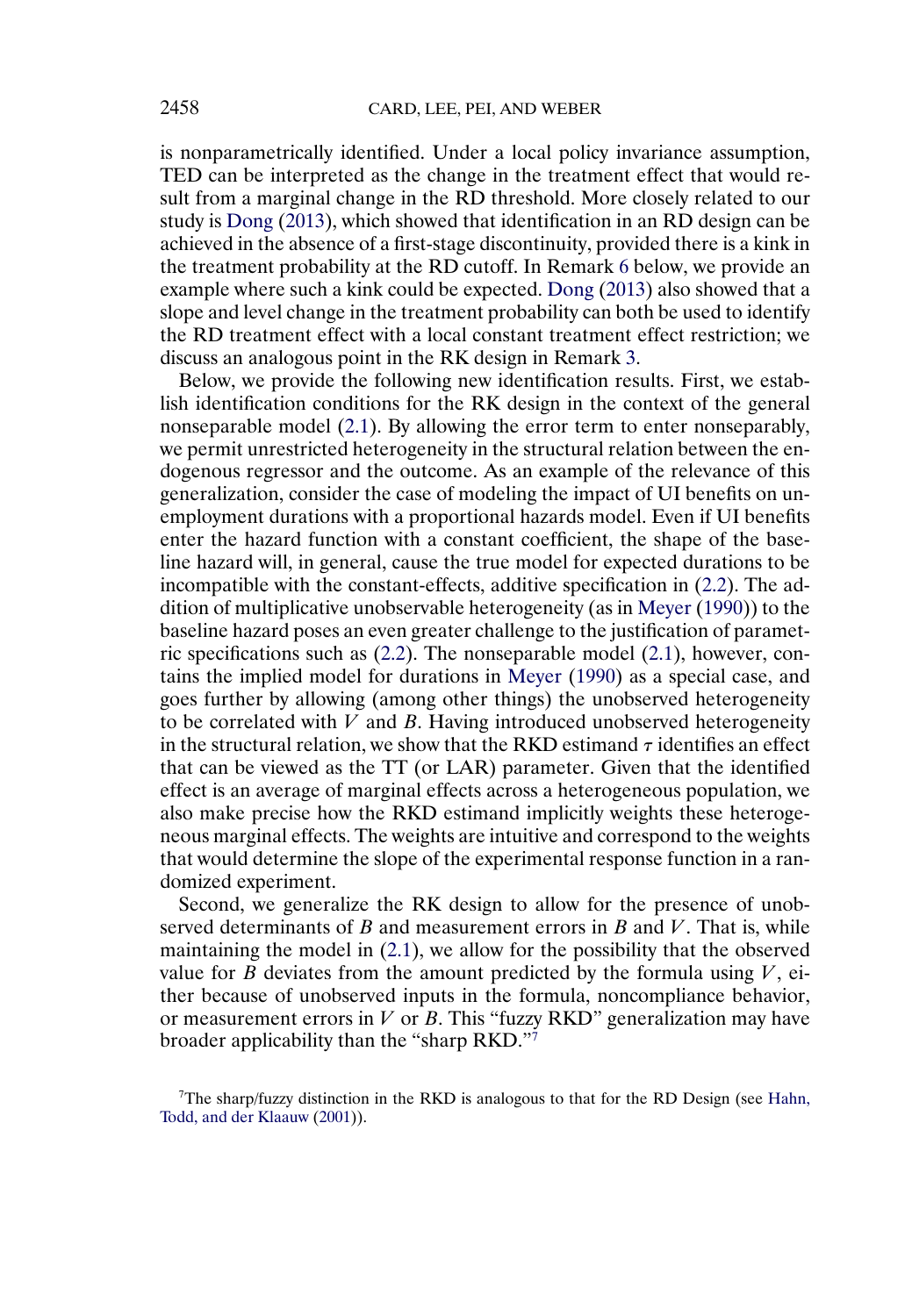<span id="page-5-0"></span>is nonparametrically identified. Under a local policy invariance assumption, TED can be interpreted as the change in the treatment effect that would result from a marginal change in the RD threshold. More closely related to our study is [Dong](#page-28-0) [\(2013\)](#page-28-0), which showed that identification in an RD design can be achieved in the absence of a first-stage discontinuity, provided there is a kink in the treatment probability at the RD cutoff. In Remark [6](#page-14-0) below, we provide an example where such a kink could be expected. [Dong](#page-28-0) [\(2013\)](#page-28-0) also showed that a slope and level change in the treatment probability can both be used to identify the RD treatment effect with a local constant treatment effect restriction; we discuss an analogous point in the RK design in Remark [3.](#page-10-0)

Below, we provide the following new identification results. First, we establish identification conditions for the RK design in the context of the general nonseparable model [\(2.1\)](#page-2-0). By allowing the error term to enter nonseparably, we permit unrestricted heterogeneity in the structural relation between the endogenous regressor and the outcome. As an example of the relevance of this generalization, consider the case of modeling the impact of UI benefits on unemployment durations with a proportional hazards model. Even if UI benefits enter the hazard function with a constant coefficient, the shape of the baseline hazard will, in general, cause the true model for expected durations to be incompatible with the constant-effects, additive specification in [\(2.2\)](#page-4-0). The addition of multiplicative unobservable heterogeneity (as in [Meyer](#page-29-0) [\(1990\)](#page-29-0)) to the baseline hazard poses an even greater challenge to the justification of parametric specifications such as [\(2.2\)](#page-4-0). The nonseparable model [\(2.1\)](#page-2-0), however, contains the implied model for durations in [Meyer](#page-29-0) [\(1990\)](#page-29-0) as a special case, and goes further by allowing (among other things) the unobserved heterogeneity to be correlated with  $V$  and  $B$ . Having introduced unobserved heterogeneity in the structural relation, we show that the RKD estimand  $\tau$  identifies an effect that can be viewed as the TT (or LAR) parameter. Given that the identified effect is an average of marginal effects across a heterogeneous population, we also make precise how the RKD estimand implicitly weights these heterogeneous marginal effects. The weights are intuitive and correspond to the weights that would determine the slope of the experimental response function in a randomized experiment.

Second, we generalize the RK design to allow for the presence of unobserved determinants of  $B$  and measurement errors in  $B$  and  $V$ . That is, while maintaining the model in [\(2.1\)](#page-2-0), we allow for the possibility that the observed value for B deviates from the amount predicted by the formula using  $V$ , either because of unobserved inputs in the formula, noncompliance behavior, or measurement errors in  $V$  or  $B$ . This "fuzzy RKD" generalization may have broader applicability than the "sharp RKD."7

 $7$ The sharp/fuzzy distinction in the RKD is analogous to that for the RD Design (see [Hahn,](#page-29-0) [Todd, and der Klaauw](#page-29-0) [\(2001\)](#page-29-0)).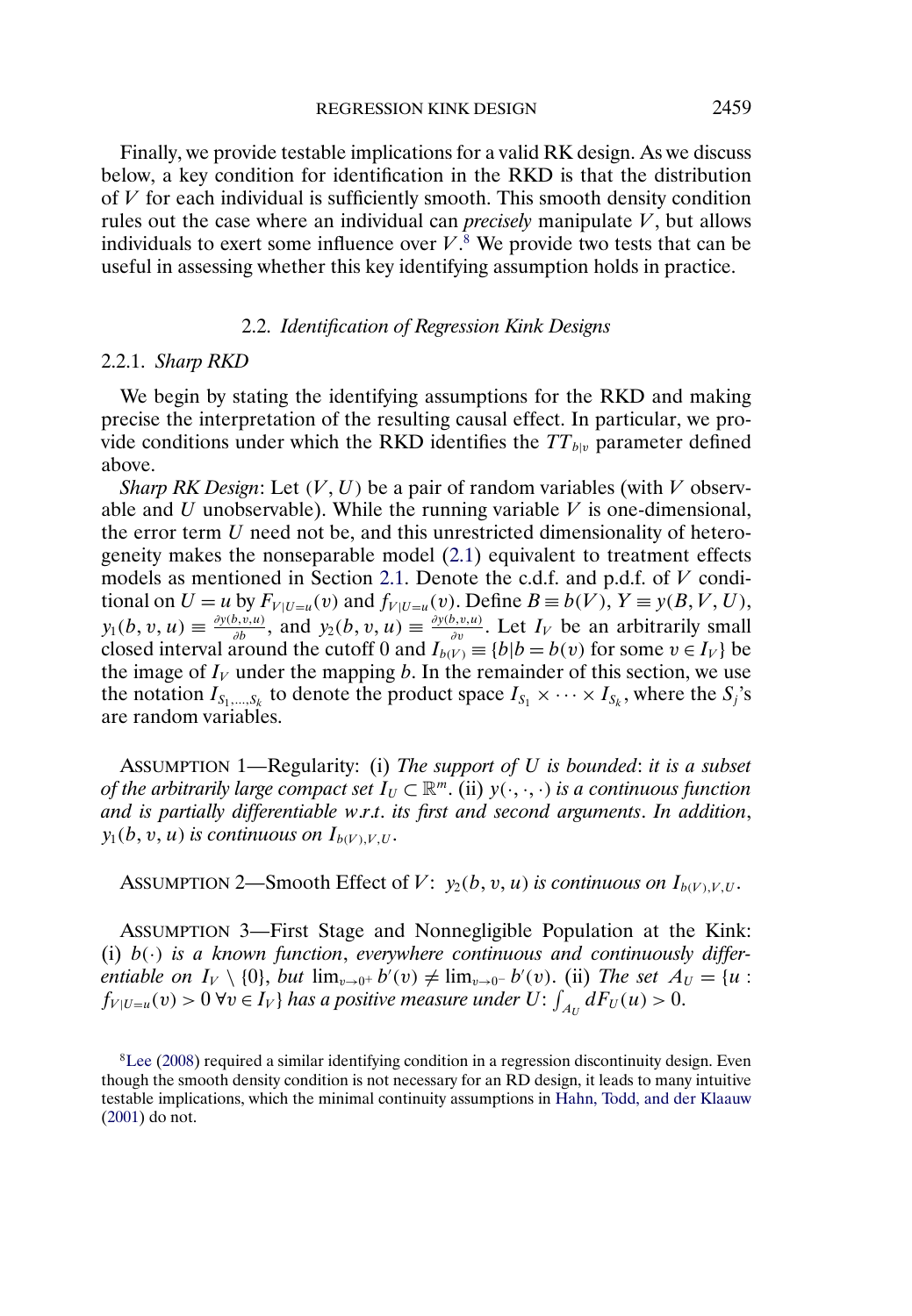<span id="page-6-0"></span>Finally, we provide testable implications for a valid RK design. As we discuss below, a key condition for identification in the RKD is that the distribution of  $V$  for each individual is sufficiently smooth. This smooth density condition rules out the case where an individual can *precisely* manipulate V , but allows individuals to exert some influence over  $V$ .<sup>8</sup> We provide two tests that can be useful in assessing whether this key identifying assumption holds in practice.

## 2.2. *Identification of Regression Kink Designs*

#### 2.2.1. *Sharp RKD*

We begin by stating the identifying assumptions for the RKD and making precise the interpretation of the resulting causal effect. In particular, we provide conditions under which the RKD identifies the  $TT_{b|v}$  parameter defined above.

*Sharp RK Design*: Let  $(V, U)$  be a pair of random variables (with V observable and U unobservable). While the running variable  $V$  is one-dimensional, the error term U need not be, and this unrestricted dimensionality of heterogeneity makes the nonseparable model [\(2.1\)](#page-2-0) equivalent to treatment effects models as mentioned in Section [2.1.](#page-2-0) Denote the c.d.f. and p.d.f. of V conditional on  $U = u$  by  $F_{V|U=u}(v)$  and  $f_{V|U=u}(v)$ . Define  $B \equiv b(V)$ ,  $Y \equiv y(B, V, U)$ ,  $y_1(b, v, u) \equiv \frac{\partial y(b, v, u)}{\partial b}$ , and  $y_2(b, v, u) \equiv \frac{\partial y(b, v, u)}{\partial v}$ . Let  $I_V$  be an arbitrarily small closed interval around the cutoff 0 and  $I_{b(V)} \equiv \{b|b = b(v) \text{ for some } v \in I_V\}$  be the image of  $I_V$  under the mapping b. In the remainder of this section, we use the notation  $I_{S_1,...,S_k}$  to denote the product space  $I_{S_1} \times \cdots \times I_{S_k}$ , where the  $S_j$ 's are random variables.

ASSUMPTION 1—Regularity: (i) *The support of* U *is bounded*: *it is a subset of the arbitrarily large compact set*  $I_U \subset \mathbb{R}^m$  (ii)  $y(\cdot, \cdot, \cdot)$  *is a continuous function and is partially differentiable w*.*r*.*t*. *its first and second arguments*. *In addition*,  $y_1(b,v,u)$  is continuous on  $I_{b(V),V,U}.$ 

ASSUMPTION 2—Smooth Effect of  $V: y_2(b,v,u)$  is continuous on  $I_{b(V),V,U}.$ 

ASSUMPTION 3—First Stage and Nonnegligible Population at the Kink: (i) b(·) *is a known function*, *everywhere continuous and continuously differentiable on*  $I_V \setminus \{0\}$ , *but*  $\lim_{v \to 0^+} b'(v) \neq \lim_{v \to 0^-} b'(v)$ . (ii) *The set*  $A_U = \{u :$  $f_{V|U=u}(v) > 0 \,\forall v \in I_V\}$  has a positive measure under  $U: \int_{A_U} dF_U(u) > 0$ .

 ${}^{8}$ Lee [\(2008\)](#page-29-0) required a similar identifying condition in a regression discontinuity design. Even though the smooth density condition is not necessary for an RD design, it leads to many intuitive testable implications, which the minimal continuity assumptions in [Hahn, Todd, and der Klaauw](#page-29-0) [\(2001\)](#page-29-0) do not.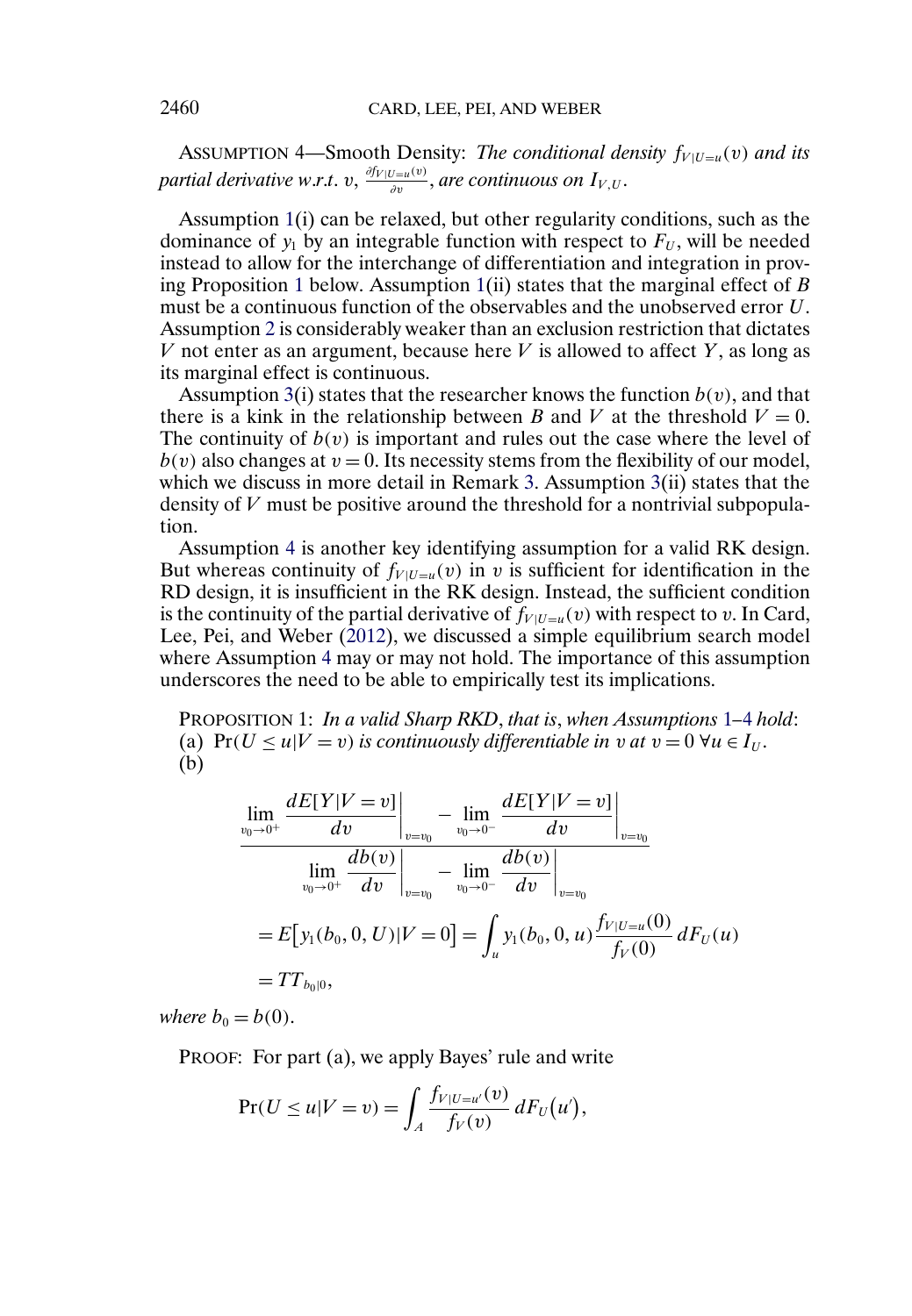<span id="page-7-0"></span>ASSUMPTION 4—Smooth Density: *The conditional density*  $f_{V|U=u}(v)$  *and its* partial derivative w.r.t. v,  $\frac{\partial f_V|_{U=u}(v)}{\partial v}$ , are continuous on  $I_{V,U}.$ 

Assumption [1\(](#page-6-0)i) can be relaxed, but other regularity conditions, such as the dominance of  $y_1$  by an integrable function with respect to  $F_U$ , will be needed instead to allow for the interchange of differentiation and integration in proving Proposition 1 below. Assumption  $1(ii)$  $1(ii)$  states that the marginal effect of B must be a continuous function of the observables and the unobserved error U. Assumption [2](#page-6-0) is considerably weaker than an exclusion restriction that dictates V not enter as an argument, because here V is allowed to affect  $Y$ , as long as its marginal effect is continuous.

Assumption [3\(](#page-6-0)i) states that the researcher knows the function  $b(v)$ , and that there is a kink in the relationship between B and V at the threshold  $V = 0$ . The continuity of  $b(v)$  is important and rules out the case where the level of  $b(v)$  also changes at  $v = 0$ . Its necessity stems from the flexibility of our model, which we discuss in more detail in Remark [3.](#page-10-0) Assumption [3\(](#page-6-0)ii) states that the density of  $V$  must be positive around the threshold for a nontrivial subpopulation.

Assumption 4 is another key identifying assumption for a valid RK design. But whereas continuity of  $f_{V | U=u}(v)$  in v is sufficient for identification in the RD design, it is insufficient in the RK design. Instead, the sufficient condition is the continuity of the partial derivative of  $f_{V|U=u}(v)$  with respect to v. In Card, Lee, Pei, and Weber [\(2012\)](#page-28-0), we discussed a simple equilibrium search model where Assumption 4 may or may not hold. The importance of this assumption underscores the need to be able to empirically test its implications.

PROPOSITION 1: *In a valid Sharp RKD*, *that is*, *when Assumptions* [1](#page-6-0)*–*4 *hold*: (a)  $Pr(U \le u | V = v)$  *is continuously differentiable in v at*  $v = 0 \ \forall u \in I_U$ . (b)

$$
\lim_{v_0 \to 0^+} \frac{dE[Y|V=v]}{dv} \bigg|_{v=v_0} - \lim_{v_0 \to 0^-} \frac{dE[Y|V=v]}{dv} \bigg|_{v=v_0}
$$
\n
$$
\lim_{v_0 \to 0^+} \frac{db(v)}{dv} \bigg|_{v=v_0} - \lim_{v_0 \to 0^-} \frac{db(v)}{dv} \bigg|_{v=v_0}
$$
\n
$$
= E[y_1(b_0, 0, U)|V = 0] = \int_u y_1(b_0, 0, u) \frac{f_{V|U=u}(0)}{f_V(0)} dF_U(u)
$$
\n
$$
= TT_{b_0|0},
$$

*where*  $b_0 = b(0)$ .

PROOF: For part (a), we apply Bayes' rule and write

$$
\Pr(U \le u | V = v) = \int_A \frac{f_{V|U=u'}(v)}{f_V(v)} dF_U(u'),
$$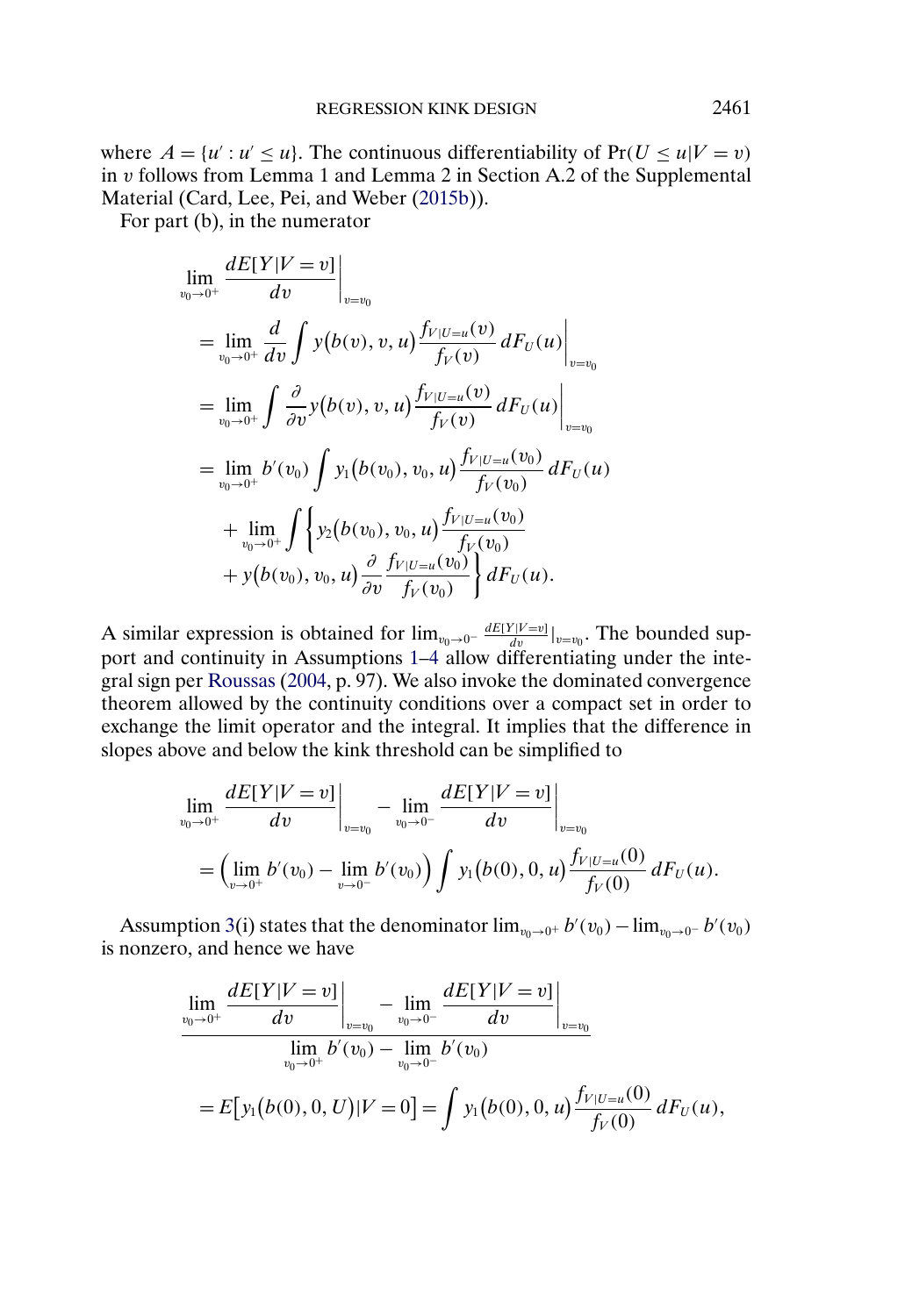<span id="page-8-0"></span>where  $A = \{u' : u' \leq u\}$ . The continuous differentiability of  $Pr(U \leq u | V = v)$ in v follows from Lemma 1 and Lemma 2 in Section A.2 of the Supplemental Material (Card, Lee, Pei, and Weber [\(2015b\)](#page-28-0)).

For part (b), in the numerator

$$
\lim_{v_0 \to 0^+} \frac{dE[Y|V=v]}{dv} \Big|_{v=v_0}
$$
\n
$$
= \lim_{v_0 \to 0^+} \frac{d}{dv} \int y(b(v), v, u) \frac{f_{V|U=u}(v)}{f_V(v)} dF_U(u) \Big|_{v=v_0}
$$
\n
$$
= \lim_{v_0 \to 0^+} \int \frac{\partial}{\partial v} y(b(v), v, u) \frac{f_{V|U=u}(v)}{f_V(v)} dF_U(u) \Big|_{v=v_0}
$$
\n
$$
= \lim_{v_0 \to 0^+} b'(v_0) \int y_1(b(v_0), v_0, u) \frac{f_{V|U=u}(v_0)}{f_V(v_0)} dF_U(u)
$$
\n
$$
+ \lim_{v_0 \to 0^+} \int \left\{ y_2(b(v_0), v_0, u) \frac{f_{V|U=u}(v_0)}{f_V(v_0)} \right\} dF_U(u).
$$

A similar expression is obtained for  $\lim_{v_0 \to 0^-} \frac{dE[Y|V=v_0]}{dv}$ . The bounded support and continuity in Assumptions [1–](#page-6-0)[4](#page-7-0) allow differentiating under the integral sign per [Roussas](#page-29-0) [\(2004,](#page-29-0) p. 97). We also invoke the dominated convergence theorem allowed by the continuity conditions over a compact set in order to exchange the limit operator and the integral. It implies that the difference in slopes above and below the kink threshold can be simplified to

$$
\lim_{v_0 \to 0^+} \frac{dE[Y|V=v]}{dv} \bigg|_{v=v_0} - \lim_{v_0 \to 0^-} \frac{dE[Y|V=v]}{dv} \bigg|_{v=v_0}
$$
\n
$$
= \left(\lim_{v \to 0^+} b'(v_0) - \lim_{v \to 0^-} b'(v_0) \right) \int y_1(b(0), 0, u) \frac{f_{V|U=u}(0)}{f_V(0)} dF_U(u).
$$

Assumption [3\(](#page-6-0)i) states that the denominator  $\lim_{v_0 \to 0^+} b'(v_0) - \lim_{v_0 \to 0^-} b'(v_0)$ is nonzero, and hence we have

$$
\lim_{v_0 \to 0^+} \frac{dE[Y|V=v]}{dv} \bigg|_{v=v_0} - \lim_{v_0 \to 0^-} \frac{dE[Y|V=v]}{dv} \bigg|_{v=v_0}
$$
\n
$$
\lim_{v_0 \to 0^+} b'(v_0) - \lim_{v_0 \to 0^-} b'(v_0)
$$
\n
$$
= E[y_1(b(0), 0, U)|V=0] = \int y_1(b(0), 0, u) \frac{f_{V|U=u}(0)}{f_V(0)} dF_U(u),
$$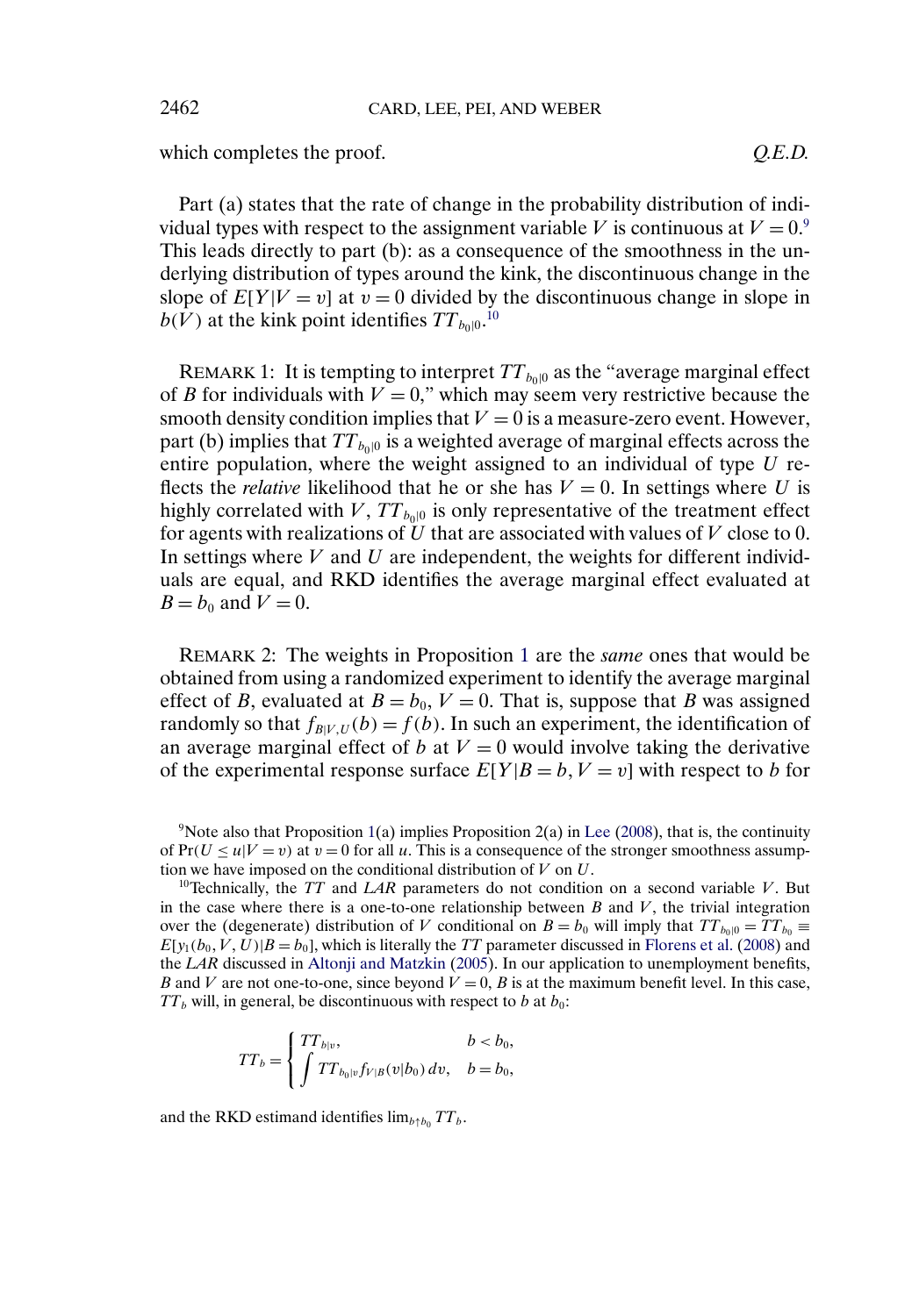which completes the proof.  $Q.E.D.$ 

Part (a) states that the rate of change in the probability distribution of individual types with respect to the assignment variable V is continuous at  $V = 0$ .<sup>9</sup> This leads directly to part (b): as a consequence of the smoothness in the underlying distribution of types around the kink, the discontinuous change in the slope of  $E[Y|V = v]$  at  $v = 0$  divided by the discontinuous change in slope in  $b(V)$  at the kink point identifies  $TT_{b_0|0}.^{10}$ 

REMARK 1: It is tempting to interpret  $TT_{b_0|0}$  as the "average marginal effect of B for individuals with  $V = 0$ ," which may seem very restrictive because the smooth density condition implies that  $V = 0$  is a measure-zero event. However, part (b) implies that  $TT_{b_0|0}$  is a weighted average of marginal effects across the entire population, where the weight assigned to an individual of type  $U$  reflects the *relative* likelihood that he or she has  $V = 0$ . In settings where U is highly correlated with  $V$ ,  $TT_{b0|0}$  is only representative of the treatment effect for agents with realizations of  $U$  that are associated with values of  $V$  close to 0. In settings where  $V$  and  $U$  are independent, the weights for different individuals are equal, and RKD identifies the average marginal effect evaluated at  $B = b_0$  and  $V = 0$ .

REMARK 2: The weights in Proposition [1](#page-7-0) are the *same* ones that would be obtained from using a randomized experiment to identify the average marginal effect of B, evaluated at  $B = b_0$ ,  $V = 0$ . That is, suppose that B was assigned randomly so that  $f_{B|V,U}(b) = f(b)$ . In such an experiment, the identification of an average marginal effect of b at  $V = 0$  would involve taking the derivative of the experimental response surface  $E[Y|B = b, V = v]$  with respect to b for

<sup>9</sup>Note also that Proposition [1\(](#page-7-0)a) implies Proposition 2(a) in [Lee](#page-29-0) [\(2008\)](#page-29-0), that is, the continuity of  $Pr(U \le u | V = v)$  at  $v = 0$  for all u. This is a consequence of the stronger smoothness assumption we have imposed on the conditional distribution of  $V$  on  $U$ .

<sup>10</sup>Technically, the *TT* and *LAR* parameters do not condition on a second variable  $V$ . But in the case where there is a one-to-one relationship between  $B$  and  $V$ , the trivial integration over the (degenerate) distribution of V conditional on  $B = b_0$  will imply that  $TT_{b_0|0} = TT_{b_0}$  $E[y_1(b_0, V, U)|B = b_0]$ , which is literally the *TT* parameter discussed in [Florens et al.](#page-28-0) [\(2008\)](#page-28-0) and the *LAR* discussed in [Altonji and Matzkin](#page-28-0) [\(2005\)](#page-28-0). In our application to unemployment benefits, B and V are not one-to-one, since beyond  $V = 0$ , B is at the maximum benefit level. In this case,  $TT_b$  will, in general, be discontinuous with respect to b at  $b_0$ :

$$
TT_b = \begin{cases} TT_{b|v}, & b < b_0, \\ \int TT_{b_0|v} f_{V|B}(v|b_0) dv, & b = b_0, \end{cases}
$$

and the RKD estimand identifies  $\lim_{b \uparrow b_0} TT_b$ .

<span id="page-9-0"></span>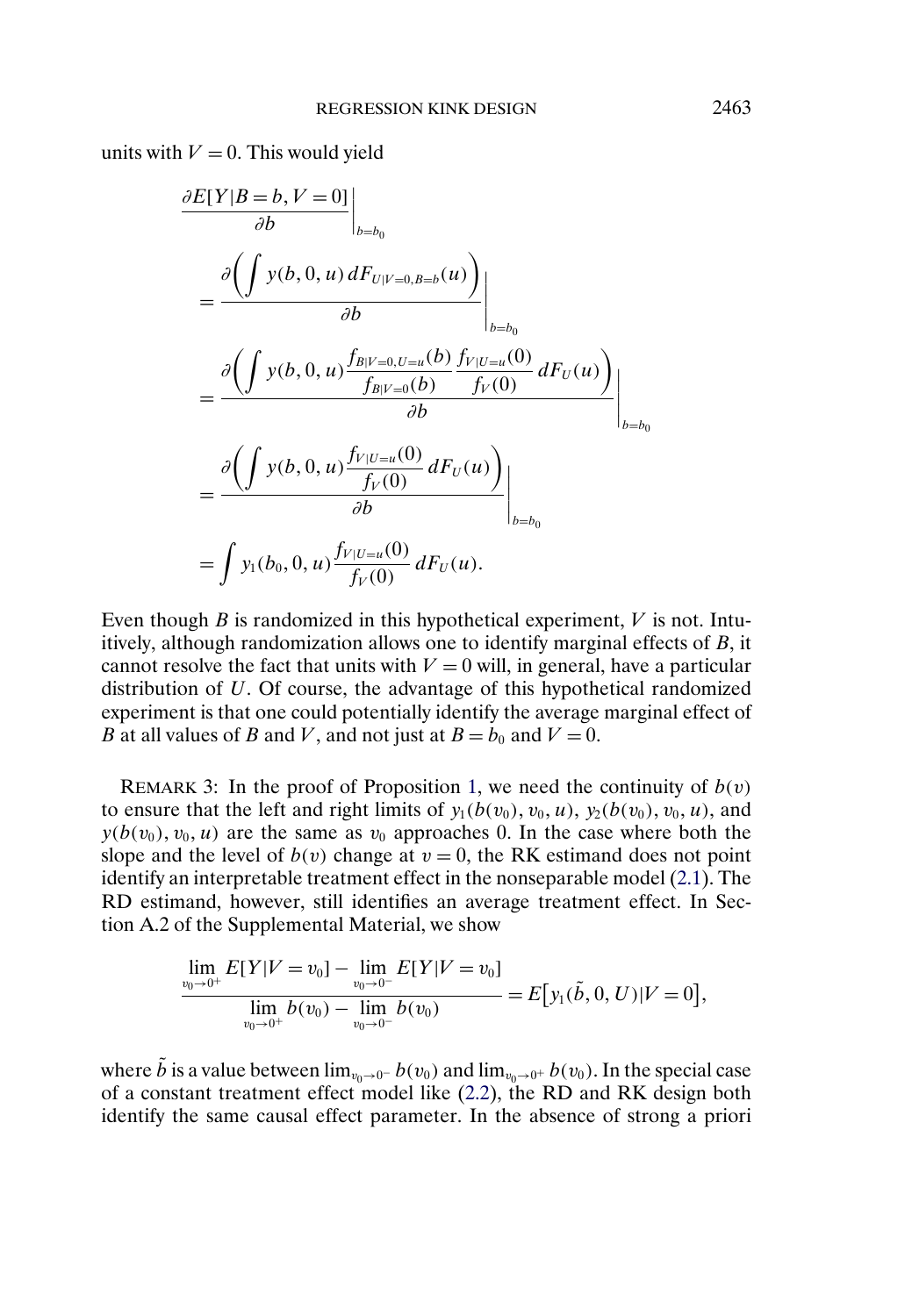<span id="page-10-0"></span>units with  $V = 0$ . This would yield

$$
\frac{\partial E[Y|B=b, V=0]}{\partial b}\Big|_{b=b_0}
$$
\n
$$
=\frac{\partial \left(\int y(b, 0, u) dF_{U|V=0, B=b}(u)\right)}{\partial b}\Big|_{b=b_0}
$$
\n
$$
=\frac{\partial \left(\int y(b, 0, u) \frac{f_{B|V=0, U=u}(b)}{f_{B|V=0}(b)} \frac{f_{V|U=u}(0)}{f_V(0)} dF_U(u)\right)}{\partial b}\Big|_{b=b_0}
$$
\n
$$
=\frac{\partial \left(\int y(b, 0, u) \frac{f_{V|U=u}(0)}{f_V(0)} dF_U(u)\right)}{\partial b}\Big|_{b=b_0}
$$
\n
$$
=\int y_1(b_0, 0, u) \frac{f_{V|U=u}(0)}{f_V(0)} dF_U(u).
$$

Even though  $B$  is randomized in this hypothetical experiment,  $V$  is not. Intuitively, although randomization allows one to identify marginal effects of B, it cannot resolve the fact that units with  $V = 0$  will, in general, have a particular distribution of U. Of course, the advantage of this hypothetical randomized experiment is that one could potentially identify the average marginal effect of B at all values of B and V, and not just at  $B = b_0$  and  $V = 0$ .

REMARK 3: In the proof of Proposition [1,](#page-7-0) we need the continuity of  $b(v)$ to ensure that the left and right limits of  $y_1(b(v_0), v_0, u)$ ,  $y_2(b(v_0), v_0, u)$ , and  $y(b(v_0), v_0, u)$  are the same as  $v_0$  approaches 0. In the case where both the slope and the level of  $b(v)$  change at  $v = 0$ , the RK estimand does not point identify an interpretable treatment effect in the nonseparable model [\(2.1\)](#page-2-0). The RD estimand, however, still identifies an average treatment effect. In Section A.2 of the Supplemental Material, we show

$$
\frac{\lim_{v_0 \to 0^+} E[Y|V = v_0] - \lim_{v_0 \to 0^-} E[Y|V = v_0]}{\lim_{v_0 \to 0^+} b(v_0) - \lim_{v_0 \to 0^-} b(v_0)} = E[y_1(\tilde{b}, 0, U)|V = 0],
$$

where  $\tilde{b}$  is a value between  $\lim_{v_0\to 0^-} b(v_0)$  and  $\lim_{v_0\to 0^+} b(v_0)$ . In the special case of a constant treatment effect model like [\(2.2\)](#page-4-0), the RD and RK design both identify the same causal effect parameter. In the absence of strong a priori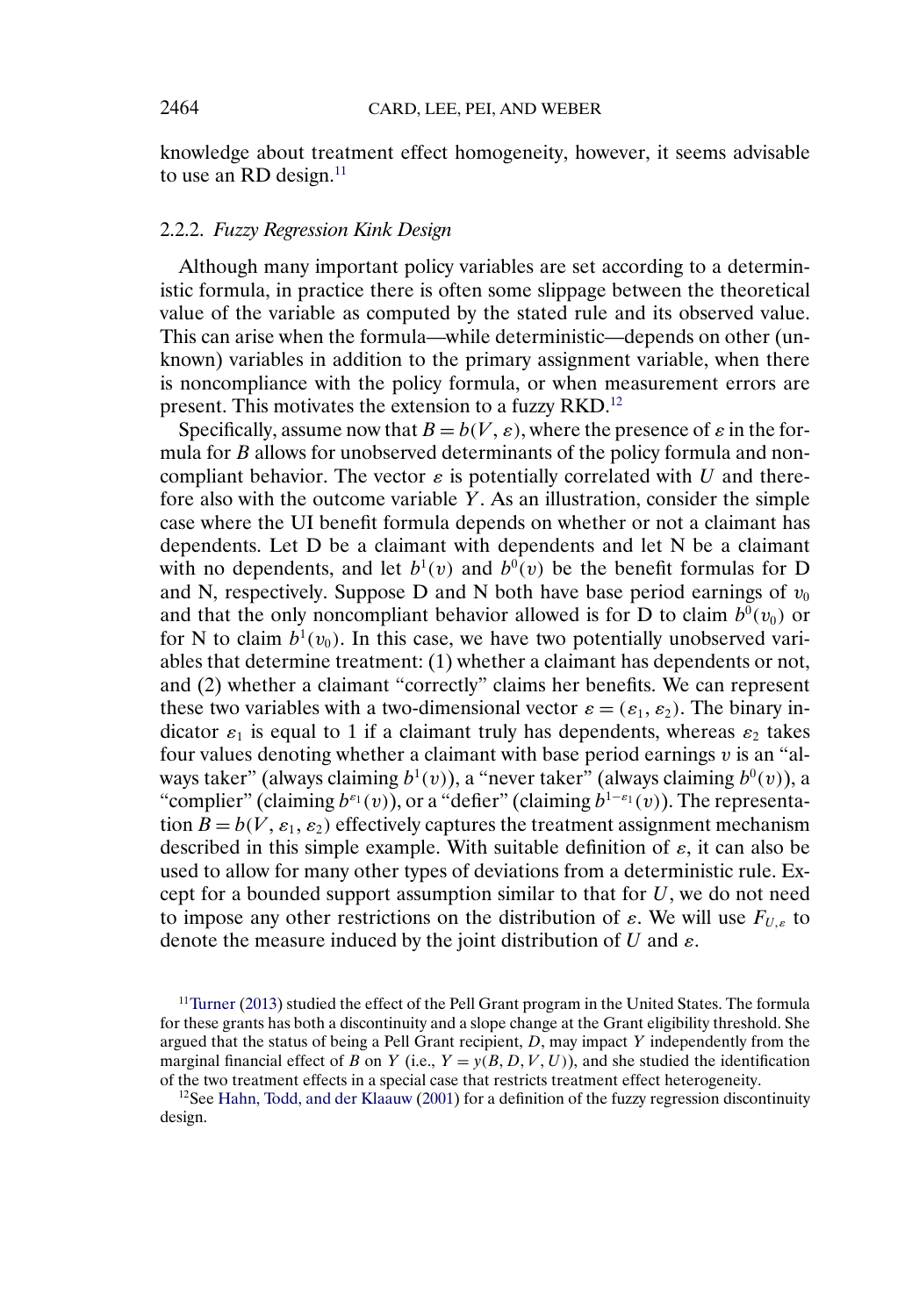<span id="page-11-0"></span>knowledge about treatment effect homogeneity, however, it seems advisable to use an RD design. $^{11}$ 

# 2.2.2. *Fuzzy Regression Kink Design*

Although many important policy variables are set according to a deterministic formula, in practice there is often some slippage between the theoretical value of the variable as computed by the stated rule and its observed value. This can arise when the formula—while deterministic—depends on other (unknown) variables in addition to the primary assignment variable, when there is noncompliance with the policy formula, or when measurement errors are present. This motivates the extension to a fuzzy RKD.12

Specifically, assume now that  $B = b(V, \varepsilon)$ , where the presence of  $\varepsilon$  in the formula for B allows for unobserved determinants of the policy formula and noncompliant behavior. The vector  $\varepsilon$  is potentially correlated with U and therefore also with the outcome variable Y. As an illustration, consider the simple case where the UI benefit formula depends on whether or not a claimant has dependents. Let D be a claimant with dependents and let N be a claimant with no dependents, and let  $b^1(v)$  and  $b^0(v)$  be the benefit formulas for D and N, respectively. Suppose D and N both have base period earnings of  $v_0$ and that the only noncompliant behavior allowed is for D to claim  $b^0(v_0)$  or for N to claim  $b^1(v_0)$ . In this case, we have two potentially unobserved variables that determine treatment: (1) whether a claimant has dependents or not, and (2) whether a claimant "correctly" claims her benefits. We can represent these two variables with a two-dimensional vector  $\varepsilon = (\varepsilon_1, \varepsilon_2)$ . The binary indicator  $\varepsilon_1$  is equal to 1 if a claimant truly has dependents, whereas  $\varepsilon_2$  takes four values denoting whether a claimant with base period earnings  $v$  is an "always taker" (always claiming  $b^1(v)$ ), a "never taker" (always claiming  $b^0(v)$ ), a "complier" (claiming  $b^{\epsilon_1}(v)$ ), or a "defier" (claiming  $b^{1-\epsilon_1}(v)$ ). The representation  $B = b(V, \varepsilon_1, \varepsilon_2)$  effectively captures the treatment assignment mechanism described in this simple example. With suitable definition of  $\varepsilon$ , it can also be used to allow for many other types of deviations from a deterministic rule. Except for a bounded support assumption similar to that for  $U$ , we do not need to impose any other restrictions on the distribution of  $\varepsilon$ . We will use  $F_{U,\varepsilon}$  to denote the measure induced by the joint distribution of U and  $\varepsilon$ .

 $11$ Turner [\(2013\)](#page-29-0) studied the effect of the Pell Grant program in the United States. The formula for these grants has both a discontinuity and a slope change at the Grant eligibility threshold. She argued that the status of being a Pell Grant recipient,  $D$ , may impact  $Y$  independently from the marginal financial effect of B on Y (i.e.,  $Y = y(B, D, V, U)$ ), and she studied the identification of the two treatment effects in a special case that restricts treatment effect heterogeneity.

 $12$ See [Hahn, Todd, and der Klaauw](#page-29-0) [\(2001\)](#page-29-0) for a definition of the fuzzy regression discontinuity design.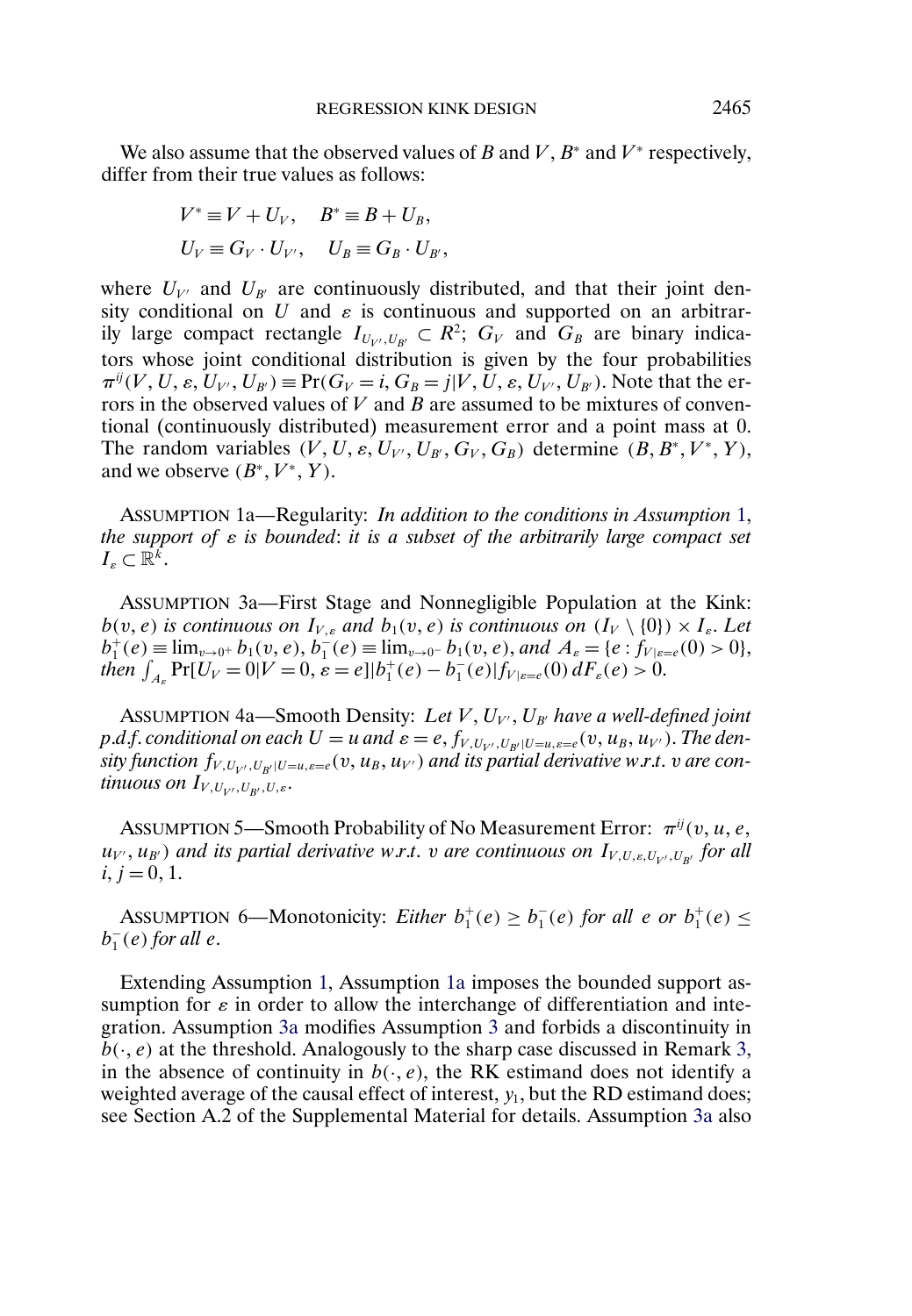<span id="page-12-0"></span>We also assume that the observed values of B and V,  $B^*$  and  $V^*$  respectively, differ from their true values as follows:

$$
V^* \equiv V + U_V, \quad B^* \equiv B + U_B,
$$
  

$$
U_V \equiv G_V \cdot U_{V'}, \quad U_B \equiv G_B \cdot U_{B'},
$$

where  $U_{V'}$  and  $U_{B'}$  are continuously distributed, and that their joint density conditional on U and  $\varepsilon$  is continuous and supported on an arbitrarily large compact rectangle  $I_{U_{V'}, U_{B'}} \subset R^2$ ;  $G_V$  and  $G_B$  are binary indicators whose joint conditional distribution is given by the four probabilities  $\pi^{ij}(V, U, \varepsilon, U_{V'}, U_{B'}) \equiv Pr(G_V = i, G_B = j | V, U, \varepsilon, U_{V'}, U_{B'})$ . Note that the errors in the observed values of  $V$  and  $B$  are assumed to be mixtures of conventional (continuously distributed) measurement error and a point mass at 0. The random variables  $(V, U, \varepsilon, U_{V'}, U_{B'}, G_V, G_B)$  determine  $(B, B^*, V^*, Y),$ and we observe  $(B^*, V^*, Y)$ .

ASSUMPTION 1a—Regularity: *In addition to the conditions in Assumption* [1,](#page-6-0) *the support of* ε *is bounded*: *it is a subset of the arbitrarily large compact set*  $I_{\varepsilon} \subset \mathbb{R}^k$ .

ASSUMPTION 3a—First Stage and Nonnegligible Population at the Kink:  $b(v, e)$  *is continuous on*  $I_{V, \varepsilon}$  and  $b_1(v, e)$  *is continuous on*  $(I_V \setminus \{0\}) \times I_{\varepsilon}$ . Let  $b_1^+(e) \equiv \lim_{v \to 0^+} b_1(v, e), b_1^-(e) \equiv \lim_{v \to 0^-} b_1(v, e),$  and  $A_e = \{e : f_{V|e=e}(0) > 0\},$ *then*  $\int_{A_{\varepsilon}} \Pr[U_V = 0 | V = 0, \varepsilon = e] |b_1^+(e) - b_1^-(e)| f_{V | \varepsilon = e}(0) dF_{\varepsilon}(e) > 0.$ 

Assumption 4a—Smooth Density: Let V, U<sub>V</sub>, U<sub>B'</sub> have a well-defined joint *p*.*d.f. conditional on each*  $U = u$  *and*  $\varepsilon = e$ ,  $f_{V, U_{V}, U_{B'} | U = u, \varepsilon = e}(v, u_B, u_{V'})$ . The density function  $f_{V,U_{V'},U_{B'}|U=u,\varepsilon=e}(v,u_B,u_{V'})$  and its partial derivative w.r.t.  $v$  are continuous on  $I_{V,U_{V'},U_{B'},U,\varepsilon}.$ 

ASSUMPTION 5—Smooth Probability of No Measurement Error:  $\pi^{ij}(v, u, e,$  $u_{V'}$ ,  $u_{B'}$ ) and its partial derivative w.r.t. v are continuous on  $I_{V,U,\varepsilon,U_{V'},U_{B'}}$  for all  $i, j = 0, 1.$ 

ASSUMPTION 6—Monotonicity: *Either*  $b_1^+(e) \geq b_1^-(e)$  *for all e or*  $b_1^+(e) \leq$  $b_1^-(e)$  *for all e.* 

Extending Assumption [1,](#page-6-0) Assumption 1a imposes the bounded support assumption for  $\varepsilon$  in order to allow the interchange of differentiation and integration. Assumption 3a modifies Assumption [3](#page-6-0) and forbids a discontinuity in  $b(\cdot, e)$  at the threshold. Analogously to the sharp case discussed in Remark [3,](#page-10-0) in the absence of continuity in  $b(·, e)$ , the RK estimand does not identify a weighted average of the causal effect of interest,  $y_1$ , but the RD estimand does; see Section A.2 of the Supplemental Material for details. Assumption 3a also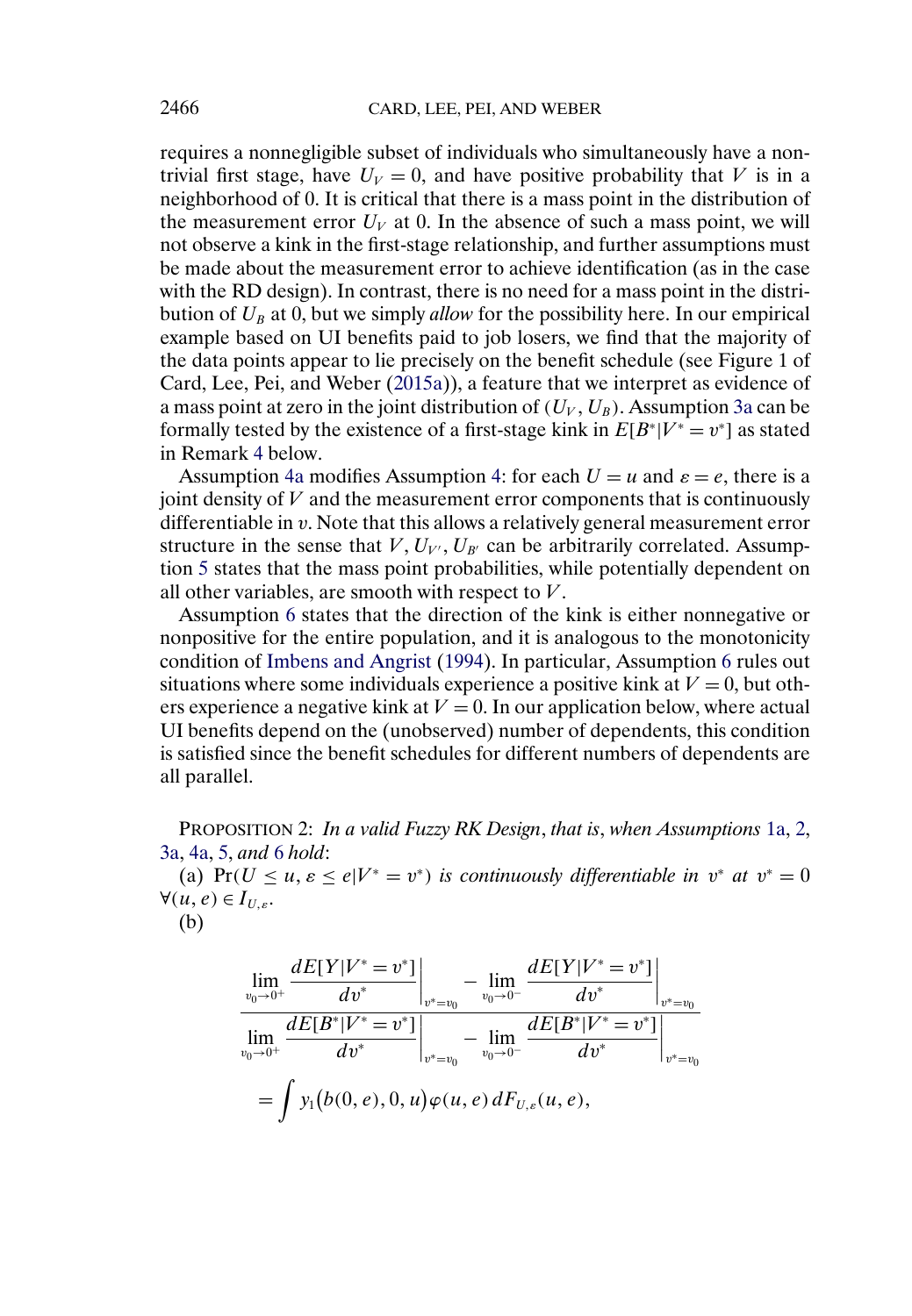<span id="page-13-0"></span>requires a nonnegligible subset of individuals who simultaneously have a nontrivial first stage, have  $U_V = 0$ , and have positive probability that V is in a neighborhood of 0. It is critical that there is a mass point in the distribution of the measurement error  $U_V$  at 0. In the absence of such a mass point, we will not observe a kink in the first-stage relationship, and further assumptions must be made about the measurement error to achieve identification (as in the case with the RD design). In contrast, there is no need for a mass point in the distribution of  $U_B$  at 0, but we simply *allow* for the possibility here. In our empirical example based on UI benefits paid to job losers, we find that the majority of the data points appear to lie precisely on the benefit schedule (see Figure 1 of Card, Lee, Pei, and Weber [\(2015a\)](#page-28-0)), a feature that we interpret as evidence of a mass point at zero in the joint distribution of  $(U_V,U_B)$ . Assumption [3a](#page-12-0) can be formally tested by the existence of a first-stage kink in  $E[B^*|V^* = v^*]$  as stated in Remark [4](#page-14-0) below.

Assumption [4a](#page-12-0) modifies Assumption [4:](#page-7-0) for each  $U = u$  and  $\varepsilon = e$ , there is a joint density of  $V$  and the measurement error components that is continuously differentiable in v. Note that this allows a relatively general measurement error structure in the sense that  $V, U_{V'}, U_{B'}$  can be arbitrarily correlated. Assumption [5](#page-12-0) states that the mass point probabilities, while potentially dependent on all other variables, are smooth with respect to  $V$ .

Assumption [6](#page-12-0) states that the direction of the kink is either nonnegative or nonpositive for the entire population, and it is analogous to the monotonicity condition of [Imbens and Angrist](#page-29-0) [\(1994\)](#page-29-0). In particular, Assumption [6](#page-12-0) rules out situations where some individuals experience a positive kink at  $V = 0$ , but others experience a negative kink at  $V = 0$ . In our application below, where actual UI benefits depend on the (unobserved) number of dependents, this condition is satisfied since the benefit schedules for different numbers of dependents are all parallel.

PROPOSITION 2: *In a valid Fuzzy RK Design*, *that is*, *when Assumptions* [1a,](#page-12-0) [2,](#page-6-0) [3a,](#page-12-0) [4a,](#page-12-0) [5,](#page-12-0) *and* [6](#page-12-0) *hold*:

(a) Pr( $U \le u, \varepsilon \le e|V^* = v^*$ ) *is continuously differentiable in*  $v^*$  *at*  $v^* = 0$  $\forall (u, e) \in I_{U, \varepsilon}.$ 

(b)

$$
\lim_{\substack{v_0 \to 0^+}} \frac{dE[Y|V^* = v^*]}{dv^*} \Big|_{v^* = v_0} - \lim_{v_0 \to 0^-} \frac{dE[Y|V^* = v^*]}{dv^*} \Big|_{v^* = v_0}
$$
\n
$$
\lim_{v_0 \to 0^+} \frac{dE[B^*|V^* = v^*]}{dv^*} \Big|_{v^* = v_0} - \lim_{v_0 \to 0^-} \frac{dE[B^*|V^* = v^*]}{dv^*} \Big|_{v^* = v_0}
$$
\n
$$
= \int y_1(b(0, e), 0, u) \varphi(u, e) dF_{U, \varepsilon}(u, e),
$$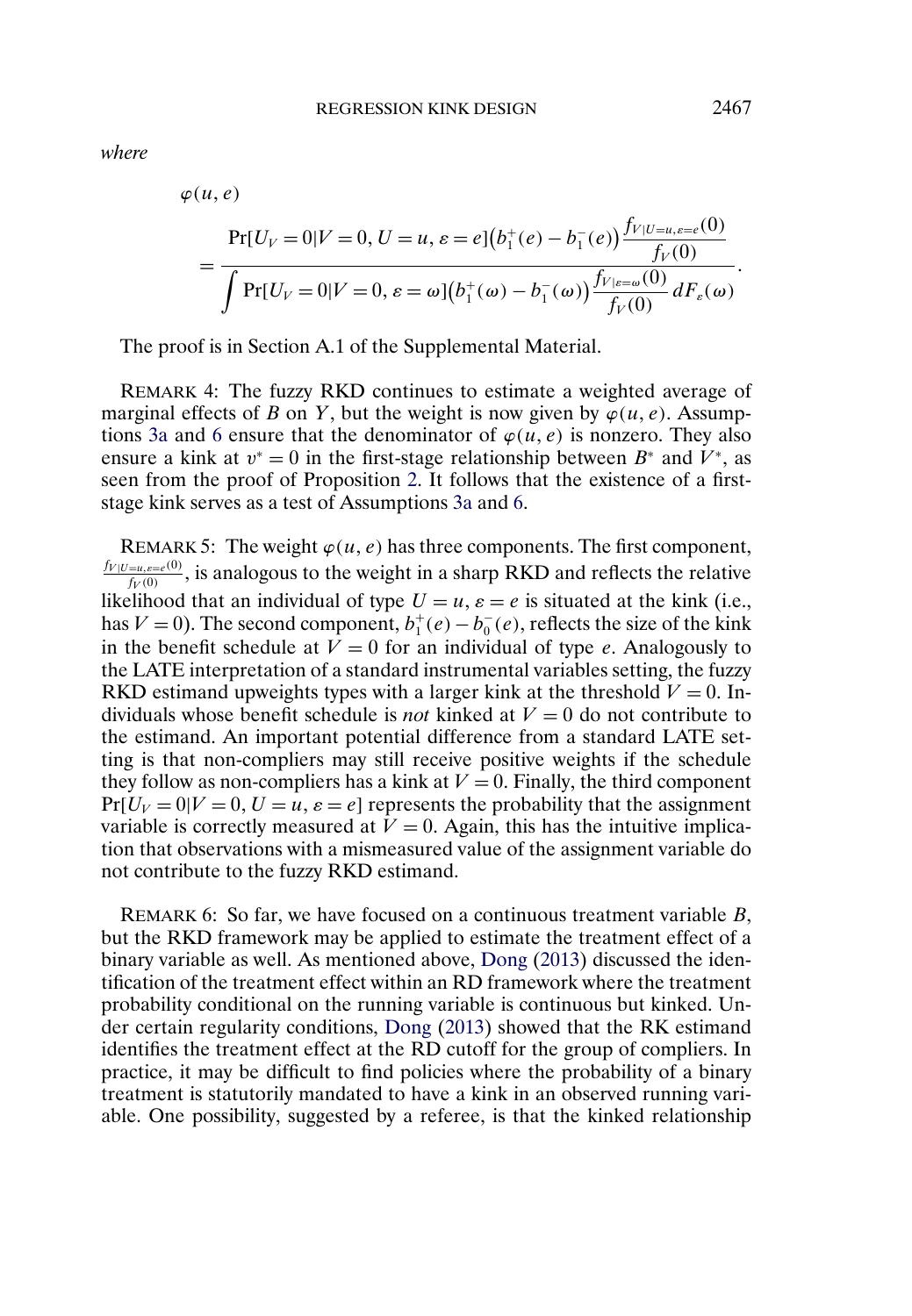<span id="page-14-0"></span>*where*

$$
\varphi(u, e) \n= \frac{\Pr[U_V = 0 | V = 0, U = u, \varepsilon = e] (b_1^+(e) - b_1^-(e)) \frac{f_{V|U=u, \varepsilon = e}(0)}{f_V(0)}}{\int \Pr[U_V = 0 | V = 0, \varepsilon = \omega] (b_1^+(\omega) - b_1^-(\omega)) \frac{f_{V|\varepsilon = \omega}(0)}{f_V(0)} dF_{\varepsilon}(\omega)}.
$$

The proof is in Section A.1 of the Supplemental Material.

REMARK 4: The fuzzy RKD continues to estimate a weighted average of marginal effects of B on Y, but the weight is now given by  $\varphi(u, e)$ . Assump-tions [3a](#page-12-0) and [6](#page-12-0) ensure that the denominator of  $\varphi(u, e)$  is nonzero. They also ensure a kink at  $v^* = 0$  in the first-stage relationship between  $B^*$  and  $V^*$ , as seen from the proof of Proposition [2.](#page-13-0) It follows that the existence of a firststage kink serves as a test of Assumptions [3a](#page-12-0) and [6.](#page-12-0)

REMARK 5: The weight  $\varphi(u, e)$  has three components. The first component,  $\frac{f_{V|U=u, e=e(0)}}{f_V(0)}$ , is analogous to the weight in a sharp RKD and reflects the relative likelihood that an individual of type  $U = u$ ,  $\varepsilon = e$  is situated at the kink (i.e., has  $V = 0$ ). The second component,  $b_1^+(e) - b_0^-(e)$ , reflects the size of the kink in the benefit schedule at  $V = 0$  for an individual of type e. Analogously to the LATE interpretation of a standard instrumental variables setting, the fuzzy RKD estimand upweights types with a larger kink at the threshold  $V = 0$ . Individuals whose benefit schedule is *not* kinked at  $V = 0$  do not contribute to the estimand. An important potential difference from a standard LATE setting is that non-compliers may still receive positive weights if the schedule they follow as non-compliers has a kink at  $V = 0$ . Finally, the third component  $Pr[U_V = 0|V = 0, U = u, \varepsilon = e]$  represents the probability that the assignment variable is correctly measured at  $V = 0$ . Again, this has the intuitive implication that observations with a mismeasured value of the assignment variable do not contribute to the fuzzy RKD estimand.

REMARK 6: So far, we have focused on a continuous treatment variable B, but the RKD framework may be applied to estimate the treatment effect of a binary variable as well. As mentioned above, [Dong](#page-28-0) [\(2013\)](#page-28-0) discussed the identification of the treatment effect within an RD framework where the treatment probability conditional on the running variable is continuous but kinked. Under certain regularity conditions, [Dong](#page-28-0) [\(2013\)](#page-28-0) showed that the RK estimand identifies the treatment effect at the RD cutoff for the group of compliers. In practice, it may be difficult to find policies where the probability of a binary treatment is statutorily mandated to have a kink in an observed running variable. One possibility, suggested by a referee, is that the kinked relationship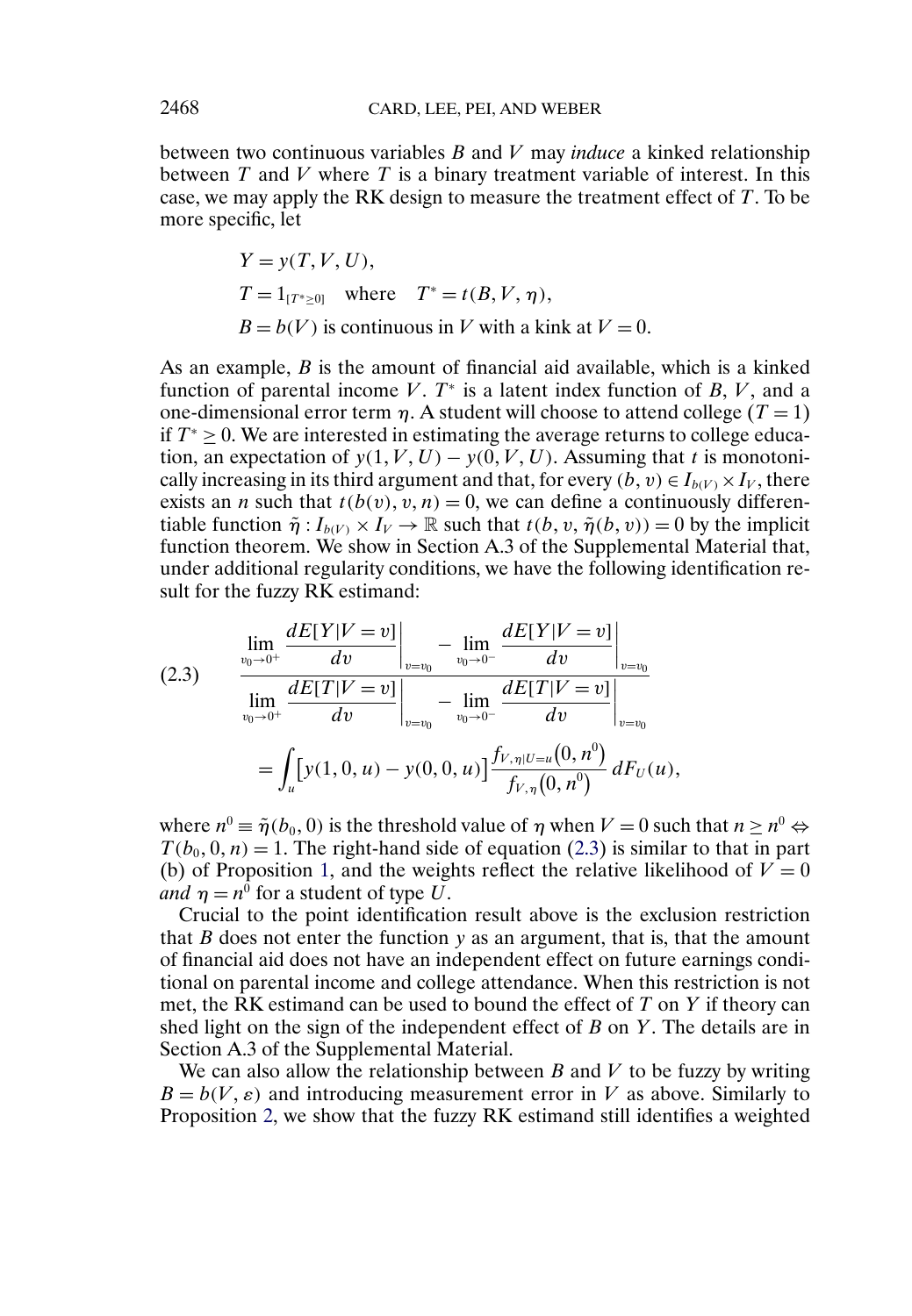between two continuous variables B and V may *induce* a kinked relationship between  $T$  and  $V$  where  $T$  is a binary treatment variable of interest. In this case, we may apply the RK design to measure the treatment effect of T. To be more specific, let

$$
Y = y(T, V, U),
$$
  
\n
$$
T = 1_{[T^* \ge 0]} \text{ where } T^* = t(B, V, \eta),
$$
  
\n
$$
B = b(V) \text{ is continuous in } V \text{ with a kink at } V = 0.
$$

As an example,  $B$  is the amount of financial aid available, which is a kinked function of parental income V.  $T^*$  is a latent index function of B, V, and a one-dimensional error term  $\eta$ . A student will choose to attend college (T = 1) if  $T^* > 0$ . We are interested in estimating the average returns to college education, an expectation of  $y(1, V, U) - y(0, V, U)$ . Assuming that t is monotonically increasing in its third argument and that, for every  $(b, v) \in I_{b(V)} \times I_V$ , there exists an *n* such that  $t(b(v), v, n) = 0$ , we can define a continuously differentiable function  $\tilde{\eta}: I_{b(V)} \times I_V \to \mathbb{R}$  such that  $t(b, v, \tilde{\eta}(b, v)) = 0$  by the implicit function theorem. We show in Section A.3 of the Supplemental Material that, under additional regularity conditions, we have the following identification result for the fuzzy RK estimand:

$$
(2.3) \qquad \lim_{\substack{v_0 \to 0^+ \\ v_0 \to 0^+}} \frac{dE[Y|V=v]}{dv} \bigg|_{v=v_0} - \lim_{\substack{v_0 \to 0^- \\ v_0 \to 0^-}} \frac{dE[Y|V=v]}{dv} \bigg|_{v=v_0}
$$
\n
$$
= \int_u [y(1,0,u) - y(0,0,u)] \frac{f_{V,\eta|U=u}(0,n^0)}{f_{V,\eta}(0,n^0)} dF_U(u),
$$

where  $n^0 \equiv \tilde{\eta}(b_0, 0)$  is the threshold value of  $\eta$  when  $V = 0$  such that  $n \geq n^0 \Leftrightarrow$  $T(b_0, 0, n) = 1$ . The right-hand side of equation (2.3) is similar to that in part (b) of Proposition [1,](#page-7-0) and the weights reflect the relative likelihood of  $V = 0$ *and*  $\eta = n^0$  for a student of type U.

Crucial to the point identification result above is the exclusion restriction that  $B$  does not enter the function  $y$  as an argument, that is, that the amount of financial aid does not have an independent effect on future earnings conditional on parental income and college attendance. When this restriction is not met, the RK estimand can be used to bound the effect of  $T$  on  $Y$  if theory can shed light on the sign of the independent effect of  $B$  on  $Y$ . The details are in Section A.3 of the Supplemental Material.

We can also allow the relationship between  $B$  and  $V$  to be fuzzy by writing  $B = b(V, \varepsilon)$  and introducing measurement error in V as above. Similarly to Proposition [2,](#page-13-0) we show that the fuzzy RK estimand still identifies a weighted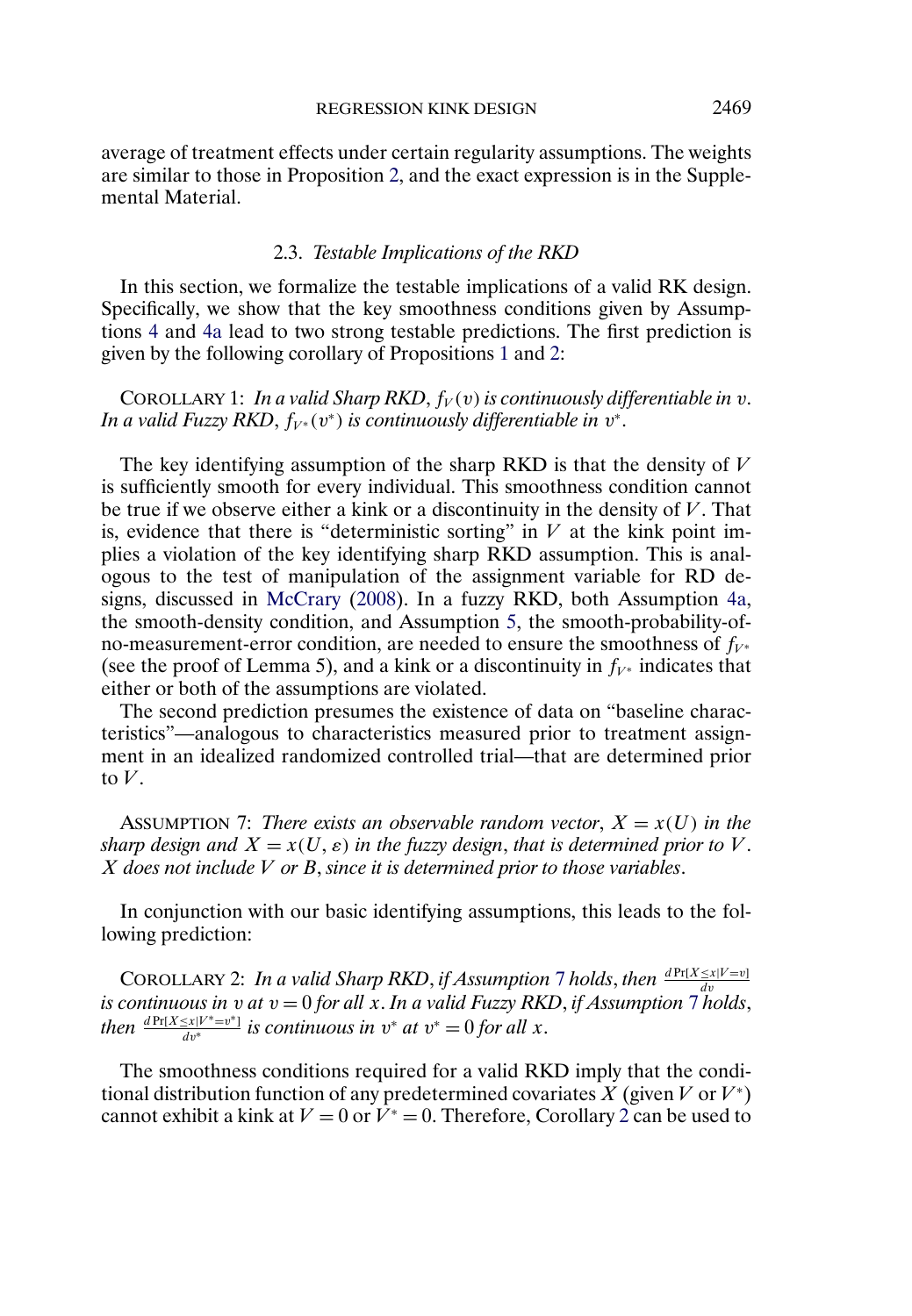<span id="page-16-0"></span>average of treatment effects under certain regularity assumptions. The weights are similar to those in Proposition [2,](#page-13-0) and the exact expression is in the Supplemental Material.

### 2.3. *Testable Implications of the RKD*

In this section, we formalize the testable implications of a valid RK design. Specifically, we show that the key smoothness conditions given by Assumptions [4](#page-7-0) and [4a](#page-12-0) lead to two strong testable predictions. The first prediction is given by the following corollary of Propositions [1](#page-7-0) and [2:](#page-13-0)

COROLLARY 1: *In a valid Sharp RKD*,  $f_V(v)$  *is continuously differentiable in* v. *In a valid Fuzzy RKD,*  $f_{V^*}(v^*)$  *is continuously differentiable in*  $v^*$ *.* 

The key identifying assumption of the sharp RKD is that the density of  $V$ is sufficiently smooth for every individual. This smoothness condition cannot be true if we observe either a kink or a discontinuity in the density of  $V$ . That is, evidence that there is "deterministic sorting" in  $V$  at the kink point implies a violation of the key identifying sharp RKD assumption. This is analogous to the test of manipulation of the assignment variable for RD designs, discussed in [McCrary](#page-29-0) [\(2008\)](#page-29-0). In a fuzzy RKD, both Assumption [4a,](#page-12-0) the smooth-density condition, and Assumption [5,](#page-12-0) the smooth-probability-ofno-measurement-error condition, are needed to ensure the smoothness of  $f_{V^*}$ (see the proof of Lemma 5), and a kink or a discontinuity in  $f_{V^*}$  indicates that either or both of the assumptions are violated.

The second prediction presumes the existence of data on "baseline characteristics"—analogous to characteristics measured prior to treatment assignment in an idealized randomized controlled trial—that are determined prior to  $V$ 

ASSUMPTION 7: *There exists an observable random vector*,  $X = x(U)$  *in the*  $s$ *harp design and*  $X = x(U, \varepsilon)$  *in the fuzzy design, that is determined prior to*  $V$ *.* X *does not include* V *or* B, *since it is determined prior to those variables*.

In conjunction with our basic identifying assumptions, this leads to the following prediction:

COROLLARY 2: *In a valid Sharp RKD*, *if Assumption* 7 *holds*, *then*  $\frac{dPr[X \leq x|V=v]}{dv}$ *is continuous in*  $v$  *at*  $v = 0$  *for all*  $x$ . *In a valid Fuzzy RKD*, *if Assumption* 7 *holds*, *then*  $\frac{d \Pr[X \le x | V^* = v^*]}{dv^*}$  *is continuous in*  $v^*$  *at*  $v^* = 0$  *for all* x.

The smoothness conditions required for a valid RKD imply that the conditional distribution function of any predetermined covariates X (given V or  $V^*$ ) cannot exhibit a kink at  $V = 0$  or  $V^* = 0$ . Therefore, Corollary 2 can be used to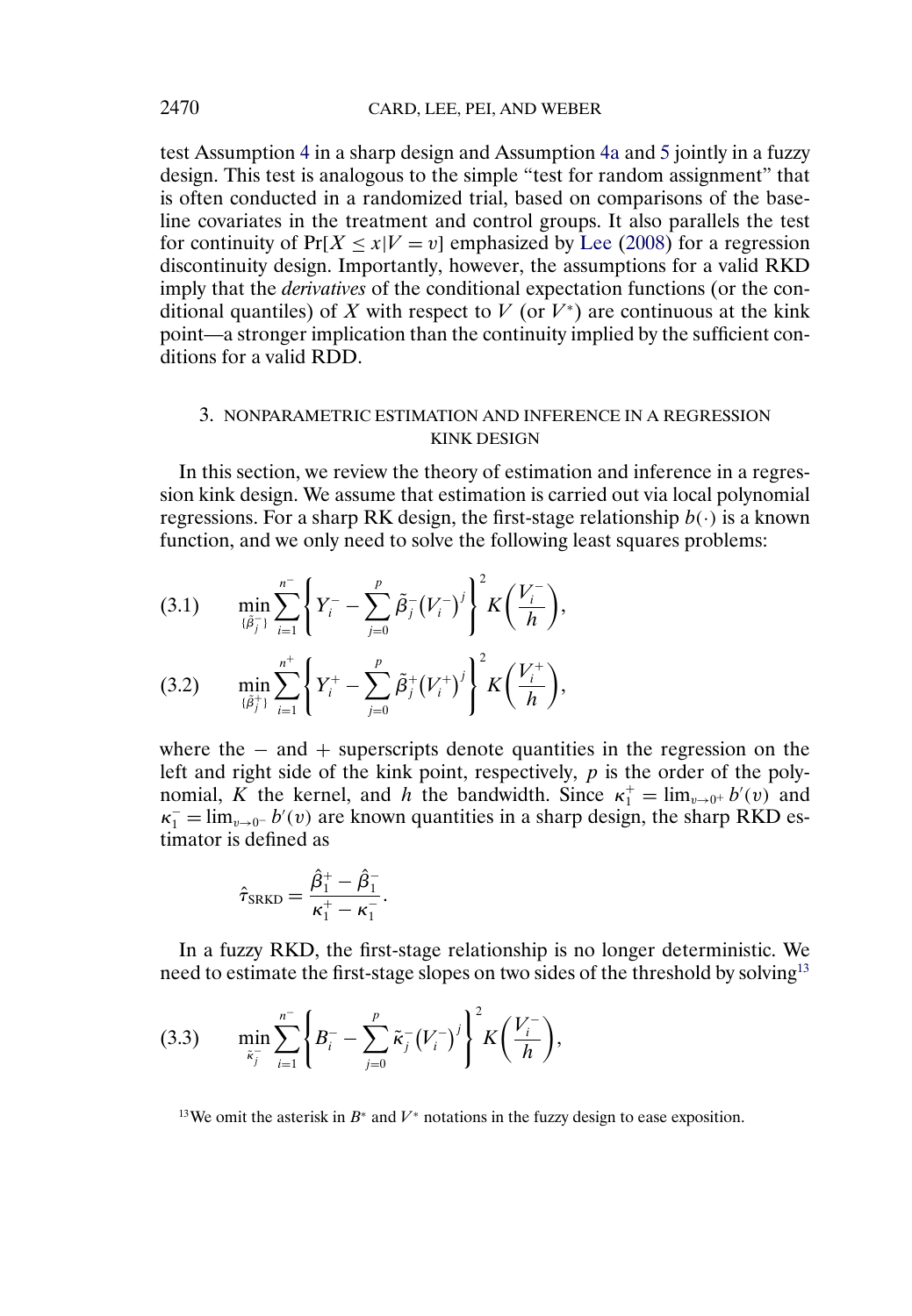<span id="page-17-0"></span>test Assumption [4](#page-7-0) in a sharp design and Assumption [4a](#page-12-0) and [5](#page-12-0) jointly in a fuzzy design. This test is analogous to the simple "test for random assignment" that is often conducted in a randomized trial, based on comparisons of the baseline covariates in the treatment and control groups. It also parallels the test for continuity of  $Pr[X \le x|V = v]$  emphasized by [Lee](#page-29-0) [\(2008\)](#page-29-0) for a regression discontinuity design. Importantly, however, the assumptions for a valid RKD imply that the *derivatives* of the conditional expectation functions (or the conditional quantiles) of X with respect to V (or  $V^*$ ) are continuous at the kink point—a stronger implication than the continuity implied by the sufficient conditions for a valid RDD.

# 3. NONPARAMETRIC ESTIMATION AND INFERENCE IN A REGRESSION KINK DESIGN

In this section, we review the theory of estimation and inference in a regression kink design. We assume that estimation is carried out via local polynomial regressions. For a sharp RK design, the first-stage relationship  $b(\cdot)$  is a known function, and we only need to solve the following least squares problems:

$$
(3.1) \qquad \min_{\{\tilde{\beta}_j^-\}} \sum_{i=1}^{n^-} \left\{ Y_i^- - \sum_{j=0}^p \tilde{\beta}_j^- (V_i^-)^j \right\}^2 K\left(\frac{V_i^-}{h}\right),
$$

$$
(3.2) \qquad \min_{\{\tilde{\beta}_j^+\}} \sum_{i=1}^{n^+} \left\{ Y_i^+ - \sum_{j=0}^p \tilde{\beta}_j^+ (V_i^+)^j \right\}^2 K\left(\frac{V_i^+}{h}\right),
$$

where the  $-$  and  $+$  superscripts denote quantities in the regression on the left and right side of the kink point, respectively, p is the order of the polynomial, K the kernel, and h the bandwidth. Since  $\kappa_1^+ = \lim_{v \to 0^+} b'(v)$  and  $\kappa_1^- = \lim_{v \to 0^-} b'(v)$  are known quantities in a sharp design, the sharp RKD estimator is defined as

$$
\hat{\tau}_{\text{SRKD}} = \frac{\hat{\beta}_1^+ - \hat{\beta}_1^-}{\kappa_1^+ - \kappa_1^-}.
$$

In a fuzzy RKD, the first-stage relationship is no longer deterministic. We need to estimate the first-stage slopes on two sides of the threshold by solving<sup>13</sup>

$$
(3.3) \qquad \min_{\tilde{\kappa}_j^-} \sum_{i=1}^{n^-} \left\{ B_i^- - \sum_{j=0}^p \tilde{\kappa}_j^- \left( V_i^- \right)^j \right\}^2 K \left( \frac{V_i^-}{h} \right),
$$

<sup>13</sup>We omit the asterisk in  $B^*$  and  $V^*$  notations in the fuzzy design to ease exposition.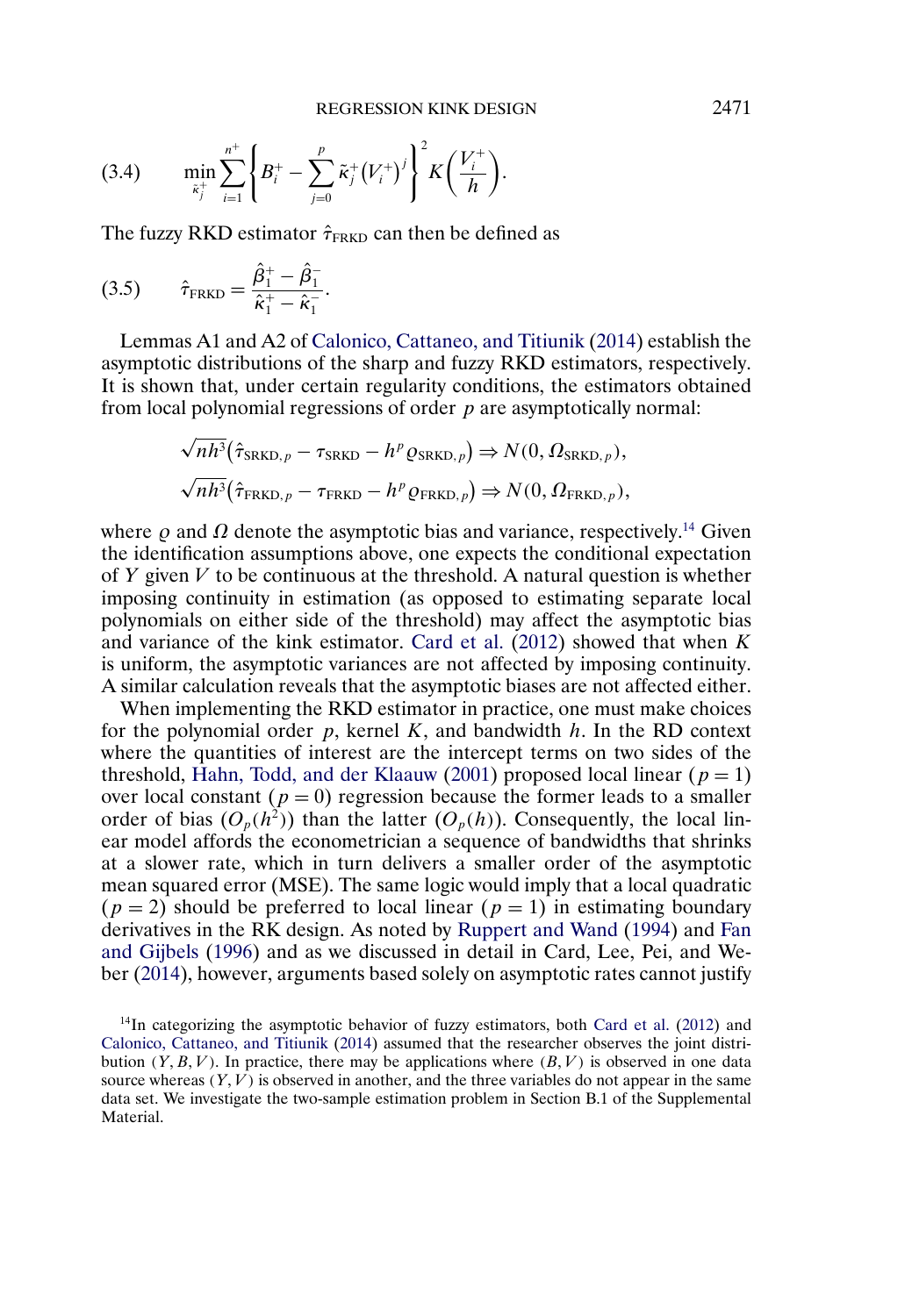<span id="page-18-0"></span>
$$
(3.4) \qquad \min_{\tilde{\kappa}_j^+} \sum_{i=1}^{n^+} \left\{ B_i^+ - \sum_{j=0}^p \tilde{\kappa}_j^+ (V_i^+)^j \right\}^2 K\left(\frac{V_i^+}{h}\right).
$$

The fuzzy RKD estimator  $\hat{\tau}_{FRKD}$  can then be defined as

(3.5) 
$$
\hat{\tau}_{\text{FRKD}} = \frac{\hat{\beta}_1^+ - \hat{\beta}_1^-}{\hat{\kappa}_1^+ - \hat{\kappa}_1^-}.
$$

Lemmas A1 and A2 of [Calonico, Cattaneo, and Titiunik](#page-28-0) [\(2014\)](#page-28-0) establish the asymptotic distributions of the sharp and fuzzy RKD estimators, respectively. It is shown that, under certain regularity conditions, the estimators obtained from local polynomial regressions of order  $p$  are asymptotically normal:

$$
\sqrt{nh^3}(\hat{\tau}_{SRKD,p} - \tau_{SRKD} - h^p \varrho_{SRKD,p}) \Rightarrow N(0, \Omega_{SRKD,p}),
$$
  

$$
\sqrt{nh^3}(\hat{\tau}_{FRKD,p} - \tau_{FRKD} - h^p \varrho_{FRKD,p}) \Rightarrow N(0, \Omega_{FRKD,p}),
$$

where  $\rho$  and  $\Omega$  denote the asymptotic bias and variance, respectively.<sup>14</sup> Given the identification assumptions above, one expects the conditional expectation of Y given  $V$  to be continuous at the threshold. A natural question is whether imposing continuity in estimation (as opposed to estimating separate local polynomials on either side of the threshold) may affect the asymptotic bias and variance of the kink estimator. [Card et al.](#page-28-0)  $(2012)$  showed that when K is uniform, the asymptotic variances are not affected by imposing continuity. A similar calculation reveals that the asymptotic biases are not affected either.

When implementing the RKD estimator in practice, one must make choices for the polynomial order  $p$ , kernel  $K$ , and bandwidth  $h$ . In the RD context where the quantities of interest are the intercept terms on two sides of the threshold, [Hahn, Todd, and der Klaauw](#page-29-0) [\(2001\)](#page-29-0) proposed local linear ( $p = 1$ ) over local constant ( $p = 0$ ) regression because the former leads to a smaller order of bias  $(O_p(h^2))$  than the latter  $(O_p(h))$ . Consequently, the local linear model affords the econometrician a sequence of bandwidths that shrinks at a slower rate, which in turn delivers a smaller order of the asymptotic mean squared error (MSE). The same logic would imply that a local quadratic  $(p = 2)$  should be preferred to local linear  $(p = 1)$  in estimating boundary derivatives in the RK design. As noted by [Ruppert and Wand](#page-29-0) [\(1994\)](#page-29-0) and [Fan](#page-28-0) [and Gijbels](#page-28-0) [\(1996\)](#page-28-0) and as we discussed in detail in Card, Lee, Pei, and Weber [\(2014\)](#page-28-0), however, arguments based solely on asymptotic rates cannot justify

<sup>14</sup>In categorizing the asymptotic behavior of fuzzy estimators, both [Card et al.](#page-28-0) [\(2012\)](#page-28-0) and [Calonico, Cattaneo, and Titiunik](#page-28-0) [\(2014\)](#page-28-0) assumed that the researcher observes the joint distribution  $(Y, B, V)$ . In practice, there may be applications where  $(B, V)$  is observed in one data source whereas  $(Y, V)$  is observed in another, and the three variables do not appear in the same data set. We investigate the two-sample estimation problem in Section B.1 of the Supplemental Material.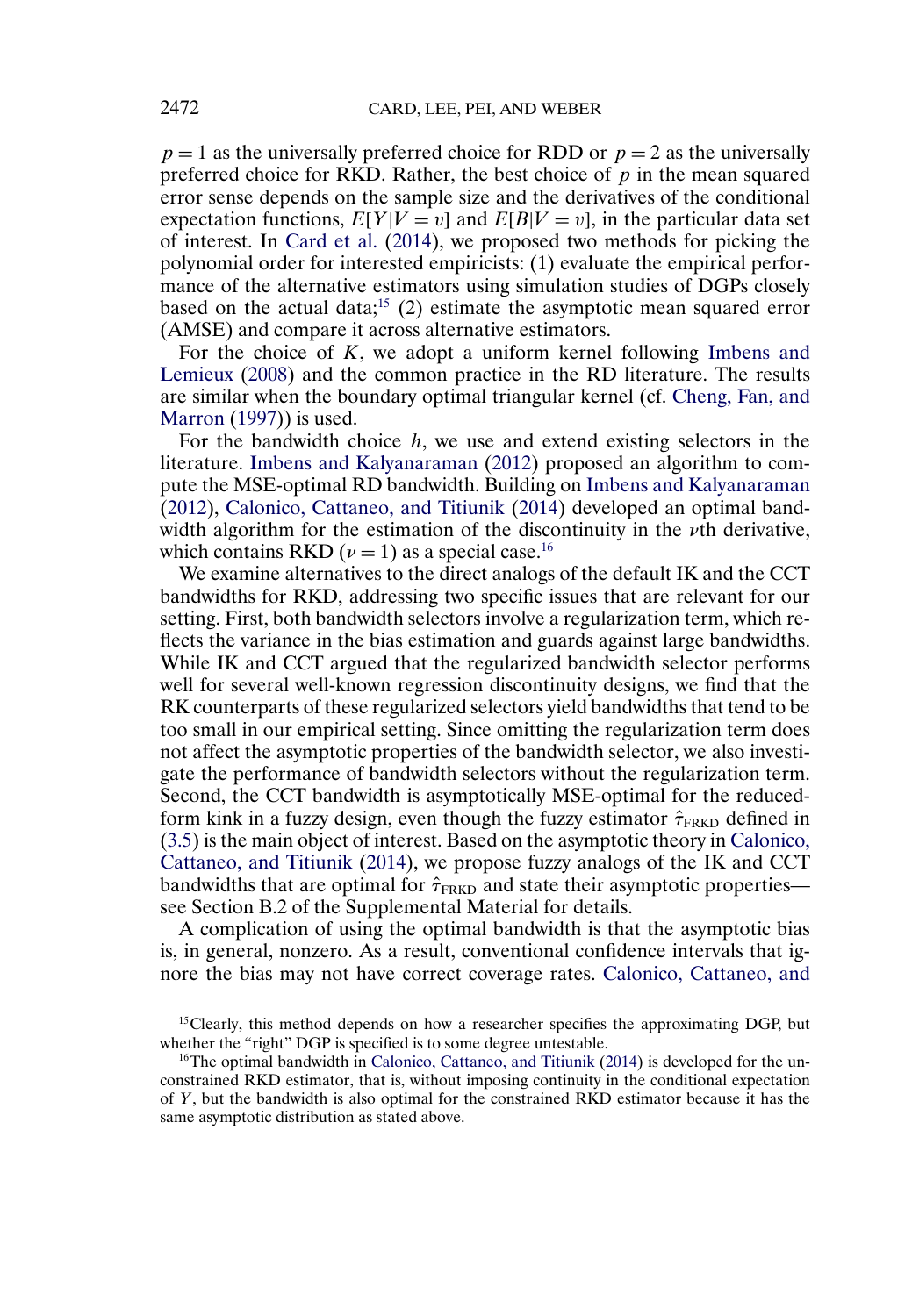<span id="page-19-0"></span> $p = 1$  as the universally preferred choice for RDD or  $p = 2$  as the universally preferred choice for RKD. Rather, the best choice of  $p$  in the mean squared error sense depends on the sample size and the derivatives of the conditional expectation functions,  $E[Y|V = v]$  and  $E[B|V = v]$ , in the particular data set of interest. In [Card et al.](#page-28-0) [\(2014\)](#page-28-0), we proposed two methods for picking the polynomial order for interested empiricists: (1) evaluate the empirical performance of the alternative estimators using simulation studies of DGPs closely based on the actual data;<sup>15</sup> (2) estimate the asymptotic mean squared error (AMSE) and compare it across alternative estimators.

For the choice of  $K$ , we adopt a uniform kernel following [Imbens and](#page-29-0) [Lemieux](#page-29-0) [\(2008\)](#page-29-0) and the common practice in the RD literature. The results are similar when the boundary optimal triangular kernel (cf. [Cheng, Fan, and](#page-28-0) [Marron](#page-28-0) [\(1997\)](#page-28-0)) is used.

For the bandwidth choice  $h$ , we use and extend existing selectors in the literature. [Imbens and Kalyanaraman](#page-29-0) [\(2012\)](#page-29-0) proposed an algorithm to compute the MSE-optimal RD bandwidth. Building on [Imbens and Kalyanaraman](#page-29-0) [\(2012\)](#page-29-0), [Calonico, Cattaneo, and Titiunik](#page-28-0) [\(2014\)](#page-28-0) developed an optimal bandwidth algorithm for the estimation of the discontinuity in the  $\nu$ th derivative, which contains RKD ( $\nu = 1$ ) as a special case.<sup>16</sup>

We examine alternatives to the direct analogs of the default IK and the CCT bandwidths for RKD, addressing two specific issues that are relevant for our setting. First, both bandwidth selectors involve a regularization term, which reflects the variance in the bias estimation and guards against large bandwidths. While IK and CCT argued that the regularized bandwidth selector performs well for several well-known regression discontinuity designs, we find that the RK counterparts of these regularized selectors yield bandwidths that tend to be too small in our empirical setting. Since omitting the regularization term does not affect the asymptotic properties of the bandwidth selector, we also investigate the performance of bandwidth selectors without the regularization term. Second, the CCT bandwidth is asymptotically MSE-optimal for the reducedform kink in a fuzzy design, even though the fuzzy estimator  $\hat{\tau}_{FRKD}$  defined in [\(3.5\)](#page-18-0) is the main object of interest. Based on the asymptotic theory in [Calonico,](#page-28-0) [Cattaneo, and Titiunik](#page-28-0) [\(2014\)](#page-28-0), we propose fuzzy analogs of the IK and CCT bandwidths that are optimal for  $\hat{\tau}_{FRKD}$  and state their asymptotic properties see Section B.2 of the Supplemental Material for details.

A complication of using the optimal bandwidth is that the asymptotic bias is, in general, nonzero. As a result, conventional confidence intervals that ignore the bias may not have correct coverage rates. [Calonico, Cattaneo, and](#page-28-0)

<sup>&</sup>lt;sup>15</sup>Clearly, this method depends on how a researcher specifies the approximating DGP, but whether the "right" DGP is specified is to some degree untestable.

 $16$ The optimal bandwidth in [Calonico, Cattaneo, and Titiunik](#page-28-0) [\(2014\)](#page-28-0) is developed for the unconstrained RKD estimator, that is, without imposing continuity in the conditional expectation of Y, but the bandwidth is also optimal for the constrained RKD estimator because it has the same asymptotic distribution as stated above.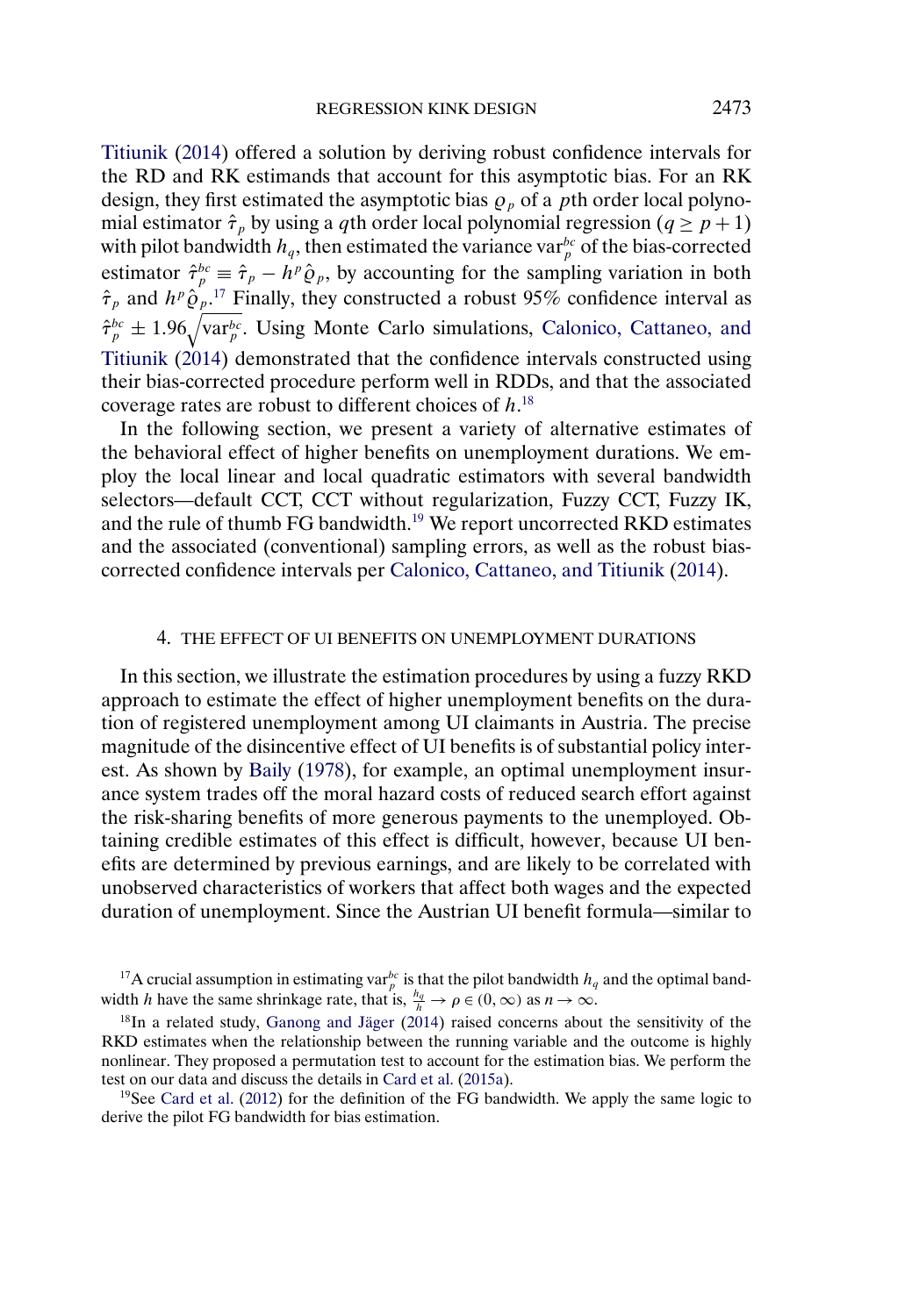<span id="page-20-0"></span>[Titiunik](#page-28-0) [\(2014\)](#page-28-0) offered a solution by deriving robust confidence intervals for the RD and RK estimands that account for this asymptotic bias. For an RK design, they first estimated the asymptotic bias  $\rho_p$  of a pth order local polynomial estimator  $\hat{\tau}_p$  by using a qth order local polynomial regression ( $q \ge p+1$ ) with pilot bandwidth  $h_q$ , then estimated the variance var $_p^{bc}$  of the bias-corrected estimator  $\hat{\tau}_p^{bc} \equiv \hat{\tau}_p - h^p \hat{\varrho}_p$ , by accounting for the sampling variation in both  $\hat{\tau}_p$  and  $h^p \hat{\varrho}_p$ <sup>17</sup> Finally, they constructed a robust 95% confidence interval as  $\hat{\tau}_p^{bc} \pm 1.96 \sqrt{\text{var}_p^{bc}}$ . Using Monte Carlo simulations, [Calonico, Cattaneo, and](#page-28-0) [Titiunik](#page-28-0) [\(2014\)](#page-28-0) demonstrated that the confidence intervals constructed using their bias-corrected procedure perform well in RDDs, and that the associated coverage rates are robust to different choices of  $h$ .<sup>18</sup>

In the following section, we present a variety of alternative estimates of the behavioral effect of higher benefits on unemployment durations. We employ the local linear and local quadratic estimators with several bandwidth selectors—default CCT, CCT without regularization, Fuzzy CCT, Fuzzy IK, and the rule of thumb FG bandwidth.<sup>19</sup> We report uncorrected RKD estimates and the associated (conventional) sampling errors, as well as the robust biascorrected confidence intervals per [Calonico, Cattaneo, and Titiunik](#page-28-0) [\(2014\)](#page-28-0).

#### 4. THE EFFECT OF UI BENEFITS ON UNEMPLOYMENT DURATIONS

In this section, we illustrate the estimation procedures by using a fuzzy RKD approach to estimate the effect of higher unemployment benefits on the duration of registered unemployment among UI claimants in Austria. The precise magnitude of the disincentive effect of UI benefits is of substantial policy interest. As shown by [Baily](#page-28-0) [\(1978\)](#page-28-0), for example, an optimal unemployment insurance system trades off the moral hazard costs of reduced search effort against the risk-sharing benefits of more generous payments to the unemployed. Obtaining credible estimates of this effect is difficult, however, because UI benefits are determined by previous earnings, and are likely to be correlated with unobserved characteristics of workers that affect both wages and the expected duration of unemployment. Since the Austrian UI benefit formula—similar to

<sup>17</sup>A crucial assumption in estimating var $_p^b$  is that the pilot bandwidth  $h_q$  and the optimal bandwidth h have the same shrinkage rate, that is,  $\frac{h_q}{h} \to \rho \in (0, \infty)$  as  $n \to \infty$ .

<sup>19</sup>See [Card et al.](#page-28-0) [\(2012\)](#page-28-0) for the definition of the FG bandwidth. We apply the same logic to derive the pilot FG bandwidth for bias estimation.

<sup>18</sup>In a related study, [Ganong and Jäger](#page-28-0) [\(2014\)](#page-28-0) raised concerns about the sensitivity of the RKD estimates when the relationship between the running variable and the outcome is highly nonlinear. They proposed a permutation test to account for the estimation bias. We perform the test on our data and discuss the details in [Card et al.](#page-28-0) [\(2015a\)](#page-28-0).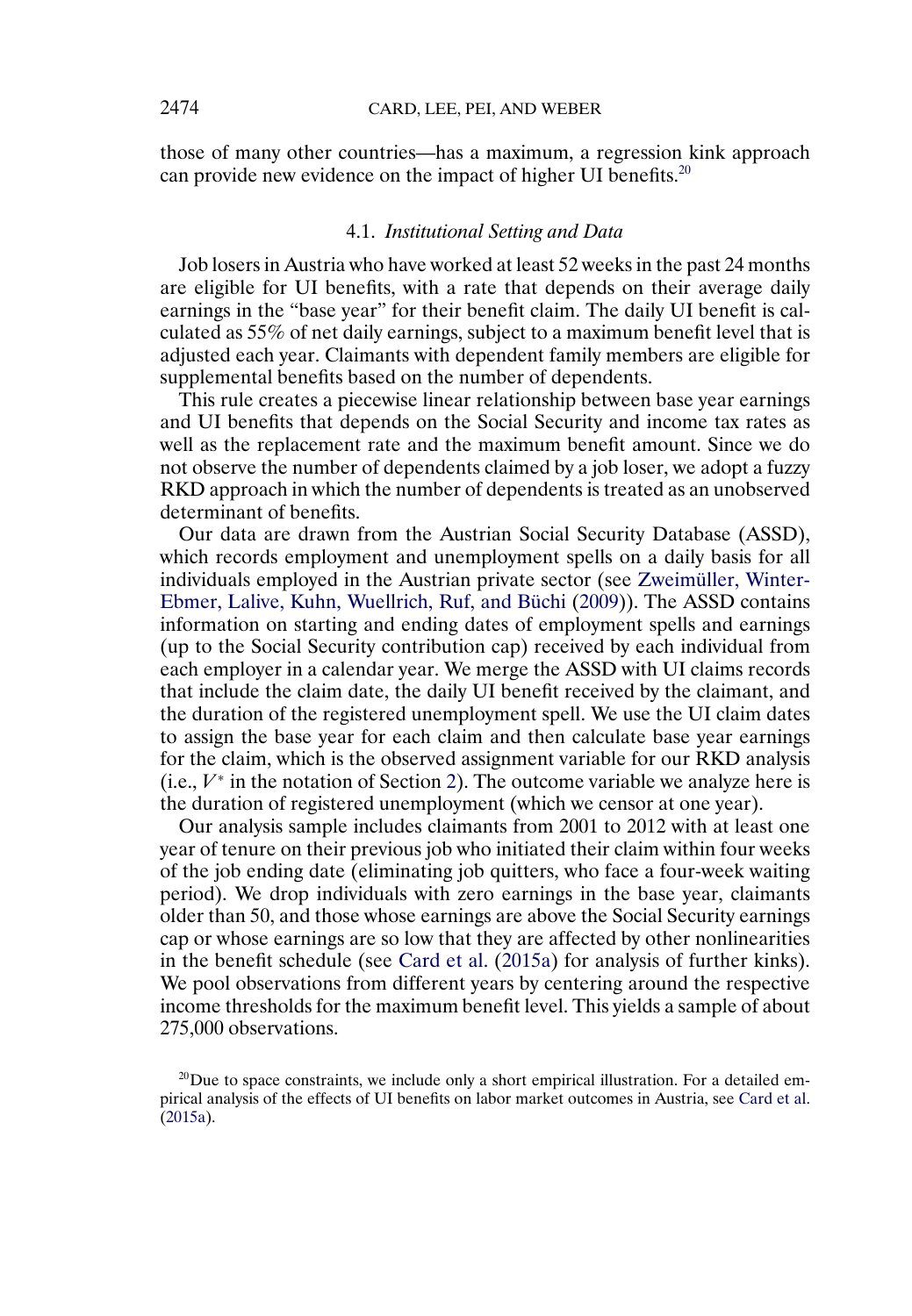<span id="page-21-0"></span>those of many other countries—has a maximum, a regression kink approach can provide new evidence on the impact of higher UI benefits.<sup>20</sup>

#### 4.1. *Institutional Setting and Data*

Job losers in Austria who have worked at least 52 weeks in the past 24 months are eligible for UI benefits, with a rate that depends on their average daily earnings in the "base year" for their benefit claim. The daily UI benefit is calculated as 55% of net daily earnings, subject to a maximum benefit level that is adjusted each year. Claimants with dependent family members are eligible for supplemental benefits based on the number of dependents.

This rule creates a piecewise linear relationship between base year earnings and UI benefits that depends on the Social Security and income tax rates as well as the replacement rate and the maximum benefit amount. Since we do not observe the number of dependents claimed by a job loser, we adopt a fuzzy RKD approach in which the number of dependents is treated as an unobserved determinant of benefits.

Our data are drawn from the Austrian Social Security Database (ASSD), which records employment and unemployment spells on a daily basis for all individuals employed in the Austrian private sector (see [Zweimüller, Winter-](#page-29-0)[Ebmer, Lalive, Kuhn, Wuellrich, Ruf, and Büchi](#page-29-0) [\(2009\)](#page-29-0)). The ASSD contains information on starting and ending dates of employment spells and earnings (up to the Social Security contribution cap) received by each individual from each employer in a calendar year. We merge the ASSD with UI claims records that include the claim date, the daily UI benefit received by the claimant, and the duration of the registered unemployment spell. We use the UI claim dates to assign the base year for each claim and then calculate base year earnings for the claim, which is the observed assignment variable for our RKD analysis (i.e.,  $V^*$  in the notation of Section [2\)](#page-2-0). The outcome variable we analyze here is the duration of registered unemployment (which we censor at one year).

Our analysis sample includes claimants from 2001 to 2012 with at least one year of tenure on their previous job who initiated their claim within four weeks of the job ending date (eliminating job quitters, who face a four-week waiting period). We drop individuals with zero earnings in the base year, claimants older than 50, and those whose earnings are above the Social Security earnings cap or whose earnings are so low that they are affected by other nonlinearities in the benefit schedule (see [Card et al.](#page-28-0) [\(2015a\)](#page-28-0) for analysis of further kinks). We pool observations from different years by centering around the respective income thresholds for the maximum benefit level. This yields a sample of about 275,000 observations.

 $20$ Due to space constraints, we include only a short empirical illustration. For a detailed empirical analysis of the effects of UI benefits on labor market outcomes in Austria, see [Card et al.](#page-28-0) [\(2015a\)](#page-28-0).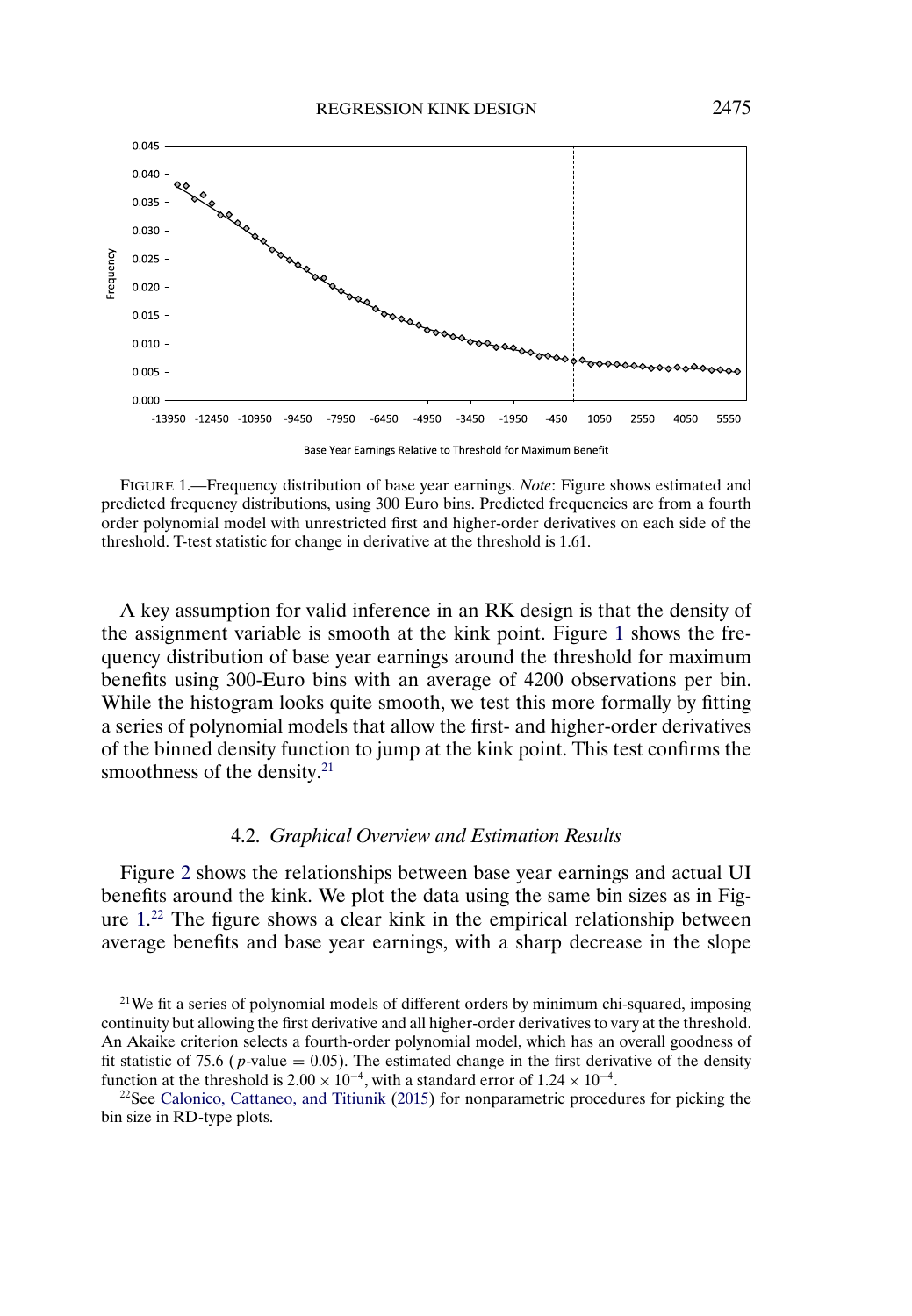<span id="page-22-0"></span>

FIGURE 1.—Frequency distribution of base year earnings. *Note*: Figure shows estimated and predicted frequency distributions, using 300 Euro bins. Predicted frequencies are from a fourth order polynomial model with unrestricted first and higher-order derivatives on each side of the threshold. T-test statistic for change in derivative at the threshold is 1.61.

A key assumption for valid inference in an RK design is that the density of the assignment variable is smooth at the kink point. Figure 1 shows the frequency distribution of base year earnings around the threshold for maximum benefits using 300-Euro bins with an average of 4200 observations per bin. While the histogram looks quite smooth, we test this more formally by fitting a series of polynomial models that allow the first- and higher-order derivatives of the binned density function to jump at the kink point. This test confirms the smoothness of the density.<sup>21</sup>

## 4.2. *Graphical Overview and Estimation Results*

Figure [2](#page-23-0) shows the relationships between base year earnings and actual UI benefits around the kink. We plot the data using the same bin sizes as in Figure 1. <sup>22</sup> The figure shows a clear kink in the empirical relationship between average benefits and base year earnings, with a sharp decrease in the slope

 $22$ See [Calonico, Cattaneo, and Titiunik](#page-28-0) [\(2015\)](#page-28-0) for nonparametric procedures for picking the bin size in RD-type plots.

<sup>&</sup>lt;sup>21</sup>We fit a series of polynomial models of different orders by minimum chi-squared, imposing continuity but allowing the first derivative and all higher-order derivatives to vary at the threshold. An Akaike criterion selects a fourth-order polynomial model, which has an overall goodness of fit statistic of 75.6 (*p*-value = 0.05). The estimated change in the first derivative of the density function at the threshold is  $2.00 \times 10^{-4}$ , with a standard error of  $1.24 \times 10^{-4}$ .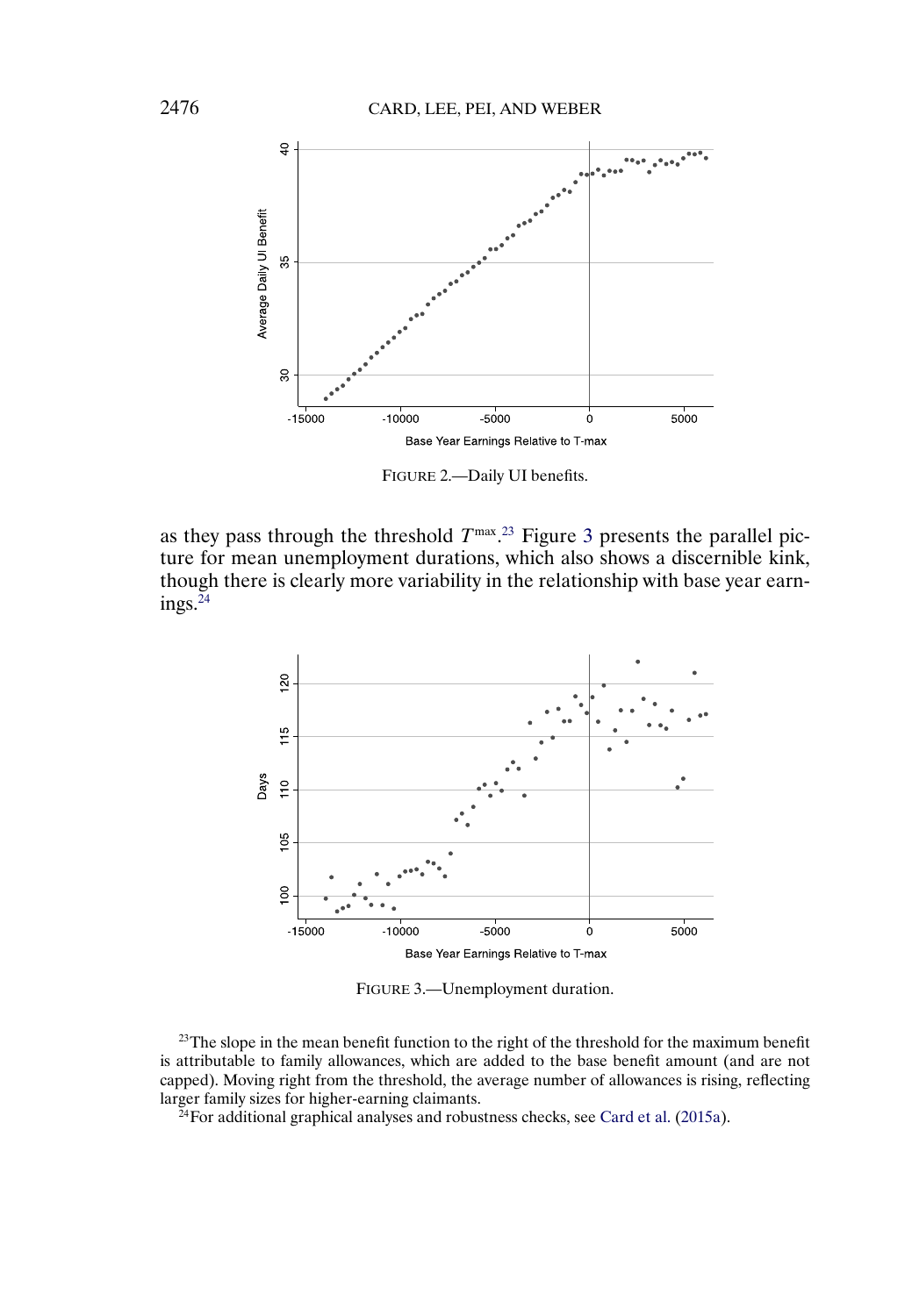<span id="page-23-0"></span>

FIGURE 2.—Daily UI benefits.

as they pass through the threshold  $T^{\max}$ .<sup>23</sup> Figure 3 presents the parallel picture for mean unemployment durations, which also shows a discernible kink, though there is clearly more variability in the relationship with base year earnings. $^{24}$ 



FIGURE 3.—Unemployment duration.

 $^{23}$ The slope in the mean benefit function to the right of the threshold for the maximum benefit is attributable to family allowances, which are added to the base benefit amount (and are not capped). Moving right from the threshold, the average number of allowances is rising, reflecting larger family sizes for higher-earning claimants.

 $^{24}$ For additional graphical analyses and robustness checks, see [Card et al.](#page-28-0) [\(2015a\)](#page-28-0).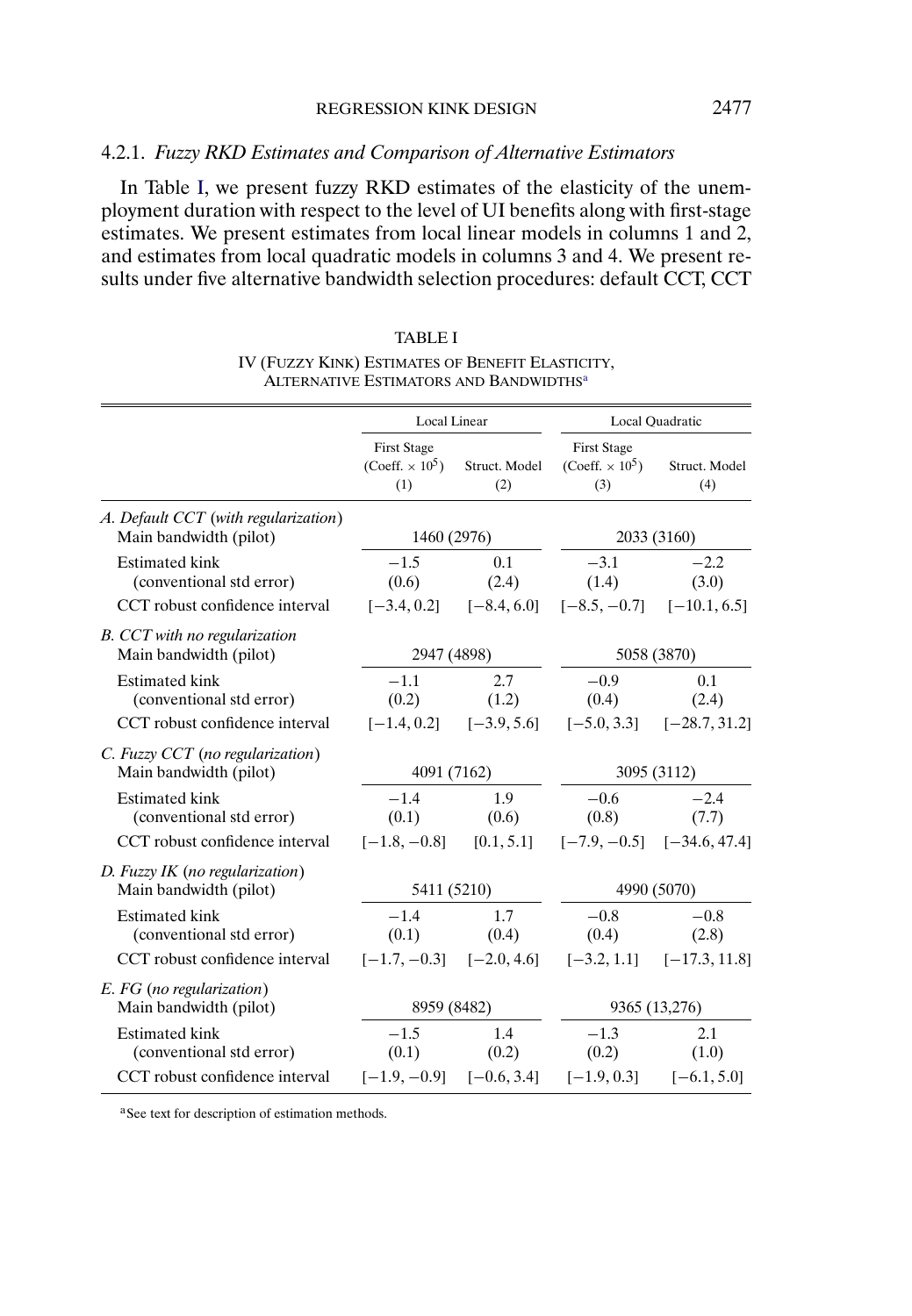# <span id="page-24-0"></span>4.2.1. *Fuzzy RKD Estimates and Comparison of Alternative Estimators*

In Table I, we present fuzzy RKD estimates of the elasticity of the unemployment duration with respect to the level of UI benefits along with first-stage estimates. We present estimates from local linear models in columns 1 and 2, and estimates from local quadratic models in columns 3 and 4. We present results under five alternative bandwidth selection procedures: default CCT, CCT

|                                                                                     | Local Linear                                                    |                                             | Local Quadratic                                                 |                                               |
|-------------------------------------------------------------------------------------|-----------------------------------------------------------------|---------------------------------------------|-----------------------------------------------------------------|-----------------------------------------------|
|                                                                                     | <b>First Stage</b><br>(Coeff. $\times$ 10 <sup>5</sup> )<br>(1) | Struct. Model<br>(2)                        | <b>First Stage</b><br>(Coeff. $\times$ 10 <sup>5</sup> )<br>(3) | Struct. Model<br>(4)                          |
| A. Default CCT (with regularization)<br>Main bandwidth (pilot)                      | 1460 (2976)                                                     |                                             | 2033 (3160)                                                     |                                               |
| <b>Estimated kink</b><br>(conventional std error)                                   | $-1.5$<br>(0.6)                                                 | 0.1<br>(2.4)                                | $-3.1$<br>(1.4)                                                 | $-2.2$<br>(3.0)                               |
| CCT robust confidence interval                                                      |                                                                 | $[-3.4, 0.2]$ $[-8.4, 6.0]$                 |                                                                 | $[-8.5, -0.7]$ $[-10.1, 6.5]$                 |
| B. CCT with no regularization<br>Main bandwidth (pilot)                             | 2947 (4898)                                                     |                                             | 5058 (3870)                                                     |                                               |
| <b>Estimated kink</b><br>(conventional std error)<br>CCT robust confidence interval | $-1.1$<br>(0.2)                                                 | 2.7<br>(1.2)<br>$[-1.4, 0.2]$ $[-3.9, 5.6]$ | $-0.9$<br>(0.4)                                                 | 0.1<br>(2.4)<br>$[-5.0, 3.3]$ $[-28.7, 31.2]$ |
| C. Fuzzy CCT (no regularization)<br>Main bandwidth (pilot)                          | 4091 (7162)                                                     |                                             | 3095 (3112)                                                     |                                               |
| <b>Estimated kink</b><br>(conventional std error)                                   | $-1.4$<br>(0.1)                                                 | 1.9<br>(0.6)                                | $-0.6$<br>(0.8)                                                 | $-2.4$<br>(7.7)                               |
| CCT robust confidence interval                                                      | $[-1.8, -0.8]$ [0.1, 5.1]                                       |                                             |                                                                 | $[-7.9, -0.5]$ $[-34.6, 47.4]$                |
| D. Fuzzy IK (no regularization)<br>Main bandwidth (pilot)                           | 5411 (5210)                                                     |                                             | 4990 (5070)                                                     |                                               |
| <b>Estimated kink</b><br>(conventional std error)                                   | $-1.4$<br>(0.1)                                                 | 1.7<br>(0.4)                                | $-0.8$<br>(0.4)                                                 | $-0.8$<br>(2.8)                               |
| CCT robust confidence interval                                                      |                                                                 | $[-1.7, -0.3]$ $[-2.0, 4.6]$                |                                                                 | $[-3.2, 1.1]$ $[-17.3, 11.8]$                 |
| E. FG (no regularization)<br>Main bandwidth (pilot)                                 | 8959 (8482)                                                     |                                             | 9365 (13,276)                                                   |                                               |
| <b>Estimated kink</b><br>(conventional std error)                                   | $-1.5$<br>(0.1)                                                 | 1.4<br>(0.2)                                | $-1.3$<br>(0.2)                                                 | 2.1<br>(1.0)                                  |
| CCT robust confidence interval                                                      | $[-1.9, -0.9]$ $[-0.6, 3.4]$                                    |                                             | $[-1.9, 0.3]$                                                   | $[-6.1, 5.0]$                                 |

| <b>TABLE I</b>                                     |
|----------------------------------------------------|
| IV (FUZZY KINK) ESTIMATES OF BENEFIT ELASTICITY,   |
| ALTERNATIVE ESTIMATORS AND BANDWIDTHS <sup>a</sup> |

aSee text for description of estimation methods.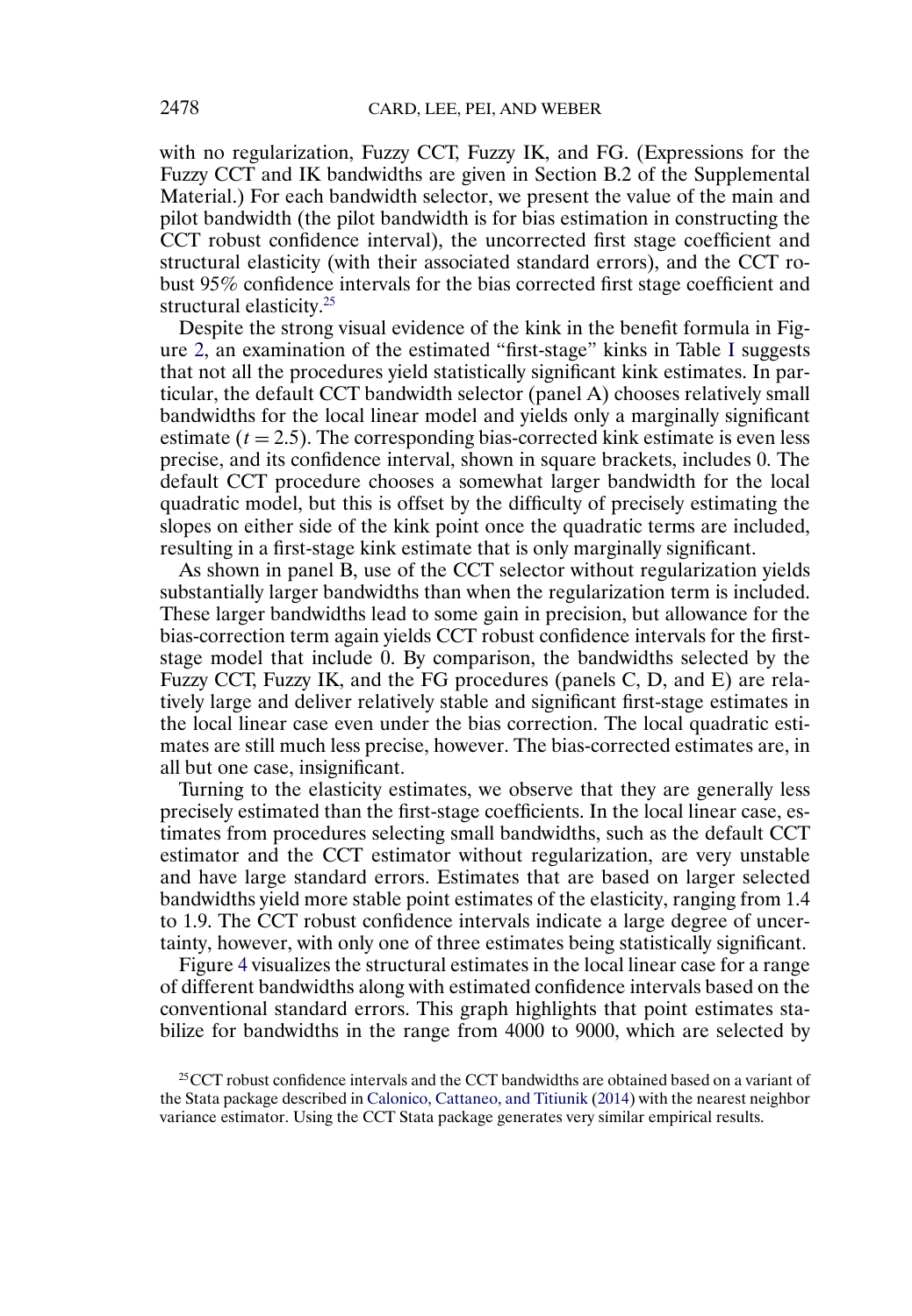<span id="page-25-0"></span>with no regularization, Fuzzy CCT, Fuzzy IK, and FG. (Expressions for the Fuzzy CCT and IK bandwidths are given in Section B.2 of the Supplemental Material.) For each bandwidth selector, we present the value of the main and pilot bandwidth (the pilot bandwidth is for bias estimation in constructing the CCT robust confidence interval), the uncorrected first stage coefficient and structural elasticity (with their associated standard errors), and the CCT robust 95% confidence intervals for the bias corrected first stage coefficient and structural elasticity.<sup>25</sup>

Despite the strong visual evidence of the kink in the benefit formula in Figure [2,](#page-23-0) an examination of the estimated "first-stage" kinks in Table [I](#page-24-0) suggests that not all the procedures yield statistically significant kink estimates. In particular, the default CCT bandwidth selector (panel A) chooses relatively small bandwidths for the local linear model and yields only a marginally significant estimate  $(t = 2.5)$ . The corresponding bias-corrected kink estimate is even less precise, and its confidence interval, shown in square brackets, includes 0. The default CCT procedure chooses a somewhat larger bandwidth for the local quadratic model, but this is offset by the difficulty of precisely estimating the slopes on either side of the kink point once the quadratic terms are included, resulting in a first-stage kink estimate that is only marginally significant.

As shown in panel B, use of the CCT selector without regularization yields substantially larger bandwidths than when the regularization term is included. These larger bandwidths lead to some gain in precision, but allowance for the bias-correction term again yields CCT robust confidence intervals for the firststage model that include 0. By comparison, the bandwidths selected by the Fuzzy CCT, Fuzzy IK, and the FG procedures (panels C, D, and E) are relatively large and deliver relatively stable and significant first-stage estimates in the local linear case even under the bias correction. The local quadratic estimates are still much less precise, however. The bias-corrected estimates are, in all but one case, insignificant.

Turning to the elasticity estimates, we observe that they are generally less precisely estimated than the first-stage coefficients. In the local linear case, estimates from procedures selecting small bandwidths, such as the default CCT estimator and the CCT estimator without regularization, are very unstable and have large standard errors. Estimates that are based on larger selected bandwidths yield more stable point estimates of the elasticity, ranging from 1.4 to 1.9. The CCT robust confidence intervals indicate a large degree of uncertainty, however, with only one of three estimates being statistically significant.

Figure [4](#page-26-0) visualizes the structural estimates in the local linear case for a range of different bandwidths along with estimated confidence intervals based on the conventional standard errors. This graph highlights that point estimates stabilize for bandwidths in the range from 4000 to 9000, which are selected by

 $25$ CCT robust confidence intervals and the CCT bandwidths are obtained based on a variant of the Stata package described in [Calonico, Cattaneo, and Titiunik](#page-28-0) [\(2014\)](#page-28-0) with the nearest neighbor variance estimator. Using the CCT Stata package generates very similar empirical results.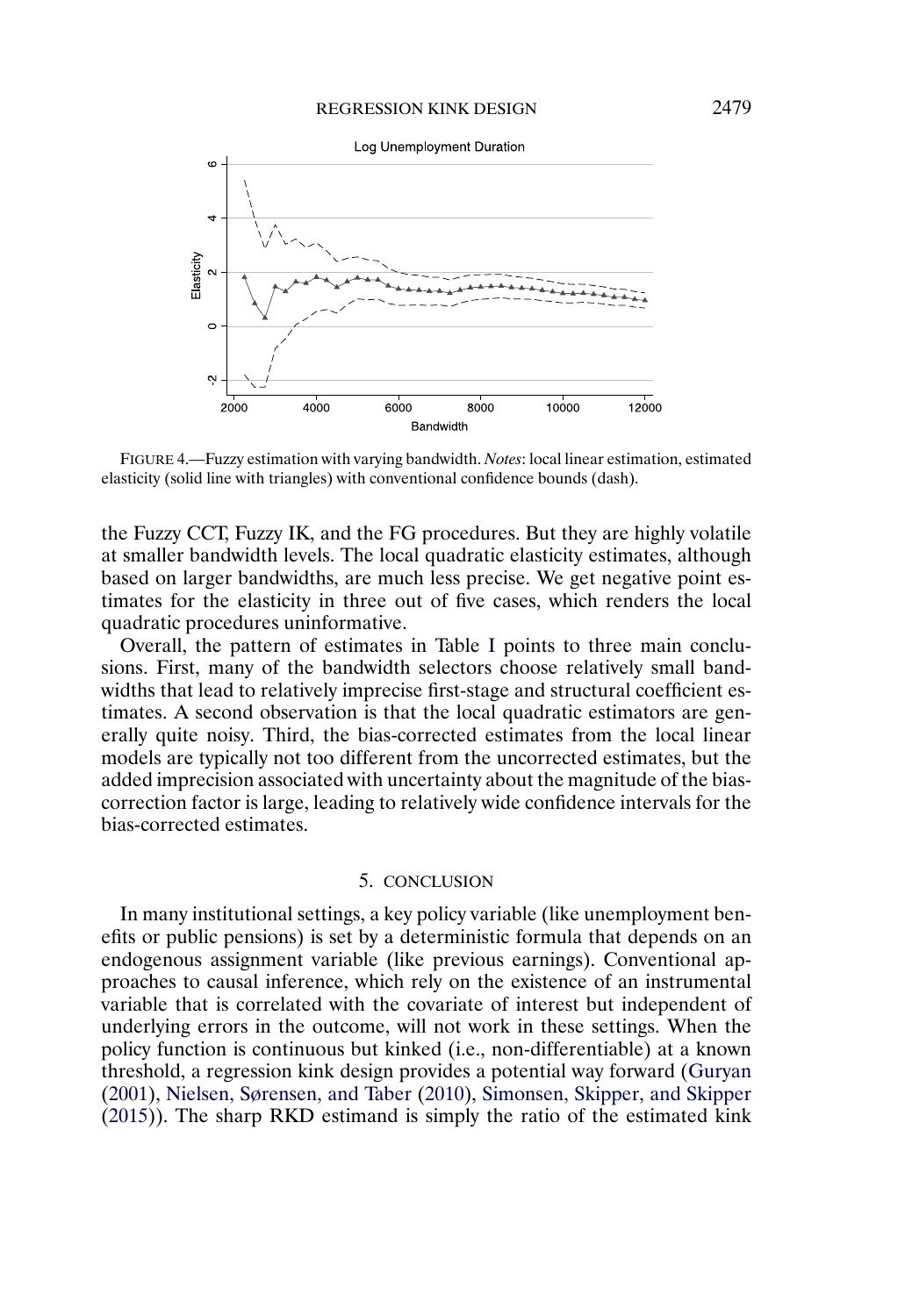<span id="page-26-0"></span>

FIGURE 4.—Fuzzy estimation with varying bandwidth. *Notes*: local linear estimation, estimated elasticity (solid line with triangles) with conventional confidence bounds (dash).

the Fuzzy CCT, Fuzzy IK, and the FG procedures. But they are highly volatile at smaller bandwidth levels. The local quadratic elasticity estimates, although based on larger bandwidths, are much less precise. We get negative point estimates for the elasticity in three out of five cases, which renders the local quadratic procedures uninformative.

Overall, the pattern of estimates in Table [I](#page-24-0) points to three main conclusions. First, many of the bandwidth selectors choose relatively small bandwidths that lead to relatively imprecise first-stage and structural coefficient estimates. A second observation is that the local quadratic estimators are generally quite noisy. Third, the bias-corrected estimates from the local linear models are typically not too different from the uncorrected estimates, but the added imprecision associated with uncertainty about the magnitude of the biascorrection factor is large, leading to relatively wide confidence intervals for the bias-corrected estimates.

## 5. CONCLUSION

In many institutional settings, a key policy variable (like unemployment benefits or public pensions) is set by a deterministic formula that depends on an endogenous assignment variable (like previous earnings). Conventional approaches to causal inference, which rely on the existence of an instrumental variable that is correlated with the covariate of interest but independent of underlying errors in the outcome, will not work in these settings. When the policy function is continuous but kinked (i.e., non-differentiable) at a known threshold, a regression kink design provides a potential way forward [\(Guryan](#page-29-0) [\(2001\)](#page-29-0), [Nielsen, Sørensen, and Taber](#page-29-0) [\(2010\)](#page-29-0), [Simonsen, Skipper, and Skipper](#page-29-0) [\(2015\)](#page-29-0)). The sharp RKD estimand is simply the ratio of the estimated kink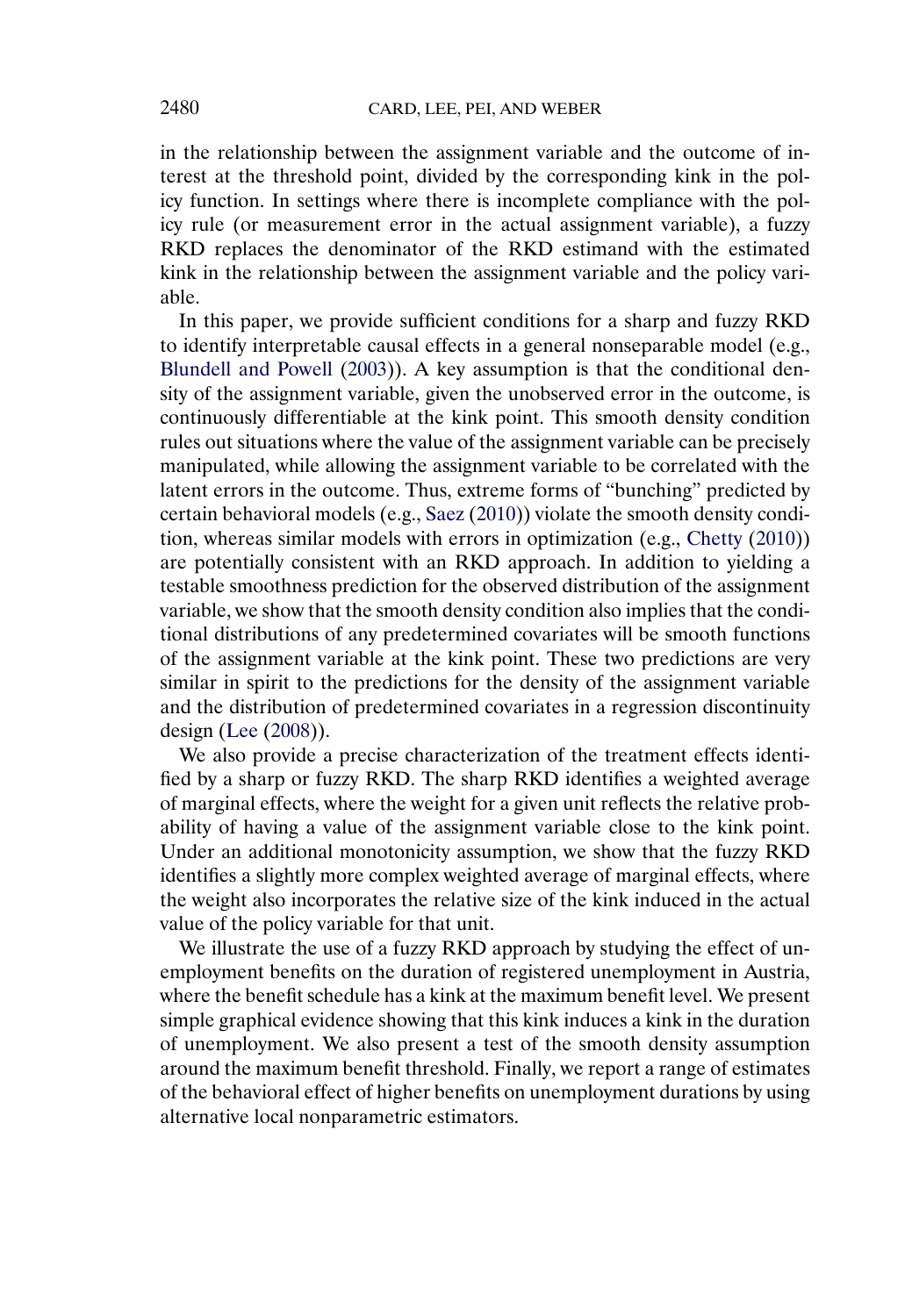<span id="page-27-0"></span>in the relationship between the assignment variable and the outcome of interest at the threshold point, divided by the corresponding kink in the policy function. In settings where there is incomplete compliance with the policy rule (or measurement error in the actual assignment variable), a fuzzy RKD replaces the denominator of the RKD estimand with the estimated kink in the relationship between the assignment variable and the policy variable.

In this paper, we provide sufficient conditions for a sharp and fuzzy RKD to identify interpretable causal effects in a general nonseparable model (e.g., [Blundell and Powell](#page-28-0) [\(2003\)](#page-28-0)). A key assumption is that the conditional density of the assignment variable, given the unobserved error in the outcome, is continuously differentiable at the kink point. This smooth density condition rules out situations where the value of the assignment variable can be precisely manipulated, while allowing the assignment variable to be correlated with the latent errors in the outcome. Thus, extreme forms of "bunching" predicted by certain behavioral models (e.g., [Saez](#page-29-0) [\(2010\)](#page-29-0)) violate the smooth density condition, whereas similar models with errors in optimization (e.g., [Chetty](#page-28-0) [\(2010\)](#page-28-0)) are potentially consistent with an RKD approach. In addition to yielding a testable smoothness prediction for the observed distribution of the assignment variable, we show that the smooth density condition also implies that the conditional distributions of any predetermined covariates will be smooth functions of the assignment variable at the kink point. These two predictions are very similar in spirit to the predictions for the density of the assignment variable and the distribution of predetermined covariates in a regression discontinuity design [\(Lee](#page-29-0) [\(2008\)](#page-29-0)).

We also provide a precise characterization of the treatment effects identified by a sharp or fuzzy RKD. The sharp RKD identifies a weighted average of marginal effects, where the weight for a given unit reflects the relative probability of having a value of the assignment variable close to the kink point. Under an additional monotonicity assumption, we show that the fuzzy RKD identifies a slightly more complex weighted average of marginal effects, where the weight also incorporates the relative size of the kink induced in the actual value of the policy variable for that unit.

We illustrate the use of a fuzzy RKD approach by studying the effect of unemployment benefits on the duration of registered unemployment in Austria, where the benefit schedule has a kink at the maximum benefit level. We present simple graphical evidence showing that this kink induces a kink in the duration of unemployment. We also present a test of the smooth density assumption around the maximum benefit threshold. Finally, we report a range of estimates of the behavioral effect of higher benefits on unemployment durations by using alternative local nonparametric estimators.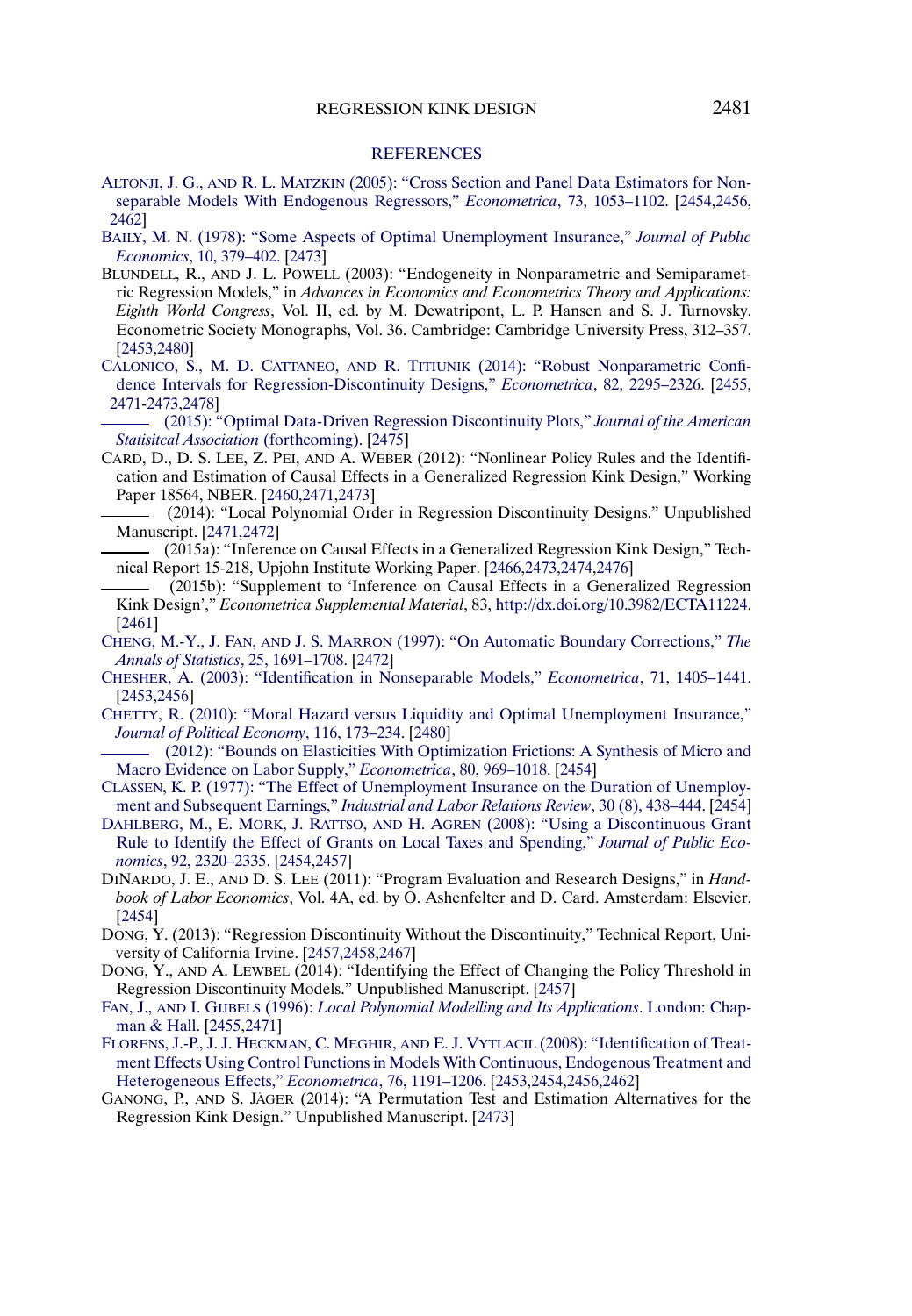#### **[REFERENCES](http://www.e-publications.org/srv/ecta/linkserver/setprefs?rfe_id=urn:sici%2F0012-9682%28201511%2983%3A6%3C2453%3AIOCEIA%3E2.0.CO%3B2-4)**

- <span id="page-28-0"></span>ALTONJI, J. G., AND R. L. MATZKIN [\(2005\): "Cross Section and Panel Data Estimators for Non](http://www.e-publications.org/srv/ecta/linkserver/openurl?rft_dat=bib:1/Altonji2005&rfe_id=urn:sici%2F0012-9682%28201511%2983%3A6%3C2453%3AIOCEIA%3E2.0.CO%3B2-4)[separable Models With Endogenous Regressors,"](http://www.e-publications.org/srv/ecta/linkserver/openurl?rft_dat=bib:1/Altonji2005&rfe_id=urn:sici%2F0012-9682%28201511%2983%3A6%3C2453%3AIOCEIA%3E2.0.CO%3B2-4) *Econometrica*, 73, 1053–1102. [\[2454,](#page-1-0)[2456,](#page-3-0) [2462\]](#page-9-0)
- [BAILY, M. N. \(1978\): "Some Aspects of Optimal Unemployment Insurance,"](http://www.e-publications.org/srv/ecta/linkserver/openurl?rft_dat=bib:2/Bailyddd1978&rfe_id=urn:sici%2F0012-9682%28201511%2983%3A6%3C2453%3AIOCEIA%3E2.0.CO%3B2-4) *Journal of Public Economics*[, 10, 379–402.](http://www.e-publications.org/srv/ecta/linkserver/openurl?rft_dat=bib:2/Bailyddd1978&rfe_id=urn:sici%2F0012-9682%28201511%2983%3A6%3C2453%3AIOCEIA%3E2.0.CO%3B2-4) [\[2473\]](#page-20-0)
- BLUNDELL, R., AND J. L. POWELL (2003): "Endogeneity in Nonparametric and Semiparametric Regression Models," in *Advances in Economics and Econometrics Theory and Applications: Eighth World Congress*, Vol. II, ed. by M. Dewatripont, L. P. Hansen and S. J. Turnovsky. Econometric Society Monographs, Vol. 36. Cambridge: Cambridge University Press, 312–357. [\[2453,](#page-0-0)[2480\]](#page-27-0)
- CALONICO, S., M. D. CATTANEO, AND R. TITIUNIK [\(2014\): "Robust Nonparametric Confi](http://www.e-publications.org/srv/ecta/linkserver/openurl?rft_dat=bib:4/Calonicoetal2014&rfe_id=urn:sici%2F0012-9682%28201511%2983%3A6%3C2453%3AIOCEIA%3E2.0.CO%3B2-4)[dence Intervals for Regression-Discontinuity Designs,"](http://www.e-publications.org/srv/ecta/linkserver/openurl?rft_dat=bib:4/Calonicoetal2014&rfe_id=urn:sici%2F0012-9682%28201511%2983%3A6%3C2453%3AIOCEIA%3E2.0.CO%3B2-4) *Econometrica*, 82, 2295–2326. [\[2455,](#page-2-0) [2471-](#page-18-0)[2473](#page-20-0)[,2478\]](#page-25-0)
- [\(2015\): "Optimal Data-Driven Regression Discontinuity Plots,"](http://www.e-publications.org/srv/ecta/linkserver/openurl?rft_dat=bib:5/CalonicoetalRDPlot&rfe_id=urn:sici%2F0012-9682%28201511%2983%3A6%3C2453%3AIOCEIA%3E2.0.CO%3B2-4) *Journal of the American [Statisitcal Association](http://www.e-publications.org/srv/ecta/linkserver/openurl?rft_dat=bib:5/CalonicoetalRDPlot&rfe_id=urn:sici%2F0012-9682%28201511%2983%3A6%3C2453%3AIOCEIA%3E2.0.CO%3B2-4)* (forthcoming). [\[2475\]](#page-22-0)
- CARD, D., D. S. LEE, Z. PEI, AND A. WEBER (2012): "Nonlinear Policy Rules and the Identification and Estimation of Causal Effects in a Generalized Regression Kink Design," Working Paper 18564, NBER. [\[2460](#page-7-0)[,2471](#page-18-0)[,2473\]](#page-20-0)
	- (2014): "Local Polynomial Order in Regression Discontinuity Designs." Unpublished Manuscript. [\[2471](#page-18-0)[,2472\]](#page-19-0)
- (2015a): "Inference on Causal Effects in a Generalized Regression Kink Design," Technical Report 15-218, Upjohn Institute Working Paper. [\[2466,](#page-13-0)[2473,](#page-20-0)[2474](#page-21-0)[,2476\]](#page-23-0)
- (2015b): "Supplement to 'Inference on Causal Effects in a Generalized Regression Kink Design'," *Econometrica Supplemental Material*, 83, [http://dx.doi.org/10.3982/ECTA11224.](http://dx.doi.org/10.3982/ECTA11224) [\[2461\]](#page-8-0)
- CHENG, M.-Y., J. FAN, AND J. S. MARRON [\(1997\): "On Automatic Boundary Corrections,"](http://www.e-publications.org/srv/ecta/linkserver/openurl?rft_dat=bib:10/cheng1997&rfe_id=urn:sici%2F0012-9682%28201511%2983%3A6%3C2453%3AIOCEIA%3E2.0.CO%3B2-4) *The [Annals of Statistics](http://www.e-publications.org/srv/ecta/linkserver/openurl?rft_dat=bib:10/cheng1997&rfe_id=urn:sici%2F0012-9682%28201511%2983%3A6%3C2453%3AIOCEIA%3E2.0.CO%3B2-4)*, 25, 1691–1708. [\[2472\]](#page-19-0)
- [CHESHER, A. \(2003\): "Identification in Nonseparable Models,"](http://www.e-publications.org/srv/ecta/linkserver/openurl?rft_dat=bib:11/Chesherddd2003&rfe_id=urn:sici%2F0012-9682%28201511%2983%3A6%3C2453%3AIOCEIA%3E2.0.CO%3B2-4) *Econometrica*, 71, 1405–1441. [\[2453,](#page-0-0)[2456\]](#page-3-0)
- [CHETTY, R. \(2010\): "Moral Hazard versus Liquidity and Optimal Unemployment Insurance,"](http://www.e-publications.org/srv/ecta/linkserver/openurl?rft_dat=bib:12/Chettyddd2010&rfe_id=urn:sici%2F0012-9682%28201511%2983%3A6%3C2453%3AIOCEIA%3E2.0.CO%3B2-4) *[Journal of Political Economy](http://www.e-publications.org/srv/ecta/linkserver/openurl?rft_dat=bib:12/Chettyddd2010&rfe_id=urn:sici%2F0012-9682%28201511%2983%3A6%3C2453%3AIOCEIA%3E2.0.CO%3B2-4)*, 116, 173–234. [\[2480\]](#page-27-0)
- [\(2012\): "Bounds on Elasticities With Optimization Frictions: A Synthesis of Micro and](http://www.e-publications.org/srv/ecta/linkserver/openurl?rft_dat=bib:13/Chettyddd2012&rfe_id=urn:sici%2F0012-9682%28201511%2983%3A6%3C2453%3AIOCEIA%3E2.0.CO%3B2-4) [Macro Evidence on Labor Supply,"](http://www.e-publications.org/srv/ecta/linkserver/openurl?rft_dat=bib:13/Chettyddd2012&rfe_id=urn:sici%2F0012-9682%28201511%2983%3A6%3C2453%3AIOCEIA%3E2.0.CO%3B2-4) *Econometrica*, 80, 969–1018. [\[2454\]](#page-1-0)
- [CLASSEN, K. P. \(1977\): "The Effect of Unemployment Insurance on the Duration of Unemploy](http://www.e-publications.org/srv/ecta/linkserver/openurl?rft_dat=bib:14/Classenddd77&rfe_id=urn:sici%2F0012-9682%28201511%2983%3A6%3C2453%3AIOCEIA%3E2.0.CO%3B2-4)ment and Subsequent Earnings," *[Industrial and Labor Relations Review](http://www.e-publications.org/srv/ecta/linkserver/openurl?rft_dat=bib:14/Classenddd77&rfe_id=urn:sici%2F0012-9682%28201511%2983%3A6%3C2453%3AIOCEIA%3E2.0.CO%3B2-4)*, 30 (8), 438–444. [\[2454\]](#page-1-0)
- [DAHLBERG, M., E. MORK, J. RATTSO,](http://www.e-publications.org/srv/ecta/linkserver/openurl?rft_dat=bib:15/Dahlbergetall2008&rfe_id=urn:sici%2F0012-9682%28201511%2983%3A6%3C2453%3AIOCEIA%3E2.0.CO%3B2-4) AND H. AGREN (2008): "Using a Discontinuous Grant [Rule to Identify the Effect of Grants on Local Taxes and Spending,"](http://www.e-publications.org/srv/ecta/linkserver/openurl?rft_dat=bib:15/Dahlbergetall2008&rfe_id=urn:sici%2F0012-9682%28201511%2983%3A6%3C2453%3AIOCEIA%3E2.0.CO%3B2-4) *Journal of Public Economics*[, 92, 2320–2335.](http://www.e-publications.org/srv/ecta/linkserver/openurl?rft_dat=bib:15/Dahlbergetall2008&rfe_id=urn:sici%2F0012-9682%28201511%2983%3A6%3C2453%3AIOCEIA%3E2.0.CO%3B2-4) [\[2454](#page-1-0)[,2457\]](#page-4-0)
- DINARDO, J. E., AND D. S. LEE (2011): "Program Evaluation and Research Designs," in *Handbook of Labor Economics*, Vol. 4A, ed. by O. Ashenfelter and D. Card. Amsterdam: Elsevier. [\[2454\]](#page-1-0)
- DONG, Y. (2013): "Regression Discontinuity Without the Discontinuity," Technical Report, University of California Irvine. [\[2457](#page-4-0)[,2458](#page-5-0)[,2467\]](#page-14-0)
- DONG, Y., AND A. LEWBEL (2014): "Identifying the Effect of Changing the Policy Threshold in Regression Discontinuity Models." Unpublished Manuscript. [\[2457\]](#page-4-0)
- FAN, J., AND I. GIJBELS (1996): *[Local Polynomial Modelling and Its Applications](http://www.e-publications.org/srv/ecta/linkserver/openurl?rft_dat=bib:19/Fandddy96&rfe_id=urn:sici%2F0012-9682%28201511%2983%3A6%3C2453%3AIOCEIA%3E2.0.CO%3B2-4)*. London: Chap[man & Hall.](http://www.e-publications.org/srv/ecta/linkserver/openurl?rft_dat=bib:19/Fandddy96&rfe_id=urn:sici%2F0012-9682%28201511%2983%3A6%3C2453%3AIOCEIA%3E2.0.CO%3B2-4) [\[2455,](#page-2-0)[2471\]](#page-18-0)
- [FLORENS, J.-P., J. J. HECKMAN, C. MEGHIR,](http://www.e-publications.org/srv/ecta/linkserver/openurl?rft_dat=bib:20/Florens2008&rfe_id=urn:sici%2F0012-9682%28201511%2983%3A6%3C2453%3AIOCEIA%3E2.0.CO%3B2-4) AND E. J. VYTLACIL (2008): "Identification of Treat[ment Effects Using Control Functions in Models With Continuous, Endogenous Treatment and](http://www.e-publications.org/srv/ecta/linkserver/openurl?rft_dat=bib:20/Florens2008&rfe_id=urn:sici%2F0012-9682%28201511%2983%3A6%3C2453%3AIOCEIA%3E2.0.CO%3B2-4) [Heterogeneous Effects,"](http://www.e-publications.org/srv/ecta/linkserver/openurl?rft_dat=bib:20/Florens2008&rfe_id=urn:sici%2F0012-9682%28201511%2983%3A6%3C2453%3AIOCEIA%3E2.0.CO%3B2-4) *Econometrica*, 76, 1191–1206. [\[2453](#page-0-0)[,2454](#page-1-0)[,2456](#page-3-0)[,2462\]](#page-9-0)
- GANONG, P., AND S. JÄGER (2014): "A Permutation Test and Estimation Alternatives for the Regression Kink Design." Unpublished Manuscript. [\[2473\]](#page-20-0)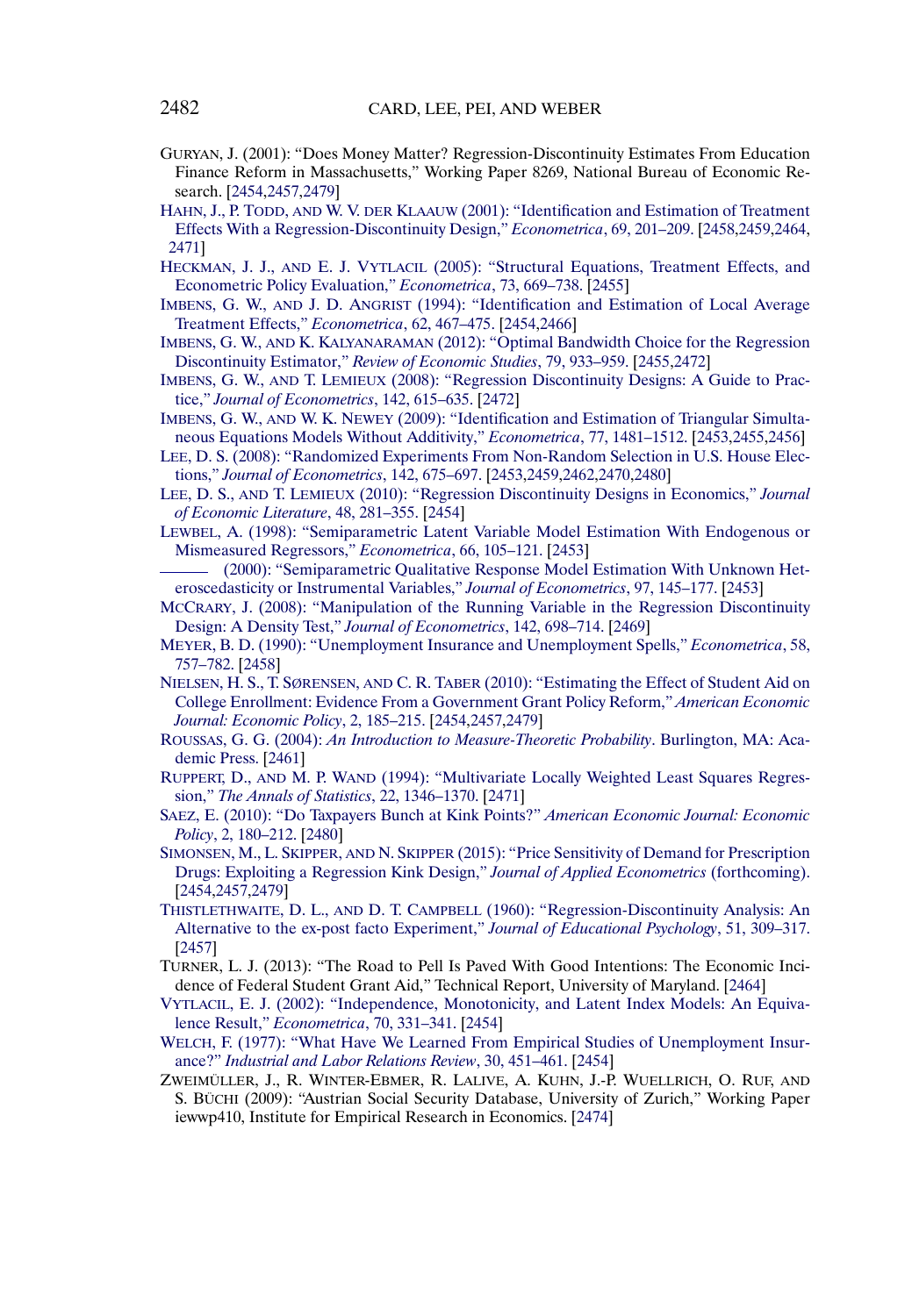- <span id="page-29-0"></span>GURYAN, J. (2001): "Does Money Matter? Regression-Discontinuity Estimates From Education Finance Reform in Massachusetts," Working Paper 8269, National Bureau of Economic Research. [\[2454,](#page-1-0)[2457](#page-4-0)[,2479\]](#page-26-0)
- HAHN, J., P. TODD, AND W. V. DER KLAAUW [\(2001\): "Identification and Estimation of Treatment](http://www.e-publications.org/srv/ecta/linkserver/openurl?rft_dat=bib:23/Hahn2001&rfe_id=urn:sici%2F0012-9682%28201511%2983%3A6%3C2453%3AIOCEIA%3E2.0.CO%3B2-4) [Effects With a Regression-Discontinuity Design,"](http://www.e-publications.org/srv/ecta/linkserver/openurl?rft_dat=bib:23/Hahn2001&rfe_id=urn:sici%2F0012-9682%28201511%2983%3A6%3C2453%3AIOCEIA%3E2.0.CO%3B2-4) *Econometrica*, 69, 201–209. [\[2458,](#page-5-0)[2459,](#page-6-0)[2464,](#page-11-0) [2471\]](#page-18-0)
- HECKMAN, J. J., AND E. J. VYTLACIL [\(2005\): "Structural Equations, Treatment Effects, and](http://www.e-publications.org/srv/ecta/linkserver/openurl?rft_dat=bib:24/HeckmanddVytlacildd2005&rfe_id=urn:sici%2F0012-9682%28201511%2983%3A6%3C2453%3AIOCEIA%3E2.0.CO%3B2-4) [Econometric Policy Evaluation,"](http://www.e-publications.org/srv/ecta/linkserver/openurl?rft_dat=bib:24/HeckmanddVytlacildd2005&rfe_id=urn:sici%2F0012-9682%28201511%2983%3A6%3C2453%3AIOCEIA%3E2.0.CO%3B2-4) *Econometrica*, 73, 669–738. [\[2455\]](#page-2-0)
- IMBENS, G. W., AND J. D. ANGRIST [\(1994\): "Identification and Estimation of Local Average](http://www.e-publications.org/srv/ecta/linkserver/openurl?rft_dat=bib:25/Imbensddd1994&rfe_id=urn:sici%2F0012-9682%28201511%2983%3A6%3C2453%3AIOCEIA%3E2.0.CO%3B2-4) [Treatment Effects,"](http://www.e-publications.org/srv/ecta/linkserver/openurl?rft_dat=bib:25/Imbensddd1994&rfe_id=urn:sici%2F0012-9682%28201511%2983%3A6%3C2453%3AIOCEIA%3E2.0.CO%3B2-4) *Econometrica*, 62, 467–475. [\[2454,](#page-1-0)[2466\]](#page-13-0)
- IMBENS, G. W., AND K. KALYANARAMAN [\(2012\): "Optimal Bandwidth Choice for the Regression](http://www.e-publications.org/srv/ecta/linkserver/openurl?rft_dat=bib:26/ImbensandKalyanaraman2012&rfe_id=urn:sici%2F0012-9682%28201511%2983%3A6%3C2453%3AIOCEIA%3E2.0.CO%3B2-4) Discontinuity Estimator," *[Review of Economic Studies](http://www.e-publications.org/srv/ecta/linkserver/openurl?rft_dat=bib:26/ImbensandKalyanaraman2012&rfe_id=urn:sici%2F0012-9682%28201511%2983%3A6%3C2453%3AIOCEIA%3E2.0.CO%3B2-4)*, 79, 933–959. [\[2455](#page-2-0)[,2472\]](#page-19-0)
- IMBENS, G. W., AND T. LEMIEUX [\(2008\): "Regression Discontinuity Designs: A Guide to Prac](http://www.e-publications.org/srv/ecta/linkserver/openurl?rft_dat=bib:27/Imbensdddyinpress&rfe_id=urn:sici%2F0012-9682%28201511%2983%3A6%3C2453%3AIOCEIA%3E2.0.CO%3B2-4)tice," *[Journal of Econometrics](http://www.e-publications.org/srv/ecta/linkserver/openurl?rft_dat=bib:27/Imbensdddyinpress&rfe_id=urn:sici%2F0012-9682%28201511%2983%3A6%3C2453%3AIOCEIA%3E2.0.CO%3B2-4)*, 142, 615–635. [\[2472\]](#page-19-0)
- IMBENS, G. W., AND W. K. NEWEY [\(2009\): "Identification and Estimation of Triangular Simulta](http://www.e-publications.org/srv/ecta/linkserver/openurl?rft_dat=bib:28/Imbens2009&rfe_id=urn:sici%2F0012-9682%28201511%2983%3A6%3C2453%3AIOCEIA%3E2.0.CO%3B2-4)[neous Equations Models Without Additivity,"](http://www.e-publications.org/srv/ecta/linkserver/openurl?rft_dat=bib:28/Imbens2009&rfe_id=urn:sici%2F0012-9682%28201511%2983%3A6%3C2453%3AIOCEIA%3E2.0.CO%3B2-4) *Econometrica*, 77, 1481–1512. [\[2453,](#page-0-0)[2455,](#page-2-0)[2456\]](#page-3-0)
- [LEE, D. S. \(2008\): "Randomized Experiments From Non-Random Selection in U.S. House Elec](http://www.e-publications.org/srv/ecta/linkserver/openurl?rft_dat=bib:29/Lee2008&rfe_id=urn:sici%2F0012-9682%28201511%2983%3A6%3C2453%3AIOCEIA%3E2.0.CO%3B2-4)tions," *[Journal of Econometrics](http://www.e-publications.org/srv/ecta/linkserver/openurl?rft_dat=bib:29/Lee2008&rfe_id=urn:sici%2F0012-9682%28201511%2983%3A6%3C2453%3AIOCEIA%3E2.0.CO%3B2-4)*, 142, 675–697. [\[2453,](#page-0-0)[2459,](#page-6-0)[2462](#page-9-0)[,2470](#page-17-0)[,2480\]](#page-27-0)
- LEE, D. S., AND T. LEMIEUX [\(2010\): "Regression Discontinuity Designs in Economics,"](http://www.e-publications.org/srv/ecta/linkserver/openurl?rft_dat=bib:30/LeeandLemieux2010&rfe_id=urn:sici%2F0012-9682%28201511%2983%3A6%3C2453%3AIOCEIA%3E2.0.CO%3B2-4) *Journal [of Economic Literature](http://www.e-publications.org/srv/ecta/linkserver/openurl?rft_dat=bib:30/LeeandLemieux2010&rfe_id=urn:sici%2F0012-9682%28201511%2983%3A6%3C2453%3AIOCEIA%3E2.0.CO%3B2-4)*, 48, 281–355. [\[2454\]](#page-1-0)
- [LEWBEL, A. \(1998\): "Semiparametric Latent Variable Model Estimation With Endogenous or](http://www.e-publications.org/srv/ecta/linkserver/openurl?rft_dat=bib:31/Lewbel1998&rfe_id=urn:sici%2F0012-9682%28201511%2983%3A6%3C2453%3AIOCEIA%3E2.0.CO%3B2-4) [Mismeasured Regressors,"](http://www.e-publications.org/srv/ecta/linkserver/openurl?rft_dat=bib:31/Lewbel1998&rfe_id=urn:sici%2F0012-9682%28201511%2983%3A6%3C2453%3AIOCEIA%3E2.0.CO%3B2-4) *Econometrica*, 66, 105–121. [\[2453\]](#page-0-0)
- [\(2000\): "Semiparametric Qualitative Response Model Estimation With Unknown Het](http://www.e-publications.org/srv/ecta/linkserver/openurl?rft_dat=bib:32/Lewbel2000&rfe_id=urn:sici%2F0012-9682%28201511%2983%3A6%3C2453%3AIOCEIA%3E2.0.CO%3B2-4)[eroscedasticity or Instrumental Variables,"](http://www.e-publications.org/srv/ecta/linkserver/openurl?rft_dat=bib:32/Lewbel2000&rfe_id=urn:sici%2F0012-9682%28201511%2983%3A6%3C2453%3AIOCEIA%3E2.0.CO%3B2-4) *Journal of Econometrics*, 97, 145–177. [\[2453\]](#page-0-0)
- [MCCRARY, J. \(2008\): "Manipulation of the Running Variable in the Regression Discontinuity](http://www.e-publications.org/srv/ecta/linkserver/openurl?rft_dat=bib:33/McCrary2008&rfe_id=urn:sici%2F0012-9682%28201511%2983%3A6%3C2453%3AIOCEIA%3E2.0.CO%3B2-4) [Design: A Density Test,"](http://www.e-publications.org/srv/ecta/linkserver/openurl?rft_dat=bib:33/McCrary2008&rfe_id=urn:sici%2F0012-9682%28201511%2983%3A6%3C2453%3AIOCEIA%3E2.0.CO%3B2-4) *Journal of Econometrics*, 142, 698–714. [\[2469\]](#page-16-0)
- [MEYER, B. D. \(1990\): "Unemployment Insurance and Unemployment Spells,"](http://www.e-publications.org/srv/ecta/linkserver/openurl?rft_dat=bib:34/Meyer1990&rfe_id=urn:sici%2F0012-9682%28201511%2983%3A6%3C2453%3AIOCEIA%3E2.0.CO%3B2-4) *Econometrica*, 58, [757–782.](http://www.e-publications.org/srv/ecta/linkserver/openurl?rft_dat=bib:34/Meyer1990&rfe_id=urn:sici%2F0012-9682%28201511%2983%3A6%3C2453%3AIOCEIA%3E2.0.CO%3B2-4) [\[2458\]](#page-5-0)
- NIELSEN, H. S., T. SØRENSEN, AND C. R. TABER [\(2010\): "Estimating the Effect of Student Aid on](http://www.e-publications.org/srv/ecta/linkserver/openurl?rft_dat=bib:35/Nielsenetalddd2010&rfe_id=urn:sici%2F0012-9682%28201511%2983%3A6%3C2453%3AIOCEIA%3E2.0.CO%3B2-4) [College Enrollment: Evidence From a Government Grant Policy Reform,"](http://www.e-publications.org/srv/ecta/linkserver/openurl?rft_dat=bib:35/Nielsenetalddd2010&rfe_id=urn:sici%2F0012-9682%28201511%2983%3A6%3C2453%3AIOCEIA%3E2.0.CO%3B2-4) *American Economic [Journal: Economic Policy](http://www.e-publications.org/srv/ecta/linkserver/openurl?rft_dat=bib:35/Nielsenetalddd2010&rfe_id=urn:sici%2F0012-9682%28201511%2983%3A6%3C2453%3AIOCEIA%3E2.0.CO%3B2-4)*, 2, 185–215. [\[2454,](#page-1-0)[2457,](#page-4-0)[2479\]](#page-26-0)
- ROUSSAS, G. G. (2004): *[An Introduction to Measure-Theoretic Probability](http://www.e-publications.org/srv/ecta/linkserver/openurl?rft_dat=bib:36/Roussas2004&rfe_id=urn:sici%2F0012-9682%28201511%2983%3A6%3C2453%3AIOCEIA%3E2.0.CO%3B2-4)*. Burlington, MA: Aca[demic Press.](http://www.e-publications.org/srv/ecta/linkserver/openurl?rft_dat=bib:36/Roussas2004&rfe_id=urn:sici%2F0012-9682%28201511%2983%3A6%3C2453%3AIOCEIA%3E2.0.CO%3B2-4) [\[2461\]](#page-8-0)
- RUPPERT, D., AND M. P. WAND [\(1994\): "Multivariate Locally Weighted Least Squares Regres](http://www.e-publications.org/srv/ecta/linkserver/openurl?rft_dat=bib:37/RuppertandWand1994&rfe_id=urn:sici%2F0012-9682%28201511%2983%3A6%3C2453%3AIOCEIA%3E2.0.CO%3B2-4)sion," *[The Annals of Statistics](http://www.e-publications.org/srv/ecta/linkserver/openurl?rft_dat=bib:37/RuppertandWand1994&rfe_id=urn:sici%2F0012-9682%28201511%2983%3A6%3C2453%3AIOCEIA%3E2.0.CO%3B2-4)*, 22, 1346–1370. [\[2471\]](#page-18-0)
- [SAEZ, E. \(2010\): "Do Taxpayers Bunch at Kink Points?"](http://www.e-publications.org/srv/ecta/linkserver/openurl?rft_dat=bib:38/Saez2010&rfe_id=urn:sici%2F0012-9682%28201511%2983%3A6%3C2453%3AIOCEIA%3E2.0.CO%3B2-4) *American Economic Journal: Economic Policy*[, 2, 180–212.](http://www.e-publications.org/srv/ecta/linkserver/openurl?rft_dat=bib:38/Saez2010&rfe_id=urn:sici%2F0012-9682%28201511%2983%3A6%3C2453%3AIOCEIA%3E2.0.CO%3B2-4) [\[2480\]](#page-27-0)
- SIMONSEN, M., L. SKIPPER, AND N. SKIPPER [\(2015\): "Price Sensitivity of Demand for Prescription](http://www.e-publications.org/srv/ecta/linkserver/openurl?rft_dat=bib:39/Simonsen2011&rfe_id=urn:sici%2F0012-9682%28201511%2983%3A6%3C2453%3AIOCEIA%3E2.0.CO%3B2-4) [Drugs: Exploiting a Regression Kink Design,"](http://www.e-publications.org/srv/ecta/linkserver/openurl?rft_dat=bib:39/Simonsen2011&rfe_id=urn:sici%2F0012-9682%28201511%2983%3A6%3C2453%3AIOCEIA%3E2.0.CO%3B2-4) *Journal of Applied Econometrics* (forthcoming). [\[2454](#page-1-0)[,2457](#page-4-0)[,2479\]](#page-26-0)
- THISTLETHWAITE, D. L., AND D. T. CAMPBELL [\(1960\): "Regression-Discontinuity Analysis: An](http://www.e-publications.org/srv/ecta/linkserver/openurl?rft_dat=bib:40/Thistlethwaitedddy60&rfe_id=urn:sici%2F0012-9682%28201511%2983%3A6%3C2453%3AIOCEIA%3E2.0.CO%3B2-4) [Alternative to the ex-post facto Experiment,"](http://www.e-publications.org/srv/ecta/linkserver/openurl?rft_dat=bib:40/Thistlethwaitedddy60&rfe_id=urn:sici%2F0012-9682%28201511%2983%3A6%3C2453%3AIOCEIA%3E2.0.CO%3B2-4) *Journal of Educational Psychology*, 51, 309–317. [\[2457\]](#page-4-0)
- TURNER, L. J. (2013): "The Road to Pell Is Paved With Good Intentions: The Economic Incidence of Federal Student Grant Aid," Technical Report, University of Maryland. [\[2464\]](#page-11-0)
- [VYTLACIL, E. J. \(2002\): "Independence, Monotonicity, and Latent Index Models: An Equiva](http://www.e-publications.org/srv/ecta/linkserver/openurl?rft_dat=bib:42/Vytlacilnotedd2002&rfe_id=urn:sici%2F0012-9682%28201511%2983%3A6%3C2453%3AIOCEIA%3E2.0.CO%3B2-4)[lence Result,"](http://www.e-publications.org/srv/ecta/linkserver/openurl?rft_dat=bib:42/Vytlacilnotedd2002&rfe_id=urn:sici%2F0012-9682%28201511%2983%3A6%3C2453%3AIOCEIA%3E2.0.CO%3B2-4) *Econometrica*, 70, 331–341. [\[2454\]](#page-1-0)
- [WELCH, F. \(1977\): "What Have We Learned From Empirical Studies of Unemployment Insur](http://www.e-publications.org/srv/ecta/linkserver/openurl?rft_dat=bib:43/Welch1977&rfe_id=urn:sici%2F0012-9682%28201511%2983%3A6%3C2453%3AIOCEIA%3E2.0.CO%3B2-4)ance?" *[Industrial and Labor Relations Review](http://www.e-publications.org/srv/ecta/linkserver/openurl?rft_dat=bib:43/Welch1977&rfe_id=urn:sici%2F0012-9682%28201511%2983%3A6%3C2453%3AIOCEIA%3E2.0.CO%3B2-4)*, 30, 451–461. [\[2454\]](#page-1-0)
- ZWEIMÜLLER, J., R. WINTER-EBMER, R. LALIVE, A. KUHN, J.-P. WUELLRICH, O. RUF, AND S. BÜCHI (2009): "Austrian Social Security Database, University of Zurich," Working Paper iewwp410, Institute for Empirical Research in Economics. [\[2474\]](#page-21-0)